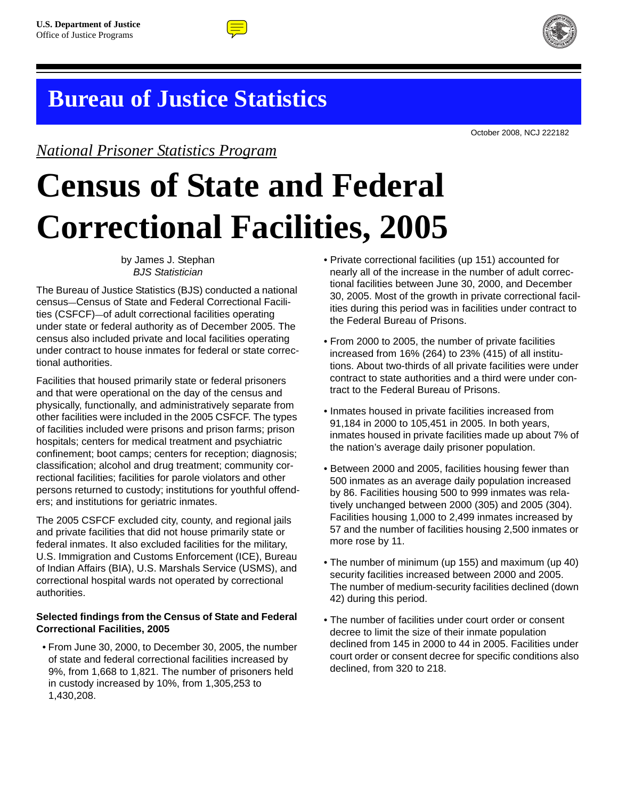

# **Bureau of Justice Statistics**

*National Prisoner Statistics Program*

October 2008, NCJ 222182

**Census of State and Federal Correctional Facilities, 2005**

> by James J. Stephan *BJS Statistician*

The Bureau of Justice Statistics (BJS) conducted a national census—Census of State and Federal Correctional Facilities (CSFCF)—of adult correctional facilities operating under state or federal authority as of December 2005. The census also included private and local facilities operating under contract to house inmates for federal or state correctional authorities.

Facilities that housed primarily state or federal prisoners and that were operational on the day of the census and physically, functionally, and administratively separate from other facilities were included in the 2005 CSFCF. The types of facilities included were prisons and prison farms; prison hospitals; centers for medical treatment and psychiatric confinement; boot camps; centers for reception; diagnosis; classification; alcohol and drug treatment; community correctional facilities; facilities for parole violators and other persons returned to custody; institutions for youthful offenders; and institutions for geriatric inmates.

The 2005 CSFCF excluded city, county, and regional jails and private facilities that did not house primarily state or federal inmates. It also excluded facilities for the military, U.S. Immigration and Customs Enforcement (ICE), Bureau of Indian Affairs (BIA), U.S. Marshals Service (USMS), and correctional hospital wards not operated by correctional authorities.

# **Selected findings from the Census of State and Federal Correctional Facilities, 2005**

• From June 30, 2000, to December 30, 2005, the number of state and federal correctional facilities increased by 9%, from 1,668 to 1,821. The number of prisoners held in custody increased by 10%, from 1,305,253 to 1,430,208.

- Private correctional facilities (up 151) accounted for nearly all of the increase in the number of adult correctional facilities between June 30, 2000, and December 30, 2005. Most of the growth in private correctional facilities during this period was in facilities under contract to the Federal Bureau of Prisons.
- From 2000 to 2005, the number of private facilities increased from 16% (264) to 23% (415) of all institutions. About two-thirds of all private facilities were under contract to state authorities and a third were under contract to the Federal Bureau of Prisons.
- Inmates housed in private facilities increased from 91,184 in 2000 to 105,451 in 2005. In both years, inmates housed in private facilities made up about 7% of the nation's average daily prisoner population.
- Between 2000 and 2005, facilities housing fewer than 500 inmates as an average daily population increased by 86. Facilities housing 500 to 999 inmates was relatively unchanged between 2000 (305) and 2005 (304). Facilities housing 1,000 to 2,499 inmates increased by 57 and the number of facilities housing 2,500 inmates or more rose by 11.
- The number of minimum (up 155) and maximum (up 40) security facilities increased between 2000 and 2005. The number of medium-security facilities declined (down 42) during this period.
- The number of facilities under court order or consent decree to limit the size of their inmate population declined from 145 in 2000 to 44 in 2005. Facilities under court order or consent decree for specific conditions also declined, from 320 to 218.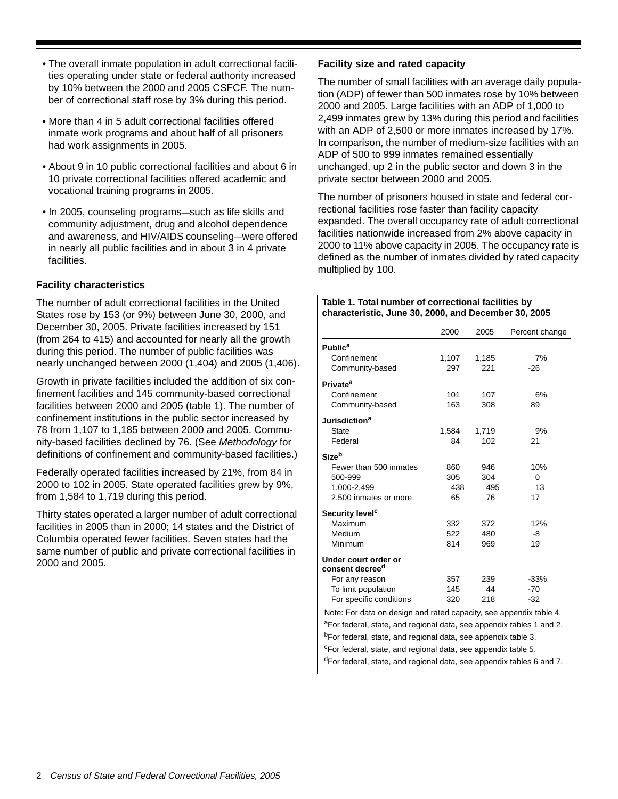- The overall inmate population in adult correctional facilities operating under state or federal authority increased by 10% between the 2000 and 2005 CSFCF. The number of correctional staff rose by 3% during this period.
- More than 4 in 5 adult correctional facilities offered inmate work programs and about half of all prisoners had work assignments in 2005.
- About 9 in 10 public correctional facilities and about 6 in 10 private correctional facilities offered academic and vocational training programs in 2005.
- In 2005, counseling programs—such as life skills and community adjustment, drug and alcohol dependence and awareness, and HIV/AIDS counseling—were offered in nearly all public facilities and in about 3 in 4 private facilities.

# **Facility characteristics**

The number of adult correctional facilities in the United States rose by 153 (or 9%) between June 30, 2000, and December 30, 2005. Private facilities increased by 151 (from 264 to 415) and accounted for nearly all the growth during this period. The number of public facilities was nearly unchanged between 2000 (1,404) and 2005 (1,406).

Growth in private facilities included the addition of six confinement facilities and 145 community-based correctional facilities between 2000 and 2005 (table 1). The number of confinement institutions in the public sector increased by 78 from 1,107 to 1,185 between 2000 and 2005. Community-based facilities declined by 76. (See *Methodology* for definitions of confinement and community-based facilities.)

Federally operated facilities increased by 21%, from 84 in 2000 to 102 in 2005. State operated facilities grew by 9%, from 1,584 to 1,719 during this period.

Thirty states operated a larger number of adult correctional facilities in 2005 than in 2000; 14 states and the District of Columbia operated fewer facilities. Seven states had the same number of public and private correctional facilities in 2000 and 2005.

# **Facility size and rated capacity**

The number of small facilities with an average daily population (ADP) of fewer than 500 inmates rose by 10% between 2000 and 2005. Large facilities with an ADP of 1,000 to 2,499 inmates grew by 13% during this period and facilities with an ADP of 2,500 or more inmates increased by 17%. In comparison, the number of medium-size facilities with an ADP of 500 to 999 inmates remained essentially unchanged, up 2 in the public sector and down 3 in the private sector between 2000 and 2005.

The number of prisoners housed in state and federal correctional facilities rose faster than facility capacity expanded. The overall occupancy rate of adult correctional facilities nationwide increased from 2% above capacity in 2000 to 11% above capacity in 2005. The occupancy rate is defined as the number of inmates divided by rated capacity multiplied by 100.

#### **Table 1. Total number of correctional facilities by characteristic, June 30, 2000, and December 30, 2005**

|                             | 2000  | 2005  | Percent change |
|-----------------------------|-------|-------|----------------|
| <b>Public<sup>a</sup></b>   |       |       |                |
| Confinement                 | 1,107 | 1,185 | 7%             |
| Community-based             | 297   | 221   | $-26$          |
| <b>Private<sup>a</sup></b>  |       |       |                |
| Confinement                 | 101   | 107   | 6%             |
| Community-based             | 163   | 308   | 89             |
| Jurisdiction <sup>a</sup>   |       |       |                |
| <b>State</b>                | 1,584 | 1,719 | 9%             |
| Federal                     | 84    | 102   | 21             |
| Sizeb                       |       |       |                |
| Fewer than 500 inmates      | 860   | 946   | 10%            |
| 500-999                     | 305   | 304   | 0              |
| 1,000-2,499                 | 438   | 495   | 13             |
| 2,500 inmates or more       | 65    | 76    | 17             |
| Security level <sup>c</sup> |       |       |                |
| Maximum                     | 332   | 372   | 12%            |
| Medium                      | 522   | 480   | -8             |
| Minimum                     | 814   | 969   | 19             |
| Under court order or        |       |       |                |
| consent decree <sup>d</sup> |       |       |                |
| For any reason              | 357   | 239   | $-33%$         |
| To limit population         | 145   | 44    | $-70$          |
| For specific conditions     | 320   | 218   | $-32$          |

aFor federal, state, and regional data, see appendix tables 1 and 2. bFor federal, state, and regional data, see appendix table 3. <sup>c</sup>For federal, state, and regional data, see appendix table 5. dFor federal, state, and regional data, see appendix tables 6 and 7.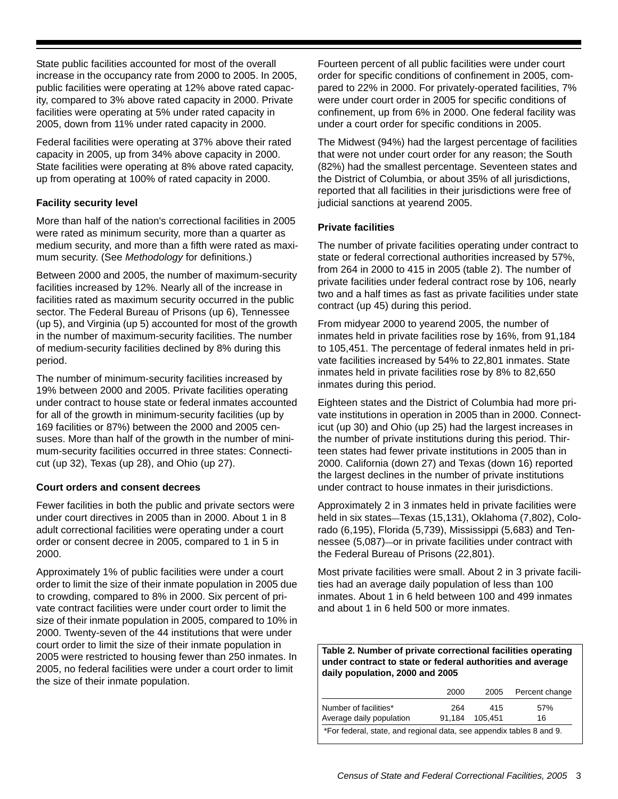State public facilities accounted for most of the overall increase in the occupancy rate from 2000 to 2005. In 2005, public facilities were operating at 12% above rated capacity, compared to 3% above rated capacity in 2000. Private facilities were operating at 5% under rated capacity in 2005, down from 11% under rated capacity in 2000.

Federal facilities were operating at 37% above their rated capacity in 2005, up from 34% above capacity in 2000. State facilities were operating at 8% above rated capacity, up from operating at 100% of rated capacity in 2000.

# **Facility security level**

More than half of the nation's correctional facilities in 2005 were rated as minimum security, more than a quarter as medium security, and more than a fifth were rated as maximum security. (See *Methodology* for definitions.)

Between 2000 and 2005, the number of maximum-security facilities increased by 12%. Nearly all of the increase in facilities rated as maximum security occurred in the public sector. The Federal Bureau of Prisons (up 6), Tennessee (up 5), and Virginia (up 5) accounted for most of the growth in the number of maximum-security facilities. The number of medium-security facilities declined by 8% during this period.

The number of minimum-security facilities increased by 19% between 2000 and 2005. Private facilities operating under contract to house state or federal inmates accounted for all of the growth in minimum-security facilities (up by 169 facilities or 87%) between the 2000 and 2005 censuses. More than half of the growth in the number of minimum-security facilities occurred in three states: Connecticut (up 32), Texas (up 28), and Ohio (up 27).

#### **Court orders and consent decrees**

Fewer facilities in both the public and private sectors were under court directives in 2005 than in 2000. About 1 in 8 adult correctional facilities were operating under a court order or consent decree in 2005, compared to 1 in 5 in 2000.

Approximately 1% of public facilities were under a court order to limit the size of their inmate population in 2005 due to crowding, compared to 8% in 2000. Six percent of private contract facilities were under court order to limit the size of their inmate population in 2005, compared to 10% in 2000. Twenty-seven of the 44 institutions that were under court order to limit the size of their inmate population in 2005 were restricted to housing fewer than 250 inmates. In 2005, no federal facilities were under a court order to limit the size of their inmate population.

Fourteen percent of all public facilities were under court order for specific conditions of confinement in 2005, compared to 22% in 2000. For privately-operated facilities, 7% were under court order in 2005 for specific conditions of confinement, up from 6% in 2000. One federal facility was under a court order for specific conditions in 2005.

The Midwest (94%) had the largest percentage of facilities that were not under court order for any reason; the South (82%) had the smallest percentage. Seventeen states and the District of Columbia, or about 35% of all jurisdictions, reported that all facilities in their jurisdictions were free of judicial sanctions at yearend 2005.

# **Private facilities**

The number of private facilities operating under contract to state or federal correctional authorities increased by 57%, from 264 in 2000 to 415 in 2005 (table 2). The number of private facilities under federal contract rose by 106, nearly two and a half times as fast as private facilities under state contract (up 45) during this period.

From midyear 2000 to yearend 2005, the number of inmates held in private facilities rose by 16%, from 91,184 to 105,451. The percentage of federal inmates held in private facilities increased by 54% to 22,801 inmates. State inmates held in private facilities rose by 8% to 82,650 inmates during this period.

Eighteen states and the District of Columbia had more private institutions in operation in 2005 than in 2000. Connecticut (up 30) and Ohio (up 25) had the largest increases in the number of private institutions during this period. Thirteen states had fewer private institutions in 2005 than in 2000. California (down 27) and Texas (down 16) reported the largest declines in the number of private institutions under contract to house inmates in their jurisdictions.

Approximately 2 in 3 inmates held in private facilities were held in six states—Texas (15,131), Oklahoma (7,802), Colorado (6,195), Florida (5,739), Mississippi (5,683) and Tennessee (5,087)—or in private facilities under contract with the Federal Bureau of Prisons (22,801).

Most private facilities were small. About 2 in 3 private facilities had an average daily population of less than 100 inmates. About 1 in 6 held between 100 and 499 inmates and about 1 in 6 held 500 or more inmates.

**Table 2. Number of private correctional facilities operating under contract to state or federal authorities and average daily population, 2000 and 2005**

|                                                                      | 2000 | 2005                  | Percent change |
|----------------------------------------------------------------------|------|-----------------------|----------------|
| Number of facilities*<br>Average daily population                    | 264  | 415<br>91.184 105.451 | 57%<br>16      |
| *For federal, state, and regional data, see appendix tables 8 and 9. |      |                       |                |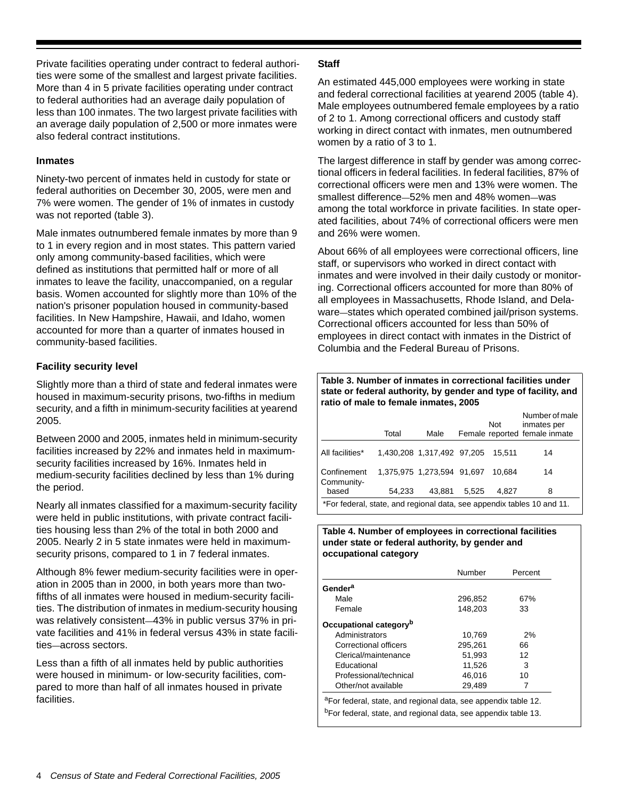Private facilities operating under contract to federal authorities were some of the smallest and largest private facilities. More than 4 in 5 private facilities operating under contract to federal authorities had an average daily population of less than 100 inmates. The two largest private facilities with an average daily population of 2,500 or more inmates were also federal contract institutions.

## **Inmates**

Ninety-two percent of inmates held in custody for state or federal authorities on December 30, 2005, were men and 7% were women. The gender of 1% of inmates in custody was not reported (table 3).

Male inmates outnumbered female inmates by more than 9 to 1 in every region and in most states. This pattern varied only among community-based facilities, which were defined as institutions that permitted half or more of all inmates to leave the facility, unaccompanied, on a regular basis. Women accounted for slightly more than 10% of the nation's prisoner population housed in community-based facilities. In New Hampshire, Hawaii, and Idaho, women accounted for more than a quarter of inmates housed in community-based facilities.

# **Facility security level**

Slightly more than a third of state and federal inmates were housed in maximum-security prisons, two-fifths in medium security, and a fifth in minimum-security facilities at yearend 2005.

Between 2000 and 2005, inmates held in minimum-security facilities increased by 22% and inmates held in maximumsecurity facilities increased by 16%. Inmates held in medium-security facilities declined by less than 1% during the period.

Nearly all inmates classified for a maximum-security facility were held in public institutions, with private contract facilities housing less than 2% of the total in both 2000 and 2005. Nearly 2 in 5 state inmates were held in maximumsecurity prisons, compared to 1 in 7 federal inmates.

Although 8% fewer medium-security facilities were in operation in 2005 than in 2000, in both years more than twofifths of all inmates were housed in medium-security facilities. The distribution of inmates in medium-security housing was relatively consistent—43% in public versus 37% in private facilities and 41% in federal versus 43% in state facilities—across sectors.

Less than a fifth of all inmates held by public authorities were housed in minimum- or low-security facilities, compared to more than half of all inmates housed in private facilities.

## **Staff**

An estimated 445,000 employees were working in state and federal correctional facilities at yearend 2005 (table 4). Male employees outnumbered female employees by a ratio of 2 to 1. Among correctional officers and custody staff working in direct contact with inmates, men outnumbered women by a ratio of 3 to 1.

The largest difference in staff by gender was among correctional officers in federal facilities. In federal facilities, 87% of correctional officers were men and 13% were women. The smallest difference—52% men and 48% women—was among the total workforce in private facilities. In state operated facilities, about 74% of correctional officers were men and 26% were women.

About 66% of all employees were correctional officers, line staff, or supervisors who worked in direct contact with inmates and were involved in their daily custody or monitoring. Correctional officers accounted for more than 80% of all employees in Massachusetts, Rhode Island, and Delaware—states which operated combined jail/prison systems. Correctional officers accounted for less than 50% of employees in direct contact with inmates in the District of Columbia and the Federal Bureau of Prisons.

**Table 3. Number of inmates in correctional facilities under state or federal authority, by gender and type of facility, and ratio of male to female inmates, 2005** 

|                                                                        | Total  | Male                       |       | Not    | Number of male<br>inmates per<br>Female reported female inmate |
|------------------------------------------------------------------------|--------|----------------------------|-------|--------|----------------------------------------------------------------|
| All facilities*                                                        |        | 1,430,208 1,317,492 97,205 |       | 15.511 | 14                                                             |
| Confinement<br>Community-                                              |        | 1.375.975 1.273.594 91.697 |       | 10.684 | 14                                                             |
| based                                                                  | 54.233 | 43.881                     | 5.525 | 4.827  | 8                                                              |
| *For federal, state, and regional data, see appendix tables 10 and 11. |        |                            |       |        |                                                                |

#### **Table 4. Number of employees in correctional facilities under state or federal authority, by gender and occupational category**

|                                    | Number  | Percent |  |
|------------------------------------|---------|---------|--|
| Gender <sup>a</sup>                |         |         |  |
| Male                               | 296.852 | 67%     |  |
| Female                             | 148,203 | 33      |  |
| Occupational category <sup>b</sup> |         |         |  |
| Administrators                     | 10.769  | 2%      |  |
| Correctional officers              | 295.261 | 66      |  |
| Clerical/maintenance               | 51,993  | 12      |  |
| Educational                        | 11,526  | 3       |  |
| Professional/technical             | 46.016  | 10      |  |
| Other/not available                | 29,489  | 7       |  |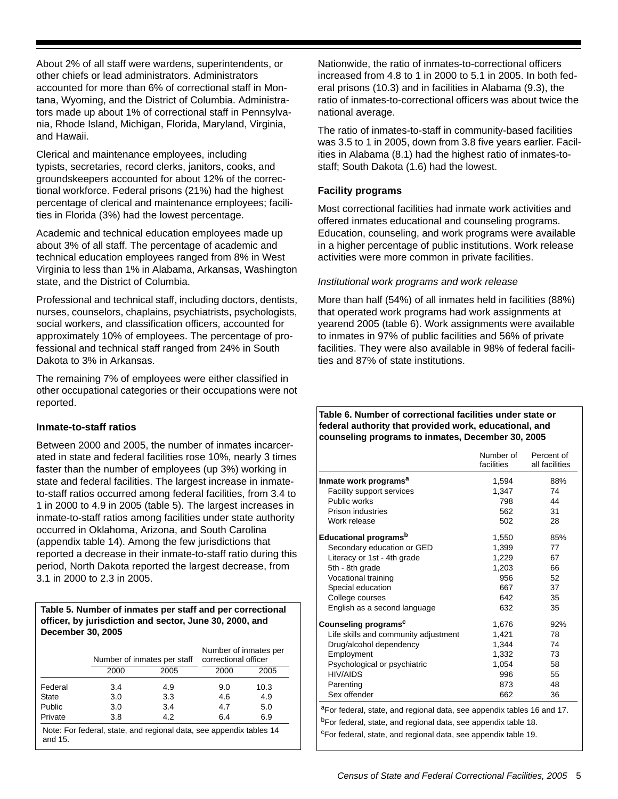About 2% of all staff were wardens, superintendents, or other chiefs or lead administrators. Administrators accounted for more than 6% of correctional staff in Montana, Wyoming, and the District of Columbia. Administrators made up about 1% of correctional staff in Pennsylvania, Rhode Island, Michigan, Florida, Maryland, Virginia, and Hawaii.

Clerical and maintenance employees, including typists, secretaries, record clerks, janitors, cooks, and groundskeepers accounted for about 12% of the correctional workforce. Federal prisons (21%) had the highest percentage of clerical and maintenance employees; facilities in Florida (3%) had the lowest percentage.

Academic and technical education employees made up about 3% of all staff. The percentage of academic and technical education employees ranged from 8% in West Virginia to less than 1% in Alabama, Arkansas, Washington state, and the District of Columbia.

Professional and technical staff, including doctors, dentists, nurses, counselors, chaplains, psychiatrists, psychologists, social workers, and classification officers, accounted for approximately 10% of employees. The percentage of professional and technical staff ranged from 24% in South Dakota to 3% in Arkansas.

The remaining 7% of employees were either classified in other occupational categories or their occupations were not reported.

# **Inmate-to-staff ratios**

Between 2000 and 2005, the number of inmates incarcerated in state and federal facilities rose 10%, nearly 3 times faster than the number of employees (up 3%) working in state and federal facilities. The largest increase in inmateto-staff ratios occurred among federal facilities, from 3.4 to 1 in 2000 to 4.9 in 2005 (table 5). The largest increases in inmate-to-staff ratios among facilities under state authority occurred in Oklahoma, Arizona, and South Carolina (appendix table 14). Among the few jurisdictions that reported a decrease in their inmate-to-staff ratio during this period, North Dakota reported the largest decrease, from 3.1 in 2000 to 2.3 in 2005.

#### **Table 5. Number of inmates per staff and per correctional officer, by jurisdiction and sector, June 30, 2000, and December 30, 2005**

|         |      | Number of inmates per staff | Number of inmates per<br>correctional officer |      |
|---------|------|-----------------------------|-----------------------------------------------|------|
|         | 2000 | 2005                        | 2000                                          | 2005 |
| Federal | 3.4  | 4.9                         | 9.0                                           | 10.3 |
| State   | 3.0  | 3.3                         | 4.6                                           | 4.9  |
| Public  | 3.0  | 3.4                         | 4.7                                           | 5.0  |
| Private | 3.8  | 4.2                         | 6.4                                           | 6.9  |

Note: For federal, state, and regional data, see appendix tables 14 and 15.

Nationwide, the ratio of inmates-to-correctional officers increased from 4.8 to 1 in 2000 to 5.1 in 2005. In both federal prisons (10.3) and in facilities in Alabama (9.3), the ratio of inmates-to-correctional officers was about twice the national average.

The ratio of inmates-to-staff in community-based facilities was 3.5 to 1 in 2005, down from 3.8 five years earlier. Facilities in Alabama (8.1) had the highest ratio of inmates-tostaff; South Dakota (1.6) had the lowest.

## **Facility programs**

Most correctional facilities had inmate work activities and offered inmates educational and counseling programs. Education, counseling, and work programs were available in a higher percentage of public institutions. Work release activities were more common in private facilities.

## *Institutional work programs and work release*

More than half (54%) of all inmates held in facilities (88%) that operated work programs had work assignments at yearend 2005 (table 6). Work assignments were available to inmates in 97% of public facilities and 56% of private facilities. They were also available in 98% of federal facilities and 87% of state institutions.

#### **Table 6. Number of correctional facilities under state or federal authority that provided work, educational, and counseling programs to inmates, December 30, 2005**

|                                      | Number of<br>facilities | Percent of<br>all facilities |
|--------------------------------------|-------------------------|------------------------------|
| Inmate work programs <sup>a</sup>    | 1,594                   | 88%                          |
| Facility support services            | 1,347                   | 74                           |
| Public works                         | 798                     | 44                           |
| Prison industries                    | 562                     | 31                           |
| Work release                         | 502                     | 28                           |
| Educational programs <sup>b</sup>    | 1,550                   | 85%                          |
| Secondary education or GED           | 1,399                   | 77                           |
| Literacy or 1st - 4th grade          | 1,229                   | 67                           |
| 5th - 8th grade                      | 1,203                   | 66                           |
| Vocational training                  | 956                     | 52                           |
| Special education                    | 667                     | 37                           |
| College courses                      | 642                     | 35                           |
| English as a second language         | 632                     | 35                           |
| Counseling programs <sup>c</sup>     | 1,676                   | 92%                          |
| Life skills and community adjustment | 1,421                   | 78                           |
| Drug/alcohol dependency              | 1.344                   | 74                           |
| Employment                           | 1,332                   | 73                           |
| Psychological or psychiatric         | 1,054                   | 58                           |
| <b>HIV/AIDS</b>                      | 996                     | 55                           |
| Parenting                            | 873                     | 48                           |
| Sex offender                         | 662                     | 36                           |

cFor federal, state, and regional data, see appendix table 19.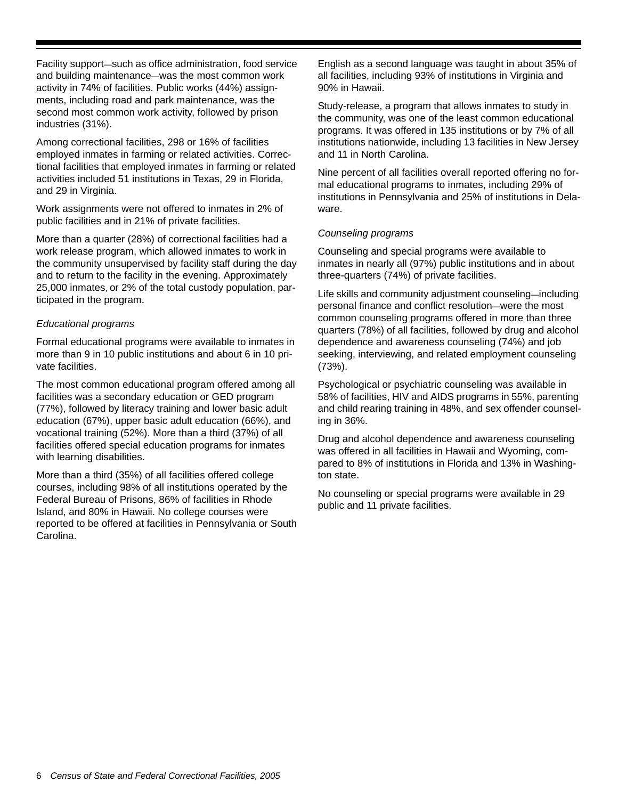Facility support—such as office administration, food service and building maintenance—was the most common work activity in 74% of facilities. Public works (44%) assignments, including road and park maintenance, was the second most common work activity, followed by prison industries (31%).

Among correctional facilities, 298 or 16% of facilities employed inmates in farming or related activities. Correctional facilities that employed inmates in farming or related activities included 51 institutions in Texas, 29 in Florida, and 29 in Virginia.

Work assignments were not offered to inmates in 2% of public facilities and in 21% of private facilities.

More than a quarter (28%) of correctional facilities had a work release program, which allowed inmates to work in the community unsupervised by facility staff during the day and to return to the facility in the evening. Approximately 25,000 inmates, or 2% of the total custody population, participated in the program.

## *Educational programs*

Formal educational programs were available to inmates in more than 9 in 10 public institutions and about 6 in 10 private facilities.

The most common educational program offered among all facilities was a secondary education or GED program (77%), followed by literacy training and lower basic adult education (67%), upper basic adult education (66%), and vocational training (52%). More than a third (37%) of all facilities offered special education programs for inmates with learning disabilities.

More than a third (35%) of all facilities offered college courses, including 98% of all institutions operated by the Federal Bureau of Prisons, 86% of facilities in Rhode Island, and 80% in Hawaii. No college courses were reported to be offered at facilities in Pennsylvania or South Carolina.

English as a second language was taught in about 35% of all facilities, including 93% of institutions in Virginia and 90% in Hawaii.

Study-release, a program that allows inmates to study in the community, was one of the least common educational programs. It was offered in 135 institutions or by 7% of all institutions nationwide, including 13 facilities in New Jersey and 11 in North Carolina.

Nine percent of all facilities overall reported offering no formal educational programs to inmates, including 29% of institutions in Pennsylvania and 25% of institutions in Delaware.

# *Counseling programs*

Counseling and special programs were available to inmates in nearly all (97%) public institutions and in about three-quarters (74%) of private facilities.

Life skills and community adjustment counseling—including personal finance and conflict resolution—were the most common counseling programs offered in more than three quarters (78%) of all facilities, followed by drug and alcohol dependence and awareness counseling (74%) and job seeking, interviewing, and related employment counseling (73%).

Psychological or psychiatric counseling was available in 58% of facilities, HIV and AIDS programs in 55%, parenting and child rearing training in 48%, and sex offender counseling in 36%.

Drug and alcohol dependence and awareness counseling was offered in all facilities in Hawaii and Wyoming, compared to 8% of institutions in Florida and 13% in Washington state.

No counseling or special programs were available in 29 public and 11 private facilities.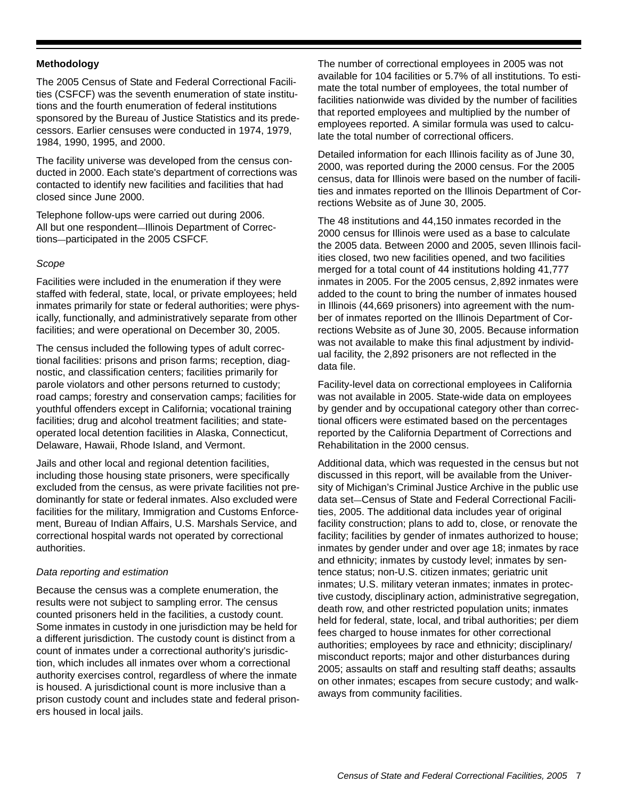#### **Methodology**

The 2005 Census of State and Federal Correctional Facilities (CSFCF) was the seventh enumeration of state institutions and the fourth enumeration of federal institutions sponsored by the Bureau of Justice Statistics and its predecessors. Earlier censuses were conducted in 1974, 1979, 1984, 1990, 1995, and 2000.

The facility universe was developed from the census conducted in 2000. Each state's department of corrections was contacted to identify new facilities and facilities that had closed since June 2000.

Telephone follow-ups were carried out during 2006. All but one respondent—Illinois Department of Corrections—participated in the 2005 CSFCF.

## *Scope*

Facilities were included in the enumeration if they were staffed with federal, state, local, or private employees; held inmates primarily for state or federal authorities; were physically, functionally, and administratively separate from other facilities; and were operational on December 30, 2005.

The census included the following types of adult correctional facilities: prisons and prison farms; reception, diagnostic, and classification centers; facilities primarily for parole violators and other persons returned to custody; road camps; forestry and conservation camps; facilities for youthful offenders except in California; vocational training facilities; drug and alcohol treatment facilities; and stateoperated local detention facilities in Alaska, Connecticut, Delaware, Hawaii, Rhode Island, and Vermont.

Jails and other local and regional detention facilities, including those housing state prisoners, were specifically excluded from the census, as were private facilities not predominantly for state or federal inmates. Also excluded were facilities for the military, Immigration and Customs Enforcement, Bureau of Indian Affairs, U.S. Marshals Service, and correctional hospital wards not operated by correctional authorities.

#### *Data reporting and estimation*

Because the census was a complete enumeration, the results were not subject to sampling error. The census counted prisoners held in the facilities, a custody count. Some inmates in custody in one jurisdiction may be held for a different jurisdiction. The custody count is distinct from a count of inmates under a correctional authority's jurisdiction, which includes all inmates over whom a correctional authority exercises control, regardless of where the inmate is housed. A jurisdictional count is more inclusive than a prison custody count and includes state and federal prisoners housed in local jails.

The number of correctional employees in 2005 was not available for 104 facilities or 5.7% of all institutions. To estimate the total number of employees, the total number of facilities nationwide was divided by the number of facilities that reported employees and multiplied by the number of employees reported. A similar formula was used to calculate the total number of correctional officers.

Detailed information for each Illinois facility as of June 30, 2000, was reported during the 2000 census. For the 2005 census, data for Illinois were based on the number of facilities and inmates reported on the Illinois Department of Corrections Website as of June 30, 2005.

The 48 institutions and 44,150 inmates recorded in the 2000 census for Illinois were used as a base to calculate the 2005 data. Between 2000 and 2005, seven Illinois facilities closed, two new facilities opened, and two facilities merged for a total count of 44 institutions holding 41,777 inmates in 2005. For the 2005 census, 2,892 inmates were added to the count to bring the number of inmates housed in Illinois (44,669 prisoners) into agreement with the number of inmates reported on the Illinois Department of Corrections Website as of June 30, 2005. Because information was not available to make this final adjustment by individual facility, the 2,892 prisoners are not reflected in the data file.

Facility-level data on correctional employees in California was not available in 2005. State-wide data on employees by gender and by occupational category other than correctional officers were estimated based on the percentages reported by the California Department of Corrections and Rehabilitation in the 2000 census.

Additional data, which was requested in the census but not discussed in this report, will be available from the University of Michigan's Criminal Justice Archive in the public use data set—Census of State and Federal Correctional Facilities, 2005. The additional data includes year of original facility construction; plans to add to, close, or renovate the facility; facilities by gender of inmates authorized to house; inmates by gender under and over age 18; inmates by race and ethnicity; inmates by custody level; inmates by sentence status; non-U.S. citizen inmates; geriatric unit inmates; U.S. military veteran inmates; inmates in protective custody, disciplinary action, administrative segregation, death row, and other restricted population units; inmates held for federal, state, local, and tribal authorities; per diem fees charged to house inmates for other correctional authorities; employees by race and ethnicity; disciplinary/ misconduct reports; major and other disturbances during 2005; assaults on staff and resulting staff deaths; assaults on other inmates; escapes from secure custody; and walkaways from community facilities.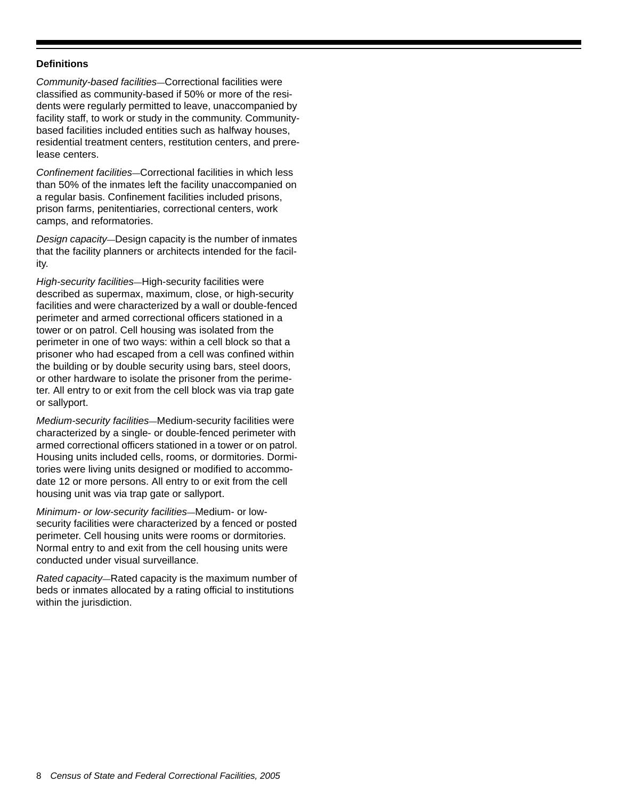#### **Definitions**

*Community-based facilities*—Correctional facilities were classified as community-based if 50% or more of the residents were regularly permitted to leave, unaccompanied by facility staff, to work or study in the community. Communitybased facilities included entities such as halfway houses, residential treatment centers, restitution centers, and prerelease centers.

*Confinement facilities*—Correctional facilities in which less than 50% of the inmates left the facility unaccompanied on a regular basis. Confinement facilities included prisons, prison farms, penitentiaries, correctional centers, work camps, and reformatories.

*Design capacity*—Design capacity is the number of inmates that the facility planners or architects intended for the facility.

*High-security facilities*—High-security facilities were described as supermax, maximum, close, or high-security facilities and were characterized by a wall or double-fenced perimeter and armed correctional officers stationed in a tower or on patrol. Cell housing was isolated from the perimeter in one of two ways: within a cell block so that a prisoner who had escaped from a cell was confined within the building or by double security using bars, steel doors, or other hardware to isolate the prisoner from the perimeter. All entry to or exit from the cell block was via trap gate or sallyport.

*Medium-security facilities*—Medium-security facilities were characterized by a single- or double-fenced perimeter with armed correctional officers stationed in a tower or on patrol. Housing units included cells, rooms, or dormitories. Dormitories were living units designed or modified to accommodate 12 or more persons. All entry to or exit from the cell housing unit was via trap gate or sallyport.

*Minimum- or low-security facilities*—Medium- or lowsecurity facilities were characterized by a fenced or posted perimeter. Cell housing units were rooms or dormitories. Normal entry to and exit from the cell housing units were conducted under visual surveillance.

*Rated capacity*—Rated capacity is the maximum number of beds or inmates allocated by a rating official to institutions within the jurisdiction.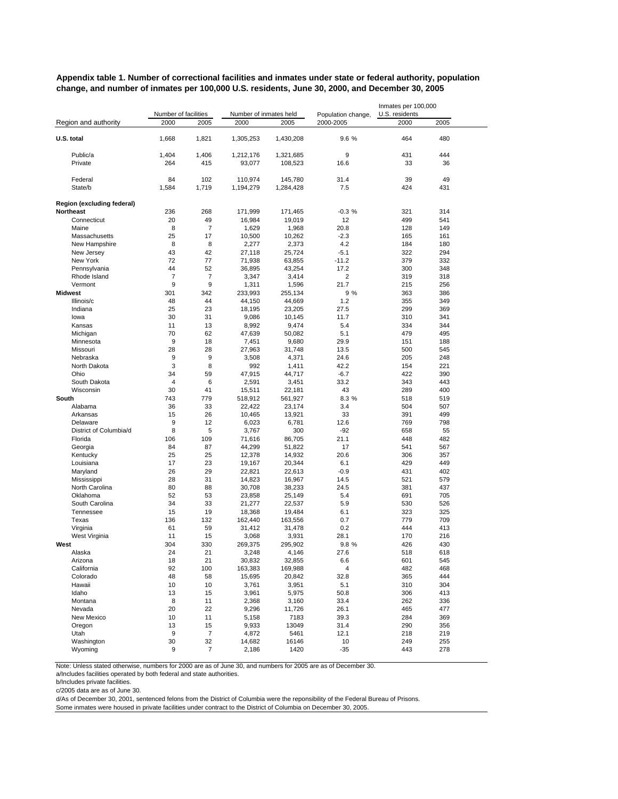**Appendix table 1. Number of correctional facilities and inmates under state or federal authority, population change, and number of inmates per 100,000 U.S. residents, June 30, 2000, and December 30, 2005**

|                            | Number of facilities |                | Number of inmates held |                   | Population change, | Inmates per 100,000<br>U.S. residents |            |  |
|----------------------------|----------------------|----------------|------------------------|-------------------|--------------------|---------------------------------------|------------|--|
| Region and authority       | 2000                 | 2005           | 2000                   | 2005              | 2000-2005          | 2000                                  | 2005       |  |
|                            |                      |                |                        |                   |                    |                                       |            |  |
| U.S. total                 | 1,668                | 1,821          | 1,305,253              | 1,430,208         | 9.6 %              | 464                                   | 480        |  |
|                            |                      |                |                        |                   |                    |                                       |            |  |
| Public/a                   | 1,404                | 1,406          | 1,212,176              | 1,321,685         | 9                  | 431                                   | 444        |  |
| Private                    | 264                  | 415            | 93,077                 | 108,523           | 16.6               | 33                                    | 36         |  |
| Federal                    | 84                   | 102            | 110,974                | 145,780           | 31.4               | 39                                    | 49         |  |
| State/b                    | 1,584                | 1,719          | 1,194,279              | 1,284,428         | 7.5                | 424                                   | 431        |  |
|                            |                      |                |                        |                   |                    |                                       |            |  |
| Region (excluding federal) |                      |                |                        |                   |                    |                                       |            |  |
| <b>Northeast</b>           | 236                  | 268            | 171,999                | 171,465           | $-0.3%$            | 321                                   | 314        |  |
| Connecticut                | 20                   | 49             | 16,984                 | 19,019            | 12                 | 499                                   | 541        |  |
| Maine                      | 8                    | $\overline{7}$ | 1,629                  | 1,968             | 20.8               | 128                                   | 149        |  |
| Massachusetts              | 25                   | 17             | 10,500                 | 10,262            | $-2.3$             | 165                                   | 161        |  |
| New Hampshire              | 8                    | 8              | 2,277                  | 2,373             | 4.2                | 184                                   | 180        |  |
| New Jersey                 | 43                   | 42             | 27,118                 | 25,724            | $-5.1$             | 322                                   | 294        |  |
| New York                   | 72                   | 77             | 71,938                 | 63,855            | $-11.2$            | 379                                   | 332        |  |
| Pennsylvania               | 44<br>$\overline{7}$ | 52<br>7        | 36,895                 | 43,254            | 17.2               | 300<br>319                            | 348<br>318 |  |
| Rhode Island<br>Vermont    | 9                    | 9              | 3,347                  | 3,414             | 2<br>21.7          | 215                                   | 256        |  |
| Midwest                    | 301                  | 342            | 1,311<br>233,993       | 1,596<br>255,134  | 9 %                | 363                                   | 386        |  |
| Illinois/c                 | 48                   | 44             | 44,150                 | 44,669            | 1.2                | 355                                   | 349        |  |
| Indiana                    | 25                   | 23             | 18,195                 | 23,205            | 27.5               | 299                                   | 369        |  |
| lowa                       | 30                   | 31             | 9,086                  | 10,145            | 11.7               | 310                                   | 341        |  |
| Kansas                     | 11                   | 13             | 8,992                  | 9,474             | 5.4                | 334                                   | 344        |  |
| Michigan                   | 70                   | 62             | 47,639                 | 50,082            | 5.1                | 479                                   | 495        |  |
| Minnesota                  | 9                    | 18             | 7,451                  | 9,680             | 29.9               | 151                                   | 188        |  |
| Missouri                   | 28                   | 28             | 27,963                 | 31,748            | 13.5               | 500                                   | 545        |  |
| Nebraska                   | 9                    | 9              | 3,508                  | 4,371             | 24.6               | 205                                   | 248        |  |
| North Dakota               | 3                    | 8              | 992                    | 1,411             | 42.2               | 154                                   | 221        |  |
| Ohio                       | 34                   | 59             | 47,915                 | 44,717            | $-6.7$             | 422                                   | 390        |  |
| South Dakota               | 4                    | 6              | 2,591                  | 3,451             | 33.2               | 343                                   | 443        |  |
| Wisconsin                  | 30<br>743            | 41<br>779      | 15,511                 | 22,181            | 43<br>8.3 %        | 289<br>518                            | 400        |  |
| South<br>Alabama           | 36                   | 33             | 518,912<br>22,422      | 561,927<br>23,174 | 3.4                | 504                                   | 519<br>507 |  |
| Arkansas                   | 15                   | 26             | 10,465                 | 13,921            | 33                 | 391                                   | 499        |  |
| Delaware                   | 9                    | 12             | 6,023                  | 6,781             | 12.6               | 769                                   | 798        |  |
| District of Columbia/d     | 8                    | 5              | 3,767                  | 300               | $-92$              | 658                                   | 55         |  |
| Florida                    | 106                  | 109            | 71,616                 | 86,705            | 21.1               | 448                                   | 482        |  |
| Georgia                    | 84                   | 87             | 44,299                 | 51,822            | 17                 | 541                                   | 567        |  |
| Kentucky                   | 25                   | 25             | 12,378                 | 14,932            | 20.6               | 306                                   | 357        |  |
| Louisiana                  | 17                   | 23             | 19,167                 | 20,344            | 6.1                | 429                                   | 449        |  |
| Maryland                   | 26                   | 29             | 22,821                 | 22,613            | $-0.9$             | 431                                   | 402        |  |
| Mississippi                | 28                   | 31             | 14,823                 | 16,967            | 14.5               | 521                                   | 579        |  |
| North Carolina             | 80                   | 88             | 30,708                 | 38,233            | 24.5               | 381                                   | 437        |  |
| Oklahoma<br>South Carolina | 52<br>34             | 53<br>33       | 23,858<br>21,277       | 25,149<br>22,537  | 5.4<br>5.9         | 691<br>530                            | 705<br>526 |  |
| Tennessee                  | 15                   | 19             | 18,368                 | 19,484            | 6.1                | 323                                   | 325        |  |
| Texas                      | 136                  | 132            | 162,440                | 163,556           | 0.7                | 779                                   | 709        |  |
| Virginia                   | 61                   | 59             | 31,412                 | 31,478            | 0.2                | 444                                   | 413        |  |
| West Virginia              | 11                   | 15             | 3,068                  | 3,931             | 28.1               | 170                                   | 216        |  |
| West                       | 304                  | 330            | 269,375                | 295,902           | 9.8 %              | 426                                   | 430        |  |
| Alaska                     | 24                   | 21             | 3,248                  | 4,146             | 27.6               | 518                                   | 618        |  |
| Arizona                    | 18                   | 21             | 30,832                 | 32,855            | 6.6                | 601                                   | 545        |  |
| California                 | 92                   | 100            | 163,383                | 169,988           | 4                  | 482                                   | 468        |  |
| Colorado                   | 48                   | 58             | 15,695                 | 20,842            | 32.8               | 365                                   | 444        |  |
| Hawaii                     | 10                   | 10             | 3,761                  | 3,951             | 5.1                | 310                                   | 304        |  |
| Idaho                      | 13                   | 15             | 3,961                  | 5,975             | 50.8               | 306                                   | 413        |  |
| Montana<br>Nevada          | 8<br>20              | 11<br>22       | 2,368<br>9,296         | 3,160<br>11,726   | 33.4<br>26.1       | 262<br>465                            | 336<br>477 |  |
| New Mexico                 | 10                   | 11             | 5,158                  | 7183              | 39.3               | 284                                   | 369        |  |
| Oregon                     | 13                   | 15             | 9,933                  | 13049             | 31.4               | 290                                   | 356        |  |
| Utah                       | 9                    | $\overline{7}$ | 4,872                  | 5461              | 12.1               | 218                                   | 219        |  |
| Washington                 | 30                   | 32             | 14,682                 | 16146             | 10                 | 249                                   | 255        |  |
| Wyoming                    | 9                    | $\overline{7}$ | 2,186                  | 1420              | $-35$              | 443                                   | 278        |  |

Note: Unless stated otherwise, numbers for 2000 are as of June 30, and numbers for 2005 are as of December 30.

a/Includes facilities operated by both federal and state authorities.

b/Includes private facilities.

c/2005 data are as of June 30.

d/As of December 30, 2001, sentenced felons from the District of Columbia were the reponsibility of the Federal Bureau of Prisons.

Some inmates were housed in private facilities under contract to the District of Columbia on December 30, 2005.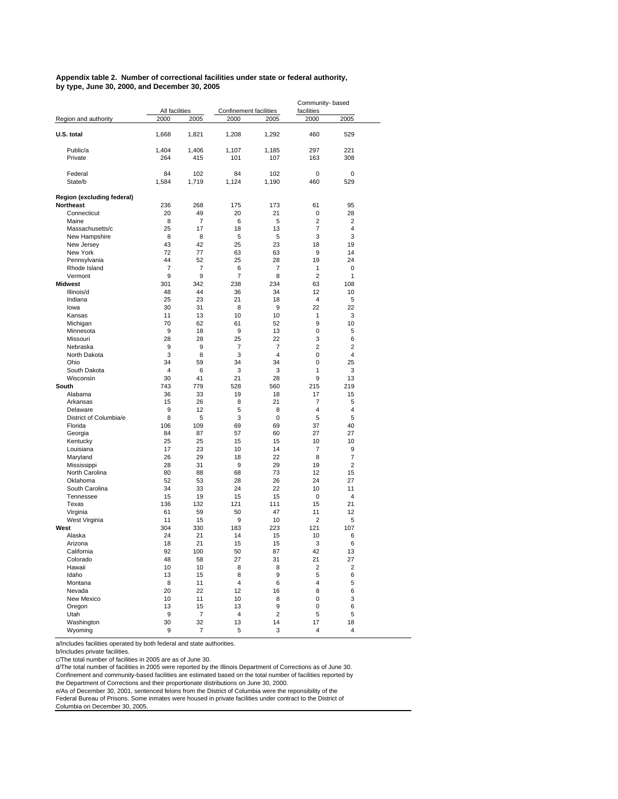**Appendix table 2. Number of correctional facilities under state or federal authority, by type, June 30, 2000, and December 30, 2005**

|                                 | All facilities |                |                                |                         | Community- based<br>facilities |                |
|---------------------------------|----------------|----------------|--------------------------------|-------------------------|--------------------------------|----------------|
| Region and authority            | 2000           | 2005           | Confinement facilities<br>2000 | 2005                    | 2000                           | 2005           |
|                                 |                |                |                                |                         |                                |                |
| U.S. total                      | 1,668          | 1,821          | 1,208                          | 1,292                   | 460                            | 529            |
|                                 |                |                |                                |                         |                                | 221            |
| Public/a<br>Private             | 1,404<br>264   | 1,406<br>415   | 1,107<br>101                   | 1,185<br>107            | 297<br>163                     | 308            |
|                                 |                |                |                                |                         |                                |                |
| Federal                         | 84             | 102            | 84                             | 102                     | 0                              | 0              |
| State/b                         | 1,584          | 1,719          | 1,124                          | 1,190                   | 460                            | 529            |
|                                 |                |                |                                |                         |                                |                |
| Region (excluding federal)      |                |                |                                |                         |                                |                |
| <b>Northeast</b><br>Connecticut | 236<br>20      | 268<br>49      | 175<br>20                      | 173<br>21               | 61<br>0                        | 95<br>28       |
| Maine                           | 8              | $\overline{7}$ | 6                              | 5                       | $\overline{2}$                 | 2              |
| Massachusetts/c                 | 25             | 17             | 18                             | 13                      | $\overline{7}$                 | 4              |
| New Hampshire                   | 8              | 8              | 5                              | 5                       | 3                              | 3              |
| New Jersey                      | 43             | 42             | 25                             | 23                      | 18                             | 19             |
| New York                        | 72             | 77             | 63                             | 63                      | 9                              | 14             |
| Pennsylvania                    | 44             | 52             | 25                             | 28                      | 19                             | 24             |
| Rhode Island                    | $\overline{7}$ | 7              | 6                              | 7                       | 1                              | 0              |
| Vermont                         | 9              | 9              | $\overline{7}$                 | 8                       | $\overline{2}$                 | 1              |
| <b>Midwest</b>                  | 301            | 342            | 238                            | 234                     | 63                             | 108            |
| Illinois/d                      | 48             | 44             | 36                             | 34                      | 12                             | 10             |
| Indiana<br>lowa                 | 25<br>30       | 23<br>31       | 21<br>8                        | 18<br>9                 | $\overline{4}$<br>22           | 5<br>22        |
| Kansas                          | 11             | 13             | 10                             | 10                      | 1                              | 3              |
| Michigan                        | 70             | 62             | 61                             | 52                      | 9                              | 10             |
| Minnesota                       | 9              | 18             | 9                              | 13                      | 0                              | 5              |
| Missouri                        | 28             | 28             | 25                             | 22                      | 3                              | 6              |
| Nebraska                        | 9              | 9              | 7                              | $\overline{7}$          | $\overline{2}$                 | $\overline{2}$ |
| North Dakota                    | 3              | 8              | 3                              | 4                       | 0                              | 4              |
| Ohio                            | 34             | 59             | 34                             | 34                      | 0                              | 25             |
| South Dakota                    | 4              | 6              | 3                              | 3                       | 1                              | 3              |
| Wisconsin                       | 30             | 41             | 21                             | 28                      | 9                              | 13             |
| South                           | 743            | 779            | 528                            | 560                     | 215                            | 219            |
| Alabama                         | 36             | 33             | 19                             | 18                      | 17                             | 15             |
| Arkansas<br>Delaware            | 15<br>9        | 26<br>12       | 8<br>5                         | 21<br>8                 | 7<br>4                         | 5<br>4         |
| District of Columbia/e          | 8              | 5              | 3                              | 0                       | 5                              | 5              |
| Florida                         | 106            | 109            | 69                             | 69                      | 37                             | 40             |
| Georgia                         | 84             | 87             | 57                             | 60                      | 27                             | 27             |
| Kentucky                        | 25             | 25             | 15                             | 15                      | 10                             | 10             |
| Louisiana                       | 17             | 23             | 10                             | 14                      | $\overline{7}$                 | 9              |
| Maryland                        | 26             | 29             | 18                             | 22                      | 8                              | $\overline{7}$ |
| Mississippi                     | 28             | 31             | 9                              | 29                      | 19                             | $\overline{2}$ |
| North Carolina                  | 80             | 88             | 68                             | 73                      | 12                             | 15             |
| Oklahoma                        | 52             | 53             | 28                             | 26                      | 24                             | 27             |
| South Carolina                  | 34             | 33             | 24                             | 22                      | 10<br>0                        | 11             |
| Tennessee<br>Texas              | 15<br>136      | 19<br>132      | 15<br>121                      | 15<br>111               | 15                             | 4<br>21        |
| Virginia                        | 61             | 59             | 50                             | 47                      | 11                             | 12             |
| West Virginia                   | 11             | 15             | 9                              | 10                      | $\overline{2}$                 | 5              |
| West                            | 304            | 330            | 183                            | 223                     | 121                            | 107            |
| Alaska                          | 24             | 21             | 14                             | 15                      | 10                             | 6              |
| Arizona                         | 18             | 21             | 15                             | 15                      | 3                              | 6              |
| California                      | 92             | 100            | 50                             | 87                      | 42                             | 13             |
| Colorado                        | 48             | 58             | 27                             | 31                      | 21                             | 27             |
| Hawaii                          | 10             | 10             | 8                              | 8                       | 2                              | 2              |
| Idaho                           | 13             | 15             | 8                              | 9                       | 5                              | 6              |
| Montana                         | 8              | 11             | 4                              | 6                       | 4                              | 5              |
| Nevada<br>New Mexico            | 20             | 22             | 12                             | 16                      | 8                              | 6              |
| Oregon                          | 10<br>13       | 11<br>15       | 10<br>13                       | 8<br>9                  | 0<br>0                         | 3<br>6         |
| Utah                            | 9              | $\overline{7}$ | 4                              | $\overline{\mathbf{c}}$ | 5                              | 5              |
| Washington                      | 30             | 32             | 13                             | 14                      | 17                             | 18             |
| Wyoming                         | 9              | $\overline{7}$ | 5                              | 3                       | 4                              | 4              |

a/Includes facilities operated by both federal and state authorities.

b/Includes private facilities. c/The total number of facilities in 2005 are as of June 30.

d/The total number of facilities in 2005 were reported by the Illinois Department of Corrections as of June 30. Confinement and community-based facilities are estimated based on the total number of facilities reported by

the Department of Corrections and their proportionate distributions on June 30, 2000.<br>e/As of December 30, 2001, sentenced felons from the District of Columbia were the reponsibility of the<br>Federal Bureau of Prisons. Some

Columbia on December 30, 2005.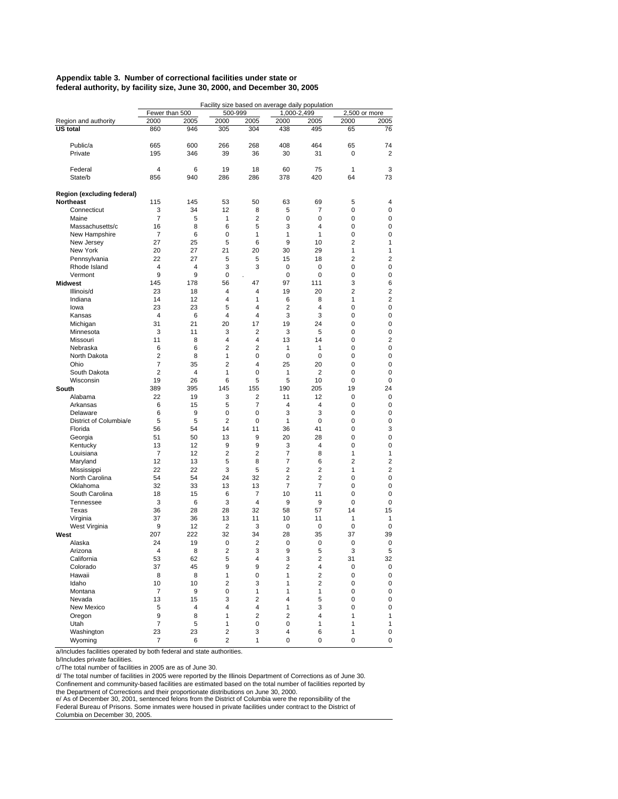#### **Appendix table 3. Number of correctional facilities under state or federal authority, by facility size, June 30, 2000, and December 30, 2005**

|                               | Facility size based on average daily population |          |                         |                |                     |                                  |                  |        |  |  |
|-------------------------------|-------------------------------------------------|----------|-------------------------|----------------|---------------------|----------------------------------|------------------|--------|--|--|
|                               | Fewer than 500                                  |          | 500-999                 |                | 1,000-2,499         |                                  | 2,500 or more    |        |  |  |
| Region and authority          | 2000                                            | 2005     | 2000                    | 2005           | 2000                | 2005                             | 2000             | 2005   |  |  |
| <b>US total</b>               | 860                                             | 946      | 305                     | 304            | 438                 | 495                              | 65               | 76     |  |  |
|                               |                                                 |          |                         |                |                     |                                  |                  |        |  |  |
| Public/a                      | 665                                             | 600      | 266                     | 268            | 408                 | 464                              | 65               | 74     |  |  |
| Private                       | 195                                             | 346      | 39                      | 36             | 30                  | 31                               | 0                | 2      |  |  |
| Federal                       | 4                                               | 6        | 19                      | 18             | 60                  | 75                               | 1                | 3      |  |  |
| State/b                       | 856                                             | 940      | 286                     | 286            | 378                 | 420                              | 64               | 73     |  |  |
|                               |                                                 |          |                         |                |                     |                                  |                  |        |  |  |
| Region (excluding federal)    |                                                 |          |                         |                |                     |                                  |                  |        |  |  |
| <b>Northeast</b>              | 115                                             | 145      | 53                      | 50             | 63                  | 69                               | 5                | 4      |  |  |
| Connecticut                   | 3                                               | 34       | 12                      | 8              | 5                   | 7                                | 0                | 0      |  |  |
| Maine                         | $\overline{7}$                                  | 5        | 1                       | 2              | 0                   | 0                                | 0                | 0      |  |  |
| Massachusetts/c               | 16                                              | 8        | 6                       | 5              | 3                   | 4                                | 0                | 0      |  |  |
| New Hampshire<br>New Jersey   | $\overline{7}$<br>27                            | 6<br>25  | $\mathbf 0$<br>5        | 1<br>6         | 1<br>9              | 1<br>10                          | 0<br>2           | 0<br>1 |  |  |
| New York                      | 20                                              | 27       | 21                      | 20             | 30                  | 29                               | 1                | 1      |  |  |
| Pennsylvania                  | 22                                              | 27       | 5                       | 5              | 15                  | 18                               | $\overline{2}$   | 2      |  |  |
| Rhode Island                  | $\overline{4}$                                  | 4        | 3                       | 3              | 0                   | 0                                | 0                | 0      |  |  |
| Vermont                       | 9                                               | 9        | 0                       |                | 0                   | 0                                | 0                | 0      |  |  |
| <b>Midwest</b>                | 145                                             | 178      | 56                      | 47             | 97                  | 111                              | 3                | 6      |  |  |
| Illinois/d                    | 23                                              | 18       | 4                       | 4              | 19                  | 20                               | 2                | 2      |  |  |
| Indiana                       | 14                                              | 12       | $\overline{4}$          | 1              | 6                   | 8                                | 1                | 2      |  |  |
| lowa                          | 23                                              | 23       | 5                       | 4              | 2                   | 4                                | 0                | 0      |  |  |
| Kansas                        | $\overline{4}$                                  | 6        | $\overline{4}$          | 4              | 3                   | 3                                | 0                | 0      |  |  |
| Michigan                      | 31                                              | 21       | 20                      | 17             | 19                  | 24                               | 0                | 0      |  |  |
| Minnesota                     | 3                                               | 11       | 3                       | 2              | 3                   | 5                                | 0                | 0      |  |  |
| Missouri                      | 11                                              | 8        | $\overline{4}$          | 4              | 13                  | 14                               | 0                | 2      |  |  |
| Nebraska                      | 6                                               | 6        | $\overline{2}$          | $\overline{2}$ | 1                   | 1                                | 0                | 0      |  |  |
| North Dakota                  | $\overline{2}$<br>$\overline{7}$                | 8<br>35  | 1<br>$\overline{2}$     | 0<br>4         | 0<br>25             | 0                                | 0<br>$\mathbf 0$ | 0      |  |  |
| Ohio<br>South Dakota          | $\overline{2}$                                  | 4        | 1                       | 0              | 1                   | 20<br>2                          | 0                | 0<br>0 |  |  |
| Wisconsin                     | 19                                              | 26       | 6                       | 5              | 5                   | 10                               | 0                | 0      |  |  |
| South                         | 389                                             | 395      | 145                     | 155            | 190                 | 205                              | 19               | 24     |  |  |
| Alabama                       | 22                                              | 19       | 3                       | 2              | 11                  | 12                               | 0                | 0      |  |  |
| Arkansas                      | 6                                               | 15       | 5                       | $\overline{7}$ | 4                   | 4                                | 0                | 0      |  |  |
| Delaware                      | 6                                               | 9        | $\mathbf 0$             | 0              | 3                   | 3                                | 0                | 0      |  |  |
| District of Columbia/e        | 5                                               | 5        | $\overline{2}$          | 0              | 1                   | 0                                | 0                | 0      |  |  |
| Florida                       | 56                                              | 54       | 14                      | 11             | 36                  | 41                               | 0                | 3      |  |  |
| Georgia                       | 51                                              | 50       | 13                      | 9              | 20                  | 28                               | 0                | 0      |  |  |
| Kentucky                      | 13                                              | 12       | 9                       | 9              | 3                   | 4                                | 0                | 0      |  |  |
| Louisiana                     | 7                                               | 12       | $\overline{2}$          | $\overline{2}$ | $\overline{7}$      | 8                                | 1                | 1      |  |  |
| Maryland                      | 12                                              | 13       | 5                       | 8              | 7                   | 6                                | $\overline{2}$   | 2      |  |  |
| Mississippi<br>North Carolina | 22<br>54                                        | 22<br>54 | 3<br>24                 | 5<br>32        | $\overline{2}$<br>2 | $\overline{2}$<br>$\overline{2}$ | 1<br>0           | 2<br>0 |  |  |
| Oklahoma                      | 32                                              | 33       | 13                      | 13             | $\overline{7}$      | 7                                | 0                | 0      |  |  |
| South Carolina                | 18                                              | 15       | 6                       | 7              | 10                  | 11                               | 0                | 0      |  |  |
| Tennessee                     | 3                                               | 6        | 3                       | $\overline{4}$ | 9                   | 9                                | 0                | 0      |  |  |
| Texas                         | 36                                              | 28       | 28                      | 32             | 58                  | 57                               | 14               | 15     |  |  |
| Virginia                      | 37                                              | 36       | 13                      | 11             | 10                  | 11                               | 1                | 1      |  |  |
| West Virginia                 | 9                                               | 12       | $\overline{2}$          | 3              | 0                   | 0                                | 0                | 0      |  |  |
| West                          | 207                                             | 222      | 32                      | 34             | 28                  | 35                               | 37               | 39     |  |  |
| Alaska                        | 24                                              | 19       | 0                       | 2              | 0                   | 0                                | 0                | 0      |  |  |
| Arizona                       | 4                                               | 8        | $\overline{c}$          | 3              | 9                   | 5                                | 3                | 5      |  |  |
| California                    | 53                                              | 62       | $\mathbf 5$             | 4              | 3                   | $\overline{\mathbf{c}}$          | 31               | 32     |  |  |
| Colorado                      | 37                                              | 45       | 9                       | 9              | 2                   | 4                                | 0                | 0      |  |  |
| Hawaii<br>Idaho               | 8                                               | 8        | 1                       | 0              | 1                   | $\overline{2}$                   | 0                | 0      |  |  |
| Montana                       | 10<br>7                                         | 10<br>9  | $\overline{2}$<br>0     | 3<br>1         | 1<br>1              | $\overline{\mathbf{c}}$<br>1     | 0<br>0           | 0<br>0 |  |  |
| Nevada                        | 13                                              | 15       | 3                       | $\overline{2}$ | 4                   | 5                                | 0                | 0      |  |  |
| New Mexico                    | 5                                               | 4        | 4                       | 4              | 1                   | 3                                | 0                | 0      |  |  |
| Oregon                        | 9                                               | 8        | $\mathbf{1}$            | $\overline{2}$ | 2                   | 4                                | 1                | 1      |  |  |
| Utah                          | $\overline{7}$                                  | 5        | 1                       | 0              | 0                   | 1                                | 1                | 1      |  |  |
| Washington                    | 23                                              | 23       | $\overline{\mathbf{c}}$ | 3              | 4                   | 6                                | 1                | 0      |  |  |
| Wyoming                       | 7                                               | 6        | $\overline{2}$          | 1              | 0                   | 0                                | 0                | 0      |  |  |

a/Includes facilities operated by both federal and state authorities.

b/Includes private facilities.

c/The total number of facilities in 2005 are as of June 30.

d/ The total number of facilities in 2005 were reported by the Illinois Department of Corrections as of June 30. Confinement and community-based facilities are estimated based on the total number of facilities reported by

the Department of Corrections and their proportionate distributions on June 30, 2000.

e/ As of December 30, 2001, sentenced felons from the District of Columbia were the reponsibility of the Federal Bureau of Prisons. Some inmates were housed in private facilities under contract to the District of

Columbia on December 30, 2005.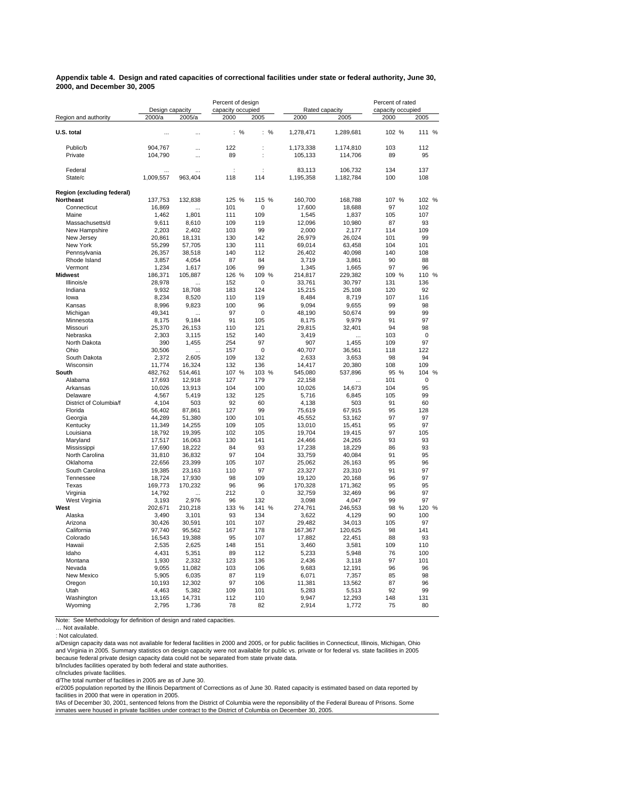#### **Appendix table 4. Design and rated capacities of correctional facilities under state or federal authority, June 30, 2000, and December 30, 2005**

|                            |                   |                    | Percent of design |                      |                   |                  | Percent of rated<br>capacity occupied |                   |  |
|----------------------------|-------------------|--------------------|-------------------|----------------------|-------------------|------------------|---------------------------------------|-------------------|--|
|                            | Design capacity   |                    | capacity occupied |                      | Rated capacity    |                  |                                       |                   |  |
| Region and authority       | 2000/a            | 2005/a             | 2000              | 2005                 | 2000              | 2005             | 2000                                  | 2005              |  |
| U.S. total                 | $\ddotsc$         | $\ddotsc$          | : %               | : %                  | 1,278,471         | 1,289,681        | 102 %                                 | 111 %             |  |
| Public/b                   | 904,767           |                    | 122               |                      | 1,173,338         | 1,174,810        | 103                                   | 112               |  |
| Private                    | 104,790           | $\ddotsc$          | 89                | $\ddot{\phantom{a}}$ | 105,133           | 114,706          | 89                                    | 95                |  |
| Federal                    |                   |                    | ÷                 | ÷                    | 83,113            | 106,732          | 134                                   | 137               |  |
| State/c                    | 1,009,557         | 963,404            | 118               | 114                  | 1,195,358         | 1,182,784        | 100                                   | 108               |  |
| Region (excluding federal) |                   |                    |                   |                      |                   |                  |                                       |                   |  |
| <b>Northeast</b>           | 137,753           | 132.838            | 125 %             | 115 %                | 160,700           | 168,788          | 107 %                                 | 102 %             |  |
| Connecticut<br>Maine       | 16,869<br>1,462   | $\ddotsc$<br>1,801 | 101<br>111        | 0<br>109             | 17,600<br>1,545   | 18,688<br>1,837  | 97<br>105                             | 102<br>107        |  |
| Massachusetts/d            | 9,611             | 8,610              | 109               | 119                  | 12,096            | 10,980           | 87                                    | 93                |  |
| New Hampshire              | 2,203             | 2,402              | 103               | 99                   | 2,000             | 2,177            | 114                                   | 109               |  |
| New Jersey                 | 20.861            | 18.131             | 130               | 142                  | 26.979            | 26.024           | 101                                   | 99                |  |
| New York                   | 55,299            | 57,705             | 130               | 111                  | 69,014            | 63,458           | 104                                   | 101               |  |
| Pennsylvania               | 26,357            | 38,518             | 140               | 112                  | 26,402            | 40,098           | 140                                   | 108               |  |
| Rhode Island               | 3,857             | 4,054              | 87                | 84                   | 3,719             | 3,861            | 90                                    | 88                |  |
| Vermont                    | 1,234             | 1,617              | 106               | 99                   | 1,345             | 1,665            | 97                                    | 96                |  |
| <b>Midwest</b>             | 186,371           | 105,887            | 126 %             | 109<br>%             | 214,817           | 229,382          | 109 %                                 | 110 %             |  |
| Illinois/e<br>Indiana      | 28,978            | 18,708             | 152<br>183        | $\mathbf 0$<br>124   | 33,761            | 30,797           | 131<br>120                            | 136<br>92         |  |
| lowa                       | 9,932<br>8,234    | 8,520              | 110               | 119                  | 15,215<br>8,484   | 25,108<br>8,719  | 107                                   | 116               |  |
| Kansas                     | 8,996             | 9,823              | 100               | 96                   | 9,094             | 9,655            | 99                                    | 98                |  |
| Michigan                   | 49,341            |                    | 97                | 0                    | 48,190            | 50,674           | 99                                    | 99                |  |
| Minnesota                  | 8,175             | 9,184              | 91                | 105                  | 8,175             | 9,979            | 91                                    | 97                |  |
| Missouri                   | 25,370            | 26,153             | 110               | 121                  | 29,815            | 32,401           | 94                                    | 98                |  |
| Nebraska                   | 2.303             | 3.115              | 152               | 140                  | 3.419             |                  | 103                                   | 0                 |  |
| North Dakota               | 390               | 1,455              | 254               | 97                   | 907               | 1,455            | 109                                   | 97                |  |
| Ohio                       | 30,506            | $\ddotsc$          | 157               | 0                    | 40,707            | 36,561           | 118                                   | 122               |  |
| South Dakota               | 2,372             | 2.605              | 109               | 132                  | 2.633             | 3,653            | 98                                    | 94                |  |
| Wisconsin                  | 11,774            | 16,324             | 132               | 136                  | 14,417            | 20,380           | 108                                   | 109               |  |
| South<br>Alabama           | 482,762<br>17,693 | 514,461<br>12,918  | 107 %<br>127      | 103 %<br>179         | 545,080<br>22,158 | 537,896          | 95 %<br>101                           | 104 %<br>$\Omega$ |  |
| Arkansas                   | 10,026            | 13,913             | 104               | 100                  | 10,026            | 14,673           | 104                                   | 95                |  |
| Delaware                   | 4,567             | 5.419              | 132               | 125                  | 5,716             | 6.845            | 105                                   | 99                |  |
| District of Columbia/f     | 4,104             | 503                | 92                | 60                   | 4,138             | 503              | 91                                    | 60                |  |
| Florida                    | 56,402            | 87,861             | 127               | 99                   | 75,619            | 67,915           | 95                                    | 128               |  |
| Georgia                    | 44,289            | 51,380             | 100               | 101                  | 45,552            | 53,162           | 97                                    | 97                |  |
| Kentucky                   | 11,349            | 14,255             | 109               | 105                  | 13,010            | 15,451           | 95                                    | 97                |  |
| Louisiana                  | 18,792            | 19,395             | 102               | 105                  | 19,704            | 19,415           | 97                                    | 105               |  |
| Maryland                   | 17,517            | 16,063             | 130               | 141                  | 24,466            | 24,265           | 93                                    | 93                |  |
| Mississippi                | 17,690            | 18,222             | 84                | 93                   | 17,238            | 18,229           | 86                                    | 93                |  |
| North Carolina<br>Oklahoma | 31,810<br>22,656  | 36.832<br>23,399   | 97<br>105         | 104<br>107           | 33,759<br>25,062  | 40.084<br>26,163 | 91<br>95                              | 95<br>96          |  |
| South Carolina             | 19,385            | 23,163             | 110               | 97                   | 23,327            | 23,310           | 91                                    | 97                |  |
| Tennessee                  | 18,724            | 17,930             | 98                | 109                  | 19,120            | 20,168           | 96                                    | 97                |  |
| Texas                      | 169,773           | 170,232            | 96                | 96                   | 170,328           | 171,362          | 95                                    | 95                |  |
| Virginia                   | 14,792            |                    | 212               | $\mathbf 0$          | 32,759            | 32,469           | 96                                    | 97                |  |
| West Virginia              | 3,193             | 2,976              | 96                | 132                  | 3,098             | 4,047            | 99                                    | 97                |  |
| West                       | 202,671           | 210,218            | 133 %             | 141<br>%             | 274,761           | 246,553          | 98<br>%                               | 120 %             |  |
| Alaska                     | 3,490             | 3,101              | 93                | 134                  | 3,622             | 4,129            | 90                                    | 100               |  |
| Arizona                    | 30,426            | 30,591             | 101               | 107                  | 29,482            | 34,013           | 105                                   | 97                |  |
| California                 | 97,740            | 95,562             | 167               | 178                  | 167,367           | 120,625          | 98                                    | 141               |  |
| Colorado                   | 16,543            | 19,388             | 95<br>148         | 107<br>151           | 17,882            | 22,451           | 88<br>109                             | 93<br>110         |  |
| Hawaii<br>Idaho            | 2,535<br>4.431    | 2,625<br>5,351     | 89                | 112                  | 3,460<br>5,233    | 3,581<br>5.948   | 76                                    | 100               |  |
| Montana                    | 1,930             | 2,332              | 123               | 136                  | 2,436             | 3,118            | 97                                    | 101               |  |
| Nevada                     | 9,055             | 11,082             | 103               | 106                  | 9,683             | 12,191           | 96                                    | 96                |  |
| New Mexico                 | 5,905             | 6,035              | 87                | 119                  | 6,071             | 7,357            | 85                                    | 98                |  |
| Oregon                     | 10,193            | 12,302             | 97                | 106                  | 11,381            | 13,562           | 87                                    | 96                |  |
| Utah                       | 4,463             | 5,382              | 109               | 101                  | 5,283             | 5,513            | 92                                    | 99                |  |
| Washington                 | 13,165            | 14,731             | 112               | 110                  | 9,947             | 12,293           | 148                                   | 131               |  |
| Wyoming                    | 2,795             | 1,736              | 78                | 82                   | 2,914             | 1,772            | 75                                    | 80                |  |

Note: See Methodology for definition of design and rated capacities.

: Not calculated.

a/Design capacity data was not available for federal facilities in 2000 and 2005, or for public facilities in Connecticut, Illinois, Michigan, Ohio<br>and Virginia in 2005. Summary statistics on design capacity were not avail

b/Includes facilities operated by both federal and state authorities.

c/Includes private facilities.

d/The total number of facilities in 2005 are as of June 30.

e/2005 population reported by the Illinois Department of Corrections as of June 30. Rated capacity is estimated based on data reported by facilities in 2000 that were in operation in 2005.

f/As of December 30, 2001, sentenced felons from the District of Columbia were the reponsibility of the Federal Bureau of Prisons. Some inmates were housed in private facilities under contract to the District of Columbia on December 30, 2005.

<sup>…</sup> Not available.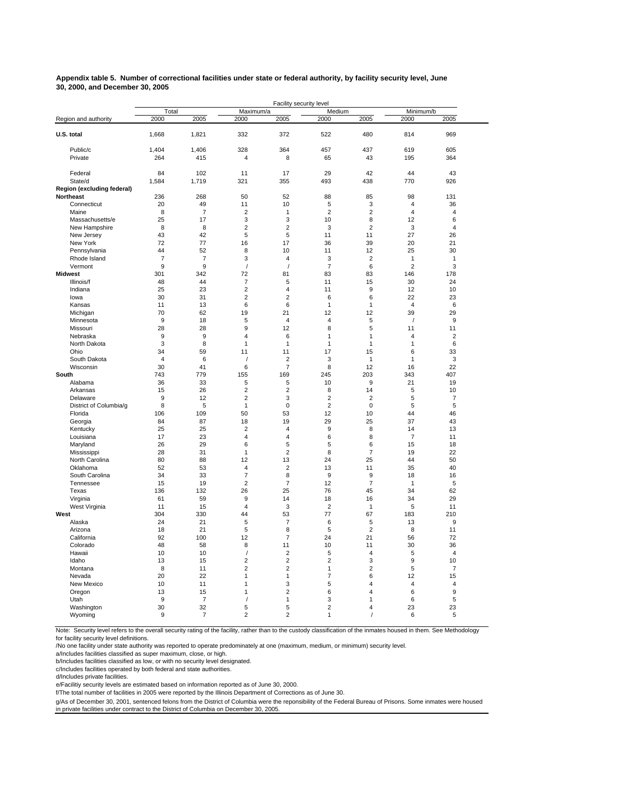#### **Appendix table 5. Number of correctional facilities under state or federal authority, by facility security level, June 30, 2000, and December 30, 2005**

|                            |                |                      |                      | Facility security level       |                     |                         |                              |                      |  |
|----------------------------|----------------|----------------------|----------------------|-------------------------------|---------------------|-------------------------|------------------------------|----------------------|--|
|                            | Total          |                      | Maximum/a            |                               | Medium              |                         | Minimum/b                    |                      |  |
| Region and authority       | 2000           | 2005                 | 2000                 | 2005                          | 2000                | 2005                    | 2000                         | 2005                 |  |
| U.S. total                 | 1,668          | 1,821                | 332                  | 372                           | 522                 | 480                     | 814                          | 969                  |  |
| Public/c                   | 1.404          | 1.406                | 328                  | 364                           | 457                 | 437                     | 619                          | 605                  |  |
| Private                    | 264            | 415                  | 4                    | 8                             | 65                  | 43                      | 195                          | 364                  |  |
| Federal                    | 84             | 102                  | 11                   | 17                            | 29                  | 42                      | 44                           | 43                   |  |
| State/d                    | 1,584          | 1,719                | 321                  | 355                           | 493                 | 438                     | 770                          | 926                  |  |
| Region (excluding federal) |                |                      |                      |                               |                     |                         |                              |                      |  |
| Northeast                  | 236            | 268                  | 50                   | 52                            | 88                  | 85                      | 98                           | 131                  |  |
| Connecticut<br>Maine       | 20<br>8        | 49<br>$\overline{7}$ | 11<br>$\overline{2}$ | 10<br>$\mathbf{1}$            | 5<br>$\overline{2}$ | 3<br>$\overline{2}$     | 4<br>$\overline{\mathbf{4}}$ | 36<br>4              |  |
| Massachusetts/e            | 25             | 17                   | 3                    | 3                             | 10                  | 8                       | 12                           | 6                    |  |
| New Hampshire              | 8              | 8                    | $\overline{2}$       | $\overline{2}$                | 3                   | $\overline{2}$          | 3                            | $\overline{4}$       |  |
| New Jersey                 | 43             | 42                   | 5                    | 5                             | 11                  | 11                      | 27                           | 26                   |  |
| New York                   | 72             | 77                   | 16                   | 17                            | 36                  | 39                      | 20                           | 21                   |  |
| Pennsylvania               | 44             | 52                   | 8                    | 10                            | 11                  | 12                      | 25                           | 30                   |  |
| Rhode Island               | $\overline{7}$ | 7                    | 3                    | $\sqrt{4}$                    | 3                   | $\overline{2}$          | 1                            | 1                    |  |
| Vermont                    | 9              | $\overline{9}$       | $\sqrt{\phantom{a}}$ | $\prime$                      | $\overline{7}$      | 6                       | $\overline{2}$               | 3                    |  |
| <b>Midwest</b>             | 301            | 342                  | 72                   | 81                            | 83                  | 83                      | 146                          | 178                  |  |
| Illinois/f                 | 48             | 44                   | $\overline{7}$       | 5                             | 11                  | 15                      | 30                           | 24                   |  |
| Indiana                    | 25             | 23                   | $\overline{2}$       | $\sqrt{4}$                    | 11                  | 9                       | 12                           | 10                   |  |
| lowa                       | 30             | 31                   | $\overline{2}$       | $\overline{2}$                | 6                   | 6                       | 22                           | 23                   |  |
| Kansas                     | 11             | 13                   | 6                    | 6                             | 1                   | 1                       | $\overline{\mathbf{4}}$      | 6                    |  |
| Michigan                   | 70             | 62                   | 19                   | 21                            | 12                  | 12                      | 39                           | 29                   |  |
| Minnesota                  | 9              | 18                   | 5                    | $\overline{4}$                | 4                   | 5                       | $\prime$                     | 9                    |  |
| Missouri                   | 28             | 28<br>9              | 9<br>4               | 12<br>6                       | 8<br>$\mathbf{1}$   | 5<br>$\mathbf{1}$       | 11<br>$\overline{4}$         | 11                   |  |
| Nebraska                   | 9<br>3         | 8                    | 1                    | $\mathbf{1}$                  | 1                   | 1                       | 1                            | $\overline{2}$<br>6  |  |
| North Dakota<br>Ohio       | 34             | 59                   | 11                   | 11                            | 17                  | 15                      | 6                            | 33                   |  |
| South Dakota               | 4              | 6                    | 1                    | $\overline{2}$                | 3                   | 1                       | 1                            | 3                    |  |
| Wisconsin                  | 30             | 41                   | 6                    | 7                             | 8                   | 12                      | 16                           | 22                   |  |
| South                      | 743            | 779                  | 155                  | 169                           | 245                 | 203                     | 343                          | 407                  |  |
| Alabama                    | 36             | 33                   | 5                    | 5                             | 10                  | 9                       | 21                           | 19                   |  |
| Arkansas                   | 15             | 26                   | $\overline{2}$       | $\overline{2}$                | 8                   | 14                      | 5                            | 10                   |  |
| Delaware                   | 9              | 12                   | $\overline{c}$       | 3                             | $\overline{c}$      | $\overline{\mathbf{c}}$ | 5                            | $\overline{7}$       |  |
| District of Columbia/g     | 8              | 5                    | 1                    | 0                             | 2                   | 0                       | 5                            | 5                    |  |
| Florida                    | 106            | 109                  | 50                   | 53                            | 12                  | 10                      | 44                           | 46                   |  |
| Georgia                    | 84             | 87                   | 18                   | 19                            | 29                  | 25                      | 37                           | 43                   |  |
| Kentucky                   | 25             | 25                   | $\overline{2}$       | $\overline{4}$                | 9                   | 8                       | 14                           | 13                   |  |
| Louisiana                  | 17             | 23                   | 4                    | $\sqrt{4}$                    | 6                   | 8                       | $\overline{7}$               | 11                   |  |
| Maryland<br>Mississippi    | 26<br>28       | 29<br>31             | 6<br>1               | 5<br>$\overline{2}$           | 5<br>8              | 6<br>$\overline{7}$     | 15<br>19                     | 18<br>22             |  |
| North Carolina             | 80             | 88                   | 12                   | 13                            | 24                  | 25                      | 44                           | 50                   |  |
| Oklahoma                   | 52             | 53                   | 4                    | $\boldsymbol{2}$              | 13                  | 11                      | 35                           | 40                   |  |
| South Carolina             | 34             | 33                   | $\overline{7}$       | 8                             | 9                   | 9                       | 18                           | 16                   |  |
| Tennessee                  | 15             | 19                   | $\overline{2}$       | $\overline{7}$                | 12                  | $\overline{7}$          | 1                            | 5                    |  |
| Texas                      | 136            | 132                  | 26                   | 25                            | 76                  | 45                      | 34                           | 62                   |  |
| Virginia                   | 61             | 59                   | 9                    | 14                            | 18                  | 16                      | 34                           | 29                   |  |
| West Virginia              | 11             | 15                   | $\sqrt{4}$           | 3                             | $\overline{2}$      | 1                       | 5                            | 11                   |  |
| West                       | 304            | 330                  | 44                   | 53                            | 77                  | 67                      | 183                          | 210                  |  |
| Alaska                     | 24             | 21                   | 5                    | 7                             | 6                   | 5                       | 13                           | 9                    |  |
| Arizona                    | 18             | 21                   | 5                    | 8                             | 5                   | $\overline{2}$          | 8                            | 11                   |  |
| California                 | 92             | 100                  | 12                   | $\overline{7}$                | 24                  | 21                      | 56                           | 72                   |  |
| Colorado<br>Hawaii         | 48<br>10       | 58<br>10             | 8<br>$\prime$        | 11<br>$\overline{\mathbf{c}}$ | 10<br>5             | 11<br>4                 | 30<br>5                      | 36<br>$\overline{4}$ |  |
| Idaho                      | 13             | 15                   | $\overline{2}$       | $\mathbf 2$                   | $\overline{c}$      | 3                       | 9                            | 10                   |  |
| Montana                    | 8              | 11                   | $\overline{2}$       | $\overline{2}$                | 1                   | $\overline{2}$          | 5                            | 7                    |  |
| Nevada                     | 20             | 22                   | 1                    | $\mathbf{1}$                  | 7                   | 6                       | 12                           | 15                   |  |
| New Mexico                 | 10             | 11                   | 1                    | 3                             | 5                   | 4                       | 4                            | 4                    |  |
| Oregon                     | 13             | 15                   | 1                    | $\overline{2}$                | 6                   | $\overline{4}$          | 6                            | 9                    |  |
| Utah                       | 9              | $\overline{7}$       | $\prime$             | $\mathbf{1}$                  | 3                   | 1                       | 6                            | 5                    |  |
| Washington                 | 30             | 32                   | 5                    | 5                             | $\overline{2}$      | 4                       | 23                           | 23                   |  |
| Wyoming                    | 9              | $\overline{7}$       | $\overline{c}$       | $\overline{c}$                | 1                   | $\prime$                | 6                            | 5                    |  |

Note: Security level refers to the overall security rating of the facility, rather than to the custody classification of the inmates housed in them. See Methodology for facility security level definitions.

/No one facility under state authority was reported to operate predominately at one (maximum, medium, or minimum) security level.

a/Includes facilities classified as super maximum, close, or high.

b/Includes facilities classified as low, or with no security level designated.

c/Includes facilities operated by both federal and state authorities.

d/Includes private facilities.

e/Facilitiy security levels are estimated based on information reported as of June 30, 2000.

f/The total number of facilities in 2005 were reported by the Illinois Department of Corrections as of June 30.

g/As of December 30, 2001, sentenced felons from the District of Columbia were the reponsibility of the Federal Bureau of Prisons. Some inmates were housed in private facilities under contract to the District of Columbia on December 30, 2005.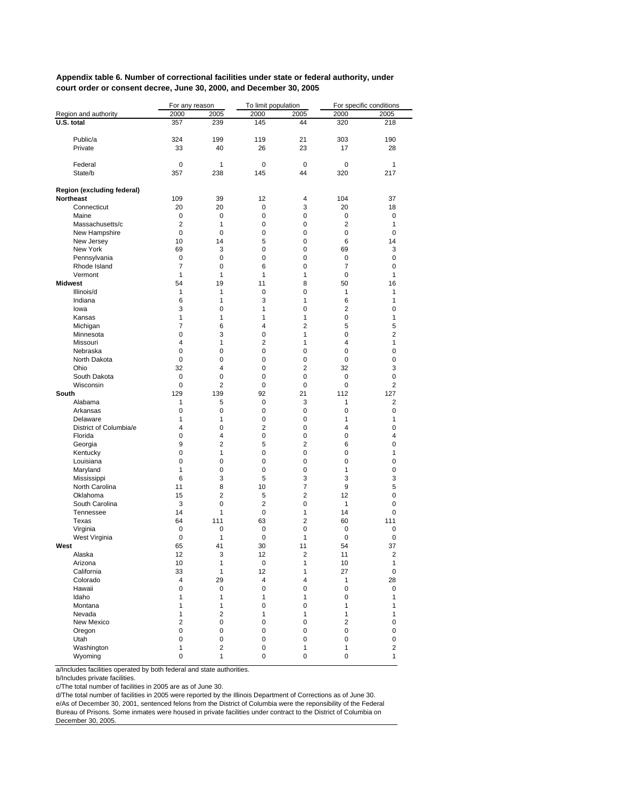**Appendix table 6. Number of correctional facilities under state or federal authority, under court order or consent decree, June 30, 2000, and December 30, 2005**

|                            | For any reason     |                | To limit population |                   |                    | For specific conditions |
|----------------------------|--------------------|----------------|---------------------|-------------------|--------------------|-------------------------|
| Region and authority       | 2000               | 2005           | 2000                | 2005              | 2000               | 2005                    |
| U.S. total                 | 357                | 239            | 145                 | 44                | 320                | 218                     |
|                            |                    |                |                     |                   |                    |                         |
| Public/a                   | 324                | 199            | 119                 | 21                | 303                | 190                     |
| Private                    | 33                 | 40             | 26                  | 23                | 17                 | 28                      |
|                            |                    |                |                     |                   |                    |                         |
| Federal<br>State/b         | $\mathbf 0$<br>357 | 1<br>238       | $\mathbf 0$<br>145  | $\mathbf 0$<br>44 | 0<br>320           | 1<br>217                |
|                            |                    |                |                     |                   |                    |                         |
| Region (excluding federal) |                    |                |                     |                   |                    |                         |
| <b>Northeast</b>           | 109                | 39             | 12                  | 4                 | 104                | 37                      |
| Connecticut                | 20                 | 20             | 0                   | 3                 | 20                 | 18                      |
| Maine                      | 0                  | 0              | 0                   | 0                 | 0                  | 0                       |
| Massachusetts/c            | $\overline{2}$     | 1              | 0                   | 0                 | 2                  | 1                       |
| New Hampshire              | $\mathbf 0$        | $\mathbf 0$    | 0                   | 0                 | $\mathbf 0$        | 0                       |
| New Jersey                 | 10                 | 14             | 5                   | 0                 | 6                  | 14                      |
| New York                   | 69                 | 3              | 0                   | 0                 | 69                 | 3                       |
| Pennsylvania               | 0                  | 0              | 0                   | 0                 | 0                  | 0                       |
| Rhode Island               | 7                  | 0              | 6                   | 0                 | 7                  | 0                       |
| Vermont                    | $\mathbf{1}$       | $\mathbf{1}$   | 1                   | 1                 | $\mathbf 0$        | 1                       |
| <b>Midwest</b>             | 54                 | 19             | 11                  | 8                 | 50                 | 16                      |
| Illinois/d                 | 1                  | 1              | $\mathbf 0$         | 0                 | $\mathbf{1}$       | 1                       |
| Indiana                    | 6                  | 1              | 3                   | 1                 | 6                  | 1                       |
| lowa                       | 3                  | 0              | 1                   | 0                 | 2                  | 0                       |
| Kansas                     | 1<br>7             | $\mathbf{1}$   | 1<br>$\overline{4}$ | 1<br>2            | $\mathbf 0$        | 1                       |
| Michigan                   | 0                  | 6<br>3         | 0                   | 1                 | 5<br>0             | 5<br>$\overline{2}$     |
| Minnesota<br>Missouri      | 4                  | $\mathbf{1}$   | $\overline{2}$      | 1                 | 4                  | 1                       |
| Nebraska                   | 0                  | 0              | 0                   | 0                 | 0                  | 0                       |
| North Dakota               | $\mathbf 0$        | 0              | 0                   | 0                 | $\mathbf 0$        | 0                       |
| Ohio                       | 32                 | 4              | 0                   | $\overline{2}$    | 32                 | 3                       |
| South Dakota               | 0                  | 0              | 0                   | 0                 | 0                  | 0                       |
| Wisconsin                  | 0                  | $\overline{2}$ | 0                   | 0                 | 0                  | 2                       |
| South                      | 129                | 139            | 92                  | 21                | 112                | 127                     |
| Alabama                    | 1                  | 5              | 0                   | 3                 | 1                  | 2                       |
| Arkansas                   | 0                  | 0              | 0                   | 0                 | 0                  | 0                       |
| Delaware                   | 1                  | $\mathbf{1}$   | 0                   | 0                 | $\mathbf{1}$       | 1                       |
| District of Columbia/e     | 4                  | 0              | $\overline{2}$      | 0                 | 4                  | 0                       |
| Florida                    | 0                  | 4              | 0                   | 0                 | 0                  | 4                       |
| Georgia                    | 9                  | $\overline{2}$ | 5                   | $\overline{2}$    | 6                  | 0                       |
| Kentucky                   | 0                  | $\mathbf{1}$   | 0                   | 0                 | 0                  | 1                       |
| Louisiana                  | 0                  | 0              | 0                   | 0                 | 0                  | 0                       |
| Maryland                   | 1                  | 0              | 0                   | 0                 | $\mathbf{1}$       | 0                       |
| Mississippi                | 6                  | 3              | 5                   | 3                 | 3                  | 3                       |
| North Carolina             | 11                 | 8              | 10                  | $\overline{7}$    | 9                  | 5                       |
| Oklahoma                   | 15                 | $\overline{2}$ | 5                   | 2                 | 12                 | 0                       |
| South Carolina             | 3<br>14            | 0<br>1         | $\overline{2}$<br>0 | 0<br>$\mathbf{1}$ | $\mathbf{1}$<br>14 | 0<br>0                  |
| Tennessee<br>Texas         | 64                 | 111            | 63                  | 2                 | 60                 | 111                     |
| Virginia                   | 0                  | 0              | 0                   | 0                 | 0                  | 0                       |
| West Virginia              | 0                  | 1              | 0                   | 1                 | 0                  | 0                       |
| West                       | 65                 | 41             | 30                  | 11                | 54                 | 37                      |
| Alaska                     | 12                 | 3              | 12                  | 2                 | 11                 | 2                       |
| Arizona                    | 10                 | 1              | 0                   | 1                 | 10                 | 1                       |
| California                 | 33                 | 1              | 12                  | $\mathbf{1}$      | 27                 | 0                       |
| Colorado                   | 4                  | 29             | 4                   | 4                 | $\mathbf{1}$       | 28                      |
| Hawaii                     | 0                  | $\pmb{0}$      | 0                   | $\pmb{0}$         | $\pmb{0}$          | 0                       |
| Idaho                      | 1                  | 1              | 1                   | 1                 | $\pmb{0}$          | 1                       |
| Montana                    | 1                  | 1              | 0                   | 0                 | $\mathbf{1}$       | 1                       |
| Nevada                     | 1                  | 2              | $\mathbf{1}$        | $\mathbf{1}$      | $\mathbf{1}$       | 1                       |
| New Mexico                 | 2                  | $\pmb{0}$      | 0                   | 0                 | 2                  | 0                       |
| Oregon                     | 0                  | 0              | 0                   | $\pmb{0}$         | 0                  | 0                       |
| Utah                       | 0                  | 0              | 0                   | $\pmb{0}$         | $\pmb{0}$          | 0                       |
| Washington                 | $\mathbf{1}$       | 2              | 0                   | $\mathbf{1}$      | 1                  | 2                       |
| Wyoming                    | 0                  | $\mathbf{1}$   | 0                   | 0                 | 0                  | $\mathbf{1}$            |

a/Includes facilities operated by both federal and state authorities.

b/Includes private facilities.

c/The total number of facilities in 2005 are as of June 30.

d/The total number of facilities in 2005 were reported by the Illinois Department of Corrections as of June 30.

e/As of December 30, 2001, sentenced felons from the District of Columbia were the reponsibility of the Federal Bureau of Prisons. Some inmates were housed in private facilities under contract to the District of Columbia on December 30, 2005.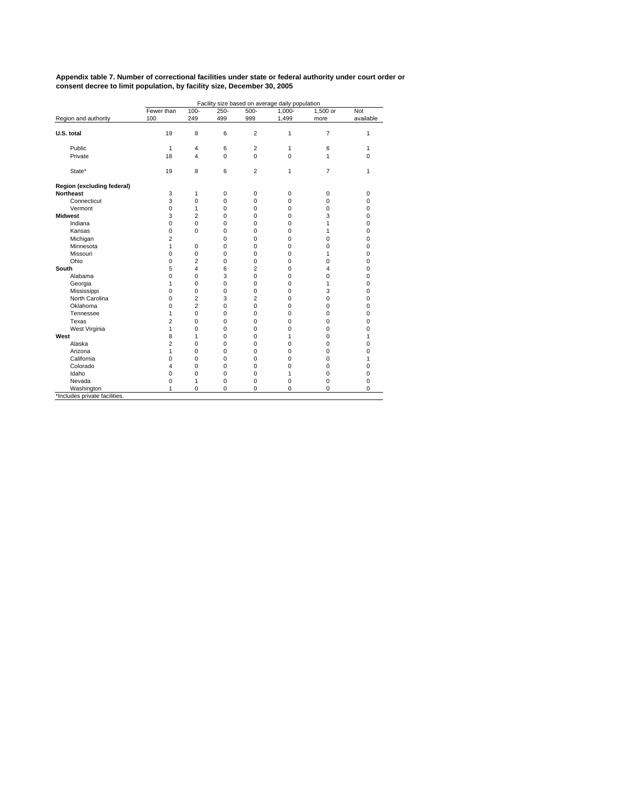|                               | Facility size based on average daily population |                |             |                |           |                |             |  |  |  |
|-------------------------------|-------------------------------------------------|----------------|-------------|----------------|-----------|----------------|-------------|--|--|--|
|                               | Fewer than                                      | $100 -$        | $250 -$     | $500 -$        | $1.000 -$ | 1,500 or       | Not         |  |  |  |
| Region and authority          | 100                                             | 249            | 499         | 999            | 1,499     | more           | available   |  |  |  |
| U.S. total                    | 19                                              | 8              | 6           | $\overline{2}$ | 1         | $\overline{7}$ | 1           |  |  |  |
| Public                        | 1                                               | 4              | 6           | $\overline{2}$ | 1         | 6              | 1           |  |  |  |
| Private                       | 18                                              | 4              | 0           | 0              | 0         | 1              | 0           |  |  |  |
| State*                        | 19                                              | 8              | 6           | $\overline{2}$ | 1         | $\overline{7}$ | 1           |  |  |  |
| Region (excluding federal)    |                                                 |                |             |                |           |                |             |  |  |  |
| <b>Northeast</b>              | 3                                               | 1              | $\mathbf 0$ | 0              | 0         | 0              | 0           |  |  |  |
| Connecticut                   | 3                                               | 0              | $\mathbf 0$ | 0              | 0         | 0              | $\mathbf 0$ |  |  |  |
| Vermont                       | 0                                               | 1              | 0           | 0              | 0         | 0              | 0           |  |  |  |
| <b>Midwest</b>                | 3                                               | $\overline{2}$ | 0           | $\mathbf 0$    | 0         | 3              | 0           |  |  |  |
| Indiana                       | $\mathbf 0$                                     | 0              | 0           | $\mathbf 0$    | 0         | 1              | 0           |  |  |  |
| Kansas                        | $\mathbf 0$                                     | 0              | 0           | $\mathbf 0$    | 0         | 1              | 0           |  |  |  |
| Michigan                      | $\overline{2}$                                  |                | 0           | 0              | 0         | 0              | 0           |  |  |  |
| Minnesota                     | 1                                               | 0              | 0           | $\mathbf 0$    | 0         | 0              | 0           |  |  |  |
| Missouri                      | $\Omega$                                        | 0              | 0           | $\Omega$       | 0         | 1              | 0           |  |  |  |
| Ohio                          | $\mathbf 0$                                     | 2              | 0           | $\mathbf 0$    | 0         | 0              | 0           |  |  |  |
| South                         | 5                                               | 4              | 6           | $\overline{2}$ | 0         | 4              | 0           |  |  |  |
| Alabama                       | $\mathbf 0$                                     | 0              | 3           | $\mathbf 0$    | 0         | 0              | 0           |  |  |  |
| Georgia                       | 1                                               | 0              | 0           | $\mathbf 0$    | 0         | 1              | 0           |  |  |  |
| Mississippi                   | $\mathbf 0$                                     | 0              | 0           | $\mathbf 0$    | 0         | 3              | 0           |  |  |  |
| North Carolina                | $\Omega$                                        | 2              | 3           | $\overline{2}$ | 0         | 0              | 0           |  |  |  |
| Oklahoma                      | $\mathbf 0$                                     | 2              | 0           | 0              | 0         | 0              | 0           |  |  |  |
| Tennessee                     | 1                                               | 0              | 0           | 0              | 0         | 0              | 0           |  |  |  |
| Texas                         | $\overline{2}$                                  | 0              | $\Omega$    | $\Omega$       | $\Omega$  | 0              | 0           |  |  |  |
| West Virginia                 | 1                                               | 0              | 0           | $\mathbf 0$    | 0         | 0              | 0           |  |  |  |
| West                          | 8                                               | 1              | 0           | 0              | 1         | 0              | 1           |  |  |  |
| Alaska                        | $\overline{2}$                                  | 0              | 0           | 0              | 0         | 0              | 0           |  |  |  |
| Arizona                       | $\mathbf{1}$                                    | 0              | 0           | $\mathbf 0$    | 0         | 0              | 0           |  |  |  |
| California                    | $\mathbf 0$                                     | 0              | 0           | $\mathbf 0$    | 0         | 0              | 1           |  |  |  |
| Colorado                      | 4                                               | 0              | 0           | $\mathbf 0$    | 0         | 0              | 0           |  |  |  |
| Idaho                         | $\mathbf 0$                                     | 0              | 0           | $\mathbf 0$    | 1         | 0              | 0           |  |  |  |
| Nevada                        | $\mathbf 0$                                     | 1              | 0           | $\mathbf 0$    | 0         | 0              | 0           |  |  |  |
| Washington                    | 1                                               | 0              | 0           | 0              | 0         | 0              | $\Omega$    |  |  |  |
| *Includes private facilities. |                                                 |                |             |                |           |                |             |  |  |  |

**Appendix table 7. Number of correctional facilities under state or federal authority under court order or consent decree to limit population, by facility size, December 30, 2005**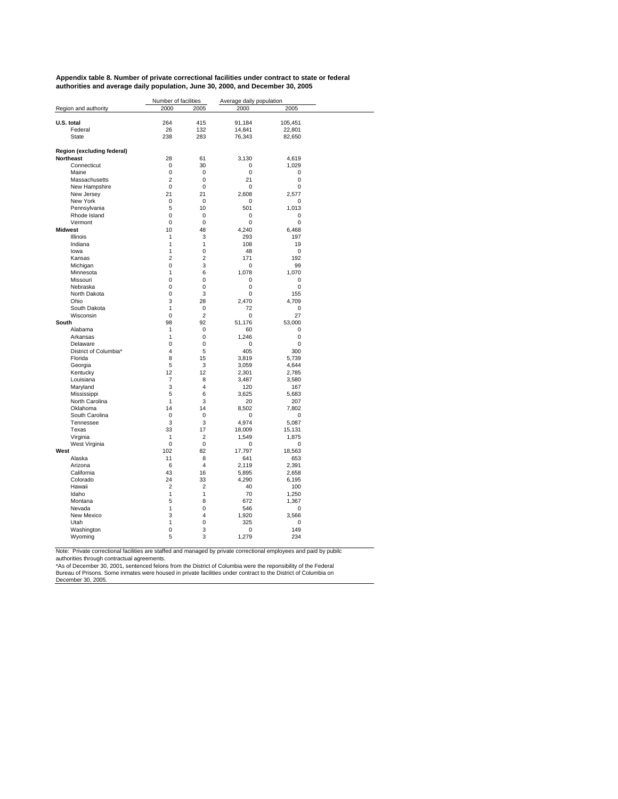| Appendix table 8. Number of private correctional facilities under contract to state or federal |
|------------------------------------------------------------------------------------------------|
| authorities and average daily population, June 30, 2000, and December 30, 2005                 |

|                              | Number of facilities |                     | Average daily population |                   |  |
|------------------------------|----------------------|---------------------|--------------------------|-------------------|--|
| Region and authority         | 2000                 | 2005                | 2000                     | 2005              |  |
|                              |                      |                     |                          |                   |  |
| U.S. total<br>Federal        | 264<br>26            | 415<br>132          | 91,184<br>14,841         | 105,451<br>22,801 |  |
| State                        | 238                  | 283                 | 76,343                   | 82,650            |  |
|                              |                      |                     |                          |                   |  |
| Region (excluding federal)   |                      |                     |                          |                   |  |
| Northeast                    | 28                   | 61                  | 3,130                    | 4,619             |  |
| Connecticut                  | 0                    | 30                  | 0                        | 1,029             |  |
| Maine                        | $\Omega$             | $\Omega$            | $\Omega$                 | 0                 |  |
| Massachusetts                | $\overline{2}$       | 0                   | 21                       | $\mathbf 0$       |  |
| New Hampshire                | 0                    | 0                   | 0                        | $\mathbf 0$       |  |
| New Jersey                   | 21                   | 21                  | 2,608                    | 2,577             |  |
| New York                     | 0                    | 0                   | 0                        | 0                 |  |
| Pennsylvania<br>Rhode Island | 5<br>$\mathbf 0$     | 10<br>0             | 501<br>0                 | 1,013<br>0        |  |
| Vermont                      | $\mathbf 0$          | 0                   | 0                        | 0                 |  |
| <b>Midwest</b>               | 10                   | 48                  | 4,240                    | 6,468             |  |
| Illinois                     | 1                    | 3                   | 293                      | 197               |  |
| Indiana                      | 1                    | 1                   | 108                      | 19                |  |
| lowa                         | 1                    | 0                   | 48                       | 0                 |  |
| Kansas                       | $\overline{2}$       | $\overline{2}$      | 171                      | 192               |  |
| Michigan                     | 0                    | 3                   | 0                        | 99                |  |
| Minnesota                    | 1                    | 6                   | 1,078                    | 1,070             |  |
| Missouri                     | 0                    | 0                   | 0                        | 0                 |  |
| Nebraska                     | 0                    | $\overline{0}$      | $\mathbf 0$              | $\mathbf 0$       |  |
| North Dakota                 | $\Omega$             | 3                   | $\mathbf 0$              | 155               |  |
| Ohio<br>South Dakota         | 3<br>1               | 28                  | 2,470                    | 4,709             |  |
| Wisconsin                    | 0                    | 0<br>$\overline{2}$ | 72<br>$\mathbf 0$        | 0<br>27           |  |
| South                        | 98                   | 92                  | 51,176                   | 53,000            |  |
| Alabama                      | 1                    | 0                   | 60                       | 0                 |  |
| Arkansas                     | 1                    | 0                   | 1,246                    | $\mathbf 0$       |  |
| Delaware                     | 0                    | 0                   | 0                        | 0                 |  |
| District of Columbia*        | 4                    | 5                   | 405                      | 300               |  |
| Florida                      | 8                    | 15                  | 3,819                    | 5,739             |  |
| Georgia                      | 5                    | 3                   | 3,059                    | 4,644             |  |
| Kentucky                     | 12                   | 12                  | 2,301                    | 2,785             |  |
| Louisiana                    | $\overline{7}$       | 8                   | 3,487                    | 3,580             |  |
| Maryland                     | 3                    | 4                   | 120                      | 167               |  |
| Mississippi                  | 5<br>1               | 6<br>3              | 3.625                    | 5,683             |  |
| North Carolina<br>Oklahoma   | 14                   | 14                  | 20<br>8,502              | 207<br>7,802      |  |
| South Carolina               | 0                    | 0                   | 0                        | 0                 |  |
| Tennessee                    | 3                    | 3                   | 4,974                    | 5,087             |  |
| Texas                        | 33                   | 17                  | 18,009                   | 15,131            |  |
| Virginia                     | 1                    | $\overline{2}$      | 1,549                    | 1,875             |  |
| West Virginia                | $\Omega$             | $\Omega$            | $\mathbf 0$              | $\mathbf 0$       |  |
| West                         | 102                  | 82                  | 17,797                   | 18,563            |  |
| Alaska                       | 11                   | 8                   | 641                      | 653               |  |
| Arizona                      | 6                    | 4                   | 2,119                    | 2,391             |  |
| California                   | 43                   | 16                  | 5,895                    | 2,658             |  |
| Colorado                     | 24                   | 33                  | 4,290                    | 6,195             |  |
| Hawaii                       | 2<br>1               | 2                   | 40                       | 100               |  |
| Idaho<br>Montana             | 5                    | 1<br>8              | 70<br>672                | 1,250<br>1,367    |  |
| Nevada                       | 1                    | $\Omega$            | 546                      | 0                 |  |
| New Mexico                   | 3                    | 4                   | 1,920                    | 3,566             |  |
| Utah                         | 1                    | 0                   | 325                      | 0                 |  |
| Washington                   | 0                    | 3                   | 0                        | 149               |  |
| Wyoming                      | 5                    | 3                   | 1,279                    | 234               |  |
|                              |                      |                     |                          |                   |  |

Note: Private correctional facilities are staffed and managed by private correctional employees and paid by public<br>authorities through contractual agreements.<br>\*As of December 30, 2001, sentenced felons from the District of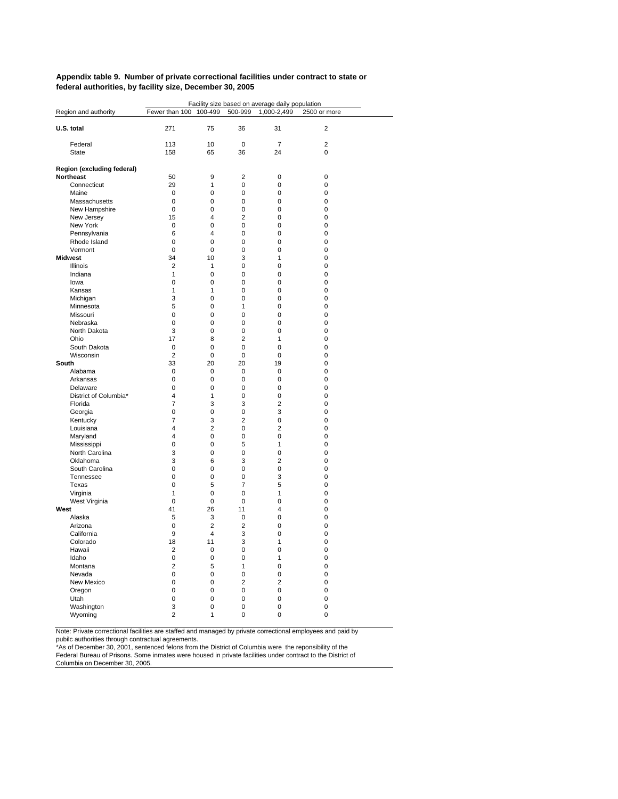#### **Appendix table 9. Number of private correctional facilities under contract to state or federal authorities, by facility size, December 30, 2005**

| Region and authority<br>75<br>U.S. total<br>271<br>36<br>31<br>2<br>$\overline{7}$<br>Federal<br>113<br>10<br>0<br>2<br>36<br>24<br>0<br><b>State</b><br>158<br>65<br>Region (excluding federal)<br><b>Northeast</b><br>50<br>9<br>$\overline{2}$<br>0<br>0<br>Connecticut<br>29<br>1<br>0<br>$\mathbf 0$<br>0<br>Maine<br>0<br>0<br>0<br>0<br>0<br>Massachusetts<br>$\mathbf 0$<br>0<br>0<br>0<br>0<br>New Hampshire<br>0<br>0<br>0<br>0<br>0<br>$\overline{2}$<br>15<br>4<br>0<br>New Jersey<br>0<br>$\overline{0}$<br>New York<br>0<br>$\Omega$<br>0<br>0<br>Pennsylvania<br>6<br>4<br>0<br>0<br>0<br>Rhode Island<br>0<br>0<br>0<br>0<br>0<br>Vermont<br>$\mathbf 0$<br>$\mathbf 0$<br>$\Omega$<br>$\mathbf 0$<br>$\mathbf 0$<br>34<br>3<br><b>Midwest</b><br>10<br>1<br>0<br>$\overline{2}$<br>1<br>0<br>$\mathbf 0$<br>0<br>Illinois<br>1<br>$\mathbf 0$<br>0<br>$\mathbf 0$<br>Indiana<br>0<br>0<br>lowa<br>0<br>0<br>0<br>0<br>1<br>1<br>0<br>$\mathbf 0$<br>0<br>Kansas<br>Michigan<br>3<br>0<br>0<br>0<br>0<br>5<br>Minnesota<br>0<br>1<br>0<br>0<br>$\mathbf 0$<br>Missouri<br>$\mathbf 0$<br>$\Omega$<br>$\mathbf 0$<br>$\mathbf 0$<br>0<br>Nebraska<br>0<br>0<br>0<br>0<br>North Dakota<br>3<br>0<br>0<br>0<br>0<br>17<br>8<br>$\overline{2}$<br>$\mathbf 0$<br>Ohio<br>1<br>South Dakota<br>0<br>0<br>0<br>0<br>0<br>Wisconsin<br>$\overline{2}$<br>0<br>0<br>0<br>0<br>33<br>20<br>20<br>19<br>$\mathbf 0$<br>South<br>Alabama<br>0<br>0<br>0<br>0<br>0<br>0<br>$\pmb{0}$<br>0<br>0<br>0<br>Arkansas<br>$\mathbf 0$<br>0<br>0<br>$\mathbf 0$<br>$\mathbf 0$<br>Delaware<br>District of Columbia*<br>$\overline{4}$<br>1<br>0<br>0<br>0<br>$\overline{7}$<br>Florida<br>3<br>3<br>$\overline{2}$<br>$\mathbf 0$<br>0<br>Georgia<br>0<br>0<br>3<br>0<br>$\overline{7}$<br>3<br>$\overline{2}$<br>0<br>0<br>Kentucky<br>$\overline{4}$<br>$\overline{2}$<br>Louisiana<br>0<br>2<br>0<br>$\overline{4}$<br>Maryland<br>0<br>0<br>0<br>0<br>0<br>0<br>5<br>0<br>Mississippi<br>1<br>North Carolina<br>3<br>0<br>0<br>$\mathbf 0$<br>$\mathbf 0$<br>3<br>3<br>6<br>$\overline{2}$<br>0<br>Oklahoma<br>$\mathbf 0$<br>South Carolina<br>$\mathbf 0$<br>0<br>$\mathbf 0$<br>0<br>$\mathbf 0$<br>0<br>0<br>3<br>$\mathbf 0$<br>Tennessee<br>0<br>5<br>7<br>5<br>Texas<br>0<br>Virginia<br>1<br>$\mathbf 0$<br>0<br>1<br>0<br>West Virginia<br>0<br>0<br>0<br>0<br>0<br>West<br>41<br>26<br>4<br>0<br>11<br>Alaska<br>5<br>3<br>0<br>$\Omega$<br>0<br>$\overline{c}$<br>$\overline{c}$<br>0<br>0<br>Arizona<br>0<br>$\overline{4}$<br>California<br>9<br>3<br>0<br>0<br>Colorado<br>18<br>11<br>3<br>1<br>$\mathbf 0$<br>$\overline{2}$<br>0<br>0<br>Hawaii<br>0<br>0<br>Idaho<br>$\mathbf 0$<br>$\mathbf 0$<br>0<br>0<br>1 |                |         |         | Facility size based on average daily population |              |  |
|----------------------------------------------------------------------------------------------------------------------------------------------------------------------------------------------------------------------------------------------------------------------------------------------------------------------------------------------------------------------------------------------------------------------------------------------------------------------------------------------------------------------------------------------------------------------------------------------------------------------------------------------------------------------------------------------------------------------------------------------------------------------------------------------------------------------------------------------------------------------------------------------------------------------------------------------------------------------------------------------------------------------------------------------------------------------------------------------------------------------------------------------------------------------------------------------------------------------------------------------------------------------------------------------------------------------------------------------------------------------------------------------------------------------------------------------------------------------------------------------------------------------------------------------------------------------------------------------------------------------------------------------------------------------------------------------------------------------------------------------------------------------------------------------------------------------------------------------------------------------------------------------------------------------------------------------------------------------------------------------------------------------------------------------------------------------------------------------------------------------------------------------------------------------------------------------------------------------------------------------------------------------------------------------------------------------------------------------------------------------------------------------------------------------------------------------------------------------------------------------------------------------------------------------------------------------------------------------------------------------------------------------------------------------------------------------------------------------------------|----------------|---------|---------|-------------------------------------------------|--------------|--|
|                                                                                                                                                                                                                                                                                                                                                                                                                                                                                                                                                                                                                                                                                                                                                                                                                                                                                                                                                                                                                                                                                                                                                                                                                                                                                                                                                                                                                                                                                                                                                                                                                                                                                                                                                                                                                                                                                                                                                                                                                                                                                                                                                                                                                                                                                                                                                                                                                                                                                                                                                                                                                                                                                                                                  | Fewer than 100 | 100-499 | 500-999 | 1,000-2,499                                     | 2500 or more |  |
|                                                                                                                                                                                                                                                                                                                                                                                                                                                                                                                                                                                                                                                                                                                                                                                                                                                                                                                                                                                                                                                                                                                                                                                                                                                                                                                                                                                                                                                                                                                                                                                                                                                                                                                                                                                                                                                                                                                                                                                                                                                                                                                                                                                                                                                                                                                                                                                                                                                                                                                                                                                                                                                                                                                                  |                |         |         |                                                 |              |  |
|                                                                                                                                                                                                                                                                                                                                                                                                                                                                                                                                                                                                                                                                                                                                                                                                                                                                                                                                                                                                                                                                                                                                                                                                                                                                                                                                                                                                                                                                                                                                                                                                                                                                                                                                                                                                                                                                                                                                                                                                                                                                                                                                                                                                                                                                                                                                                                                                                                                                                                                                                                                                                                                                                                                                  |                |         |         |                                                 |              |  |
|                                                                                                                                                                                                                                                                                                                                                                                                                                                                                                                                                                                                                                                                                                                                                                                                                                                                                                                                                                                                                                                                                                                                                                                                                                                                                                                                                                                                                                                                                                                                                                                                                                                                                                                                                                                                                                                                                                                                                                                                                                                                                                                                                                                                                                                                                                                                                                                                                                                                                                                                                                                                                                                                                                                                  |                |         |         |                                                 |              |  |
|                                                                                                                                                                                                                                                                                                                                                                                                                                                                                                                                                                                                                                                                                                                                                                                                                                                                                                                                                                                                                                                                                                                                                                                                                                                                                                                                                                                                                                                                                                                                                                                                                                                                                                                                                                                                                                                                                                                                                                                                                                                                                                                                                                                                                                                                                                                                                                                                                                                                                                                                                                                                                                                                                                                                  |                |         |         |                                                 |              |  |
|                                                                                                                                                                                                                                                                                                                                                                                                                                                                                                                                                                                                                                                                                                                                                                                                                                                                                                                                                                                                                                                                                                                                                                                                                                                                                                                                                                                                                                                                                                                                                                                                                                                                                                                                                                                                                                                                                                                                                                                                                                                                                                                                                                                                                                                                                                                                                                                                                                                                                                                                                                                                                                                                                                                                  |                |         |         |                                                 |              |  |
|                                                                                                                                                                                                                                                                                                                                                                                                                                                                                                                                                                                                                                                                                                                                                                                                                                                                                                                                                                                                                                                                                                                                                                                                                                                                                                                                                                                                                                                                                                                                                                                                                                                                                                                                                                                                                                                                                                                                                                                                                                                                                                                                                                                                                                                                                                                                                                                                                                                                                                                                                                                                                                                                                                                                  |                |         |         |                                                 |              |  |
|                                                                                                                                                                                                                                                                                                                                                                                                                                                                                                                                                                                                                                                                                                                                                                                                                                                                                                                                                                                                                                                                                                                                                                                                                                                                                                                                                                                                                                                                                                                                                                                                                                                                                                                                                                                                                                                                                                                                                                                                                                                                                                                                                                                                                                                                                                                                                                                                                                                                                                                                                                                                                                                                                                                                  |                |         |         |                                                 |              |  |
|                                                                                                                                                                                                                                                                                                                                                                                                                                                                                                                                                                                                                                                                                                                                                                                                                                                                                                                                                                                                                                                                                                                                                                                                                                                                                                                                                                                                                                                                                                                                                                                                                                                                                                                                                                                                                                                                                                                                                                                                                                                                                                                                                                                                                                                                                                                                                                                                                                                                                                                                                                                                                                                                                                                                  |                |         |         |                                                 |              |  |
|                                                                                                                                                                                                                                                                                                                                                                                                                                                                                                                                                                                                                                                                                                                                                                                                                                                                                                                                                                                                                                                                                                                                                                                                                                                                                                                                                                                                                                                                                                                                                                                                                                                                                                                                                                                                                                                                                                                                                                                                                                                                                                                                                                                                                                                                                                                                                                                                                                                                                                                                                                                                                                                                                                                                  |                |         |         |                                                 |              |  |
|                                                                                                                                                                                                                                                                                                                                                                                                                                                                                                                                                                                                                                                                                                                                                                                                                                                                                                                                                                                                                                                                                                                                                                                                                                                                                                                                                                                                                                                                                                                                                                                                                                                                                                                                                                                                                                                                                                                                                                                                                                                                                                                                                                                                                                                                                                                                                                                                                                                                                                                                                                                                                                                                                                                                  |                |         |         |                                                 |              |  |
|                                                                                                                                                                                                                                                                                                                                                                                                                                                                                                                                                                                                                                                                                                                                                                                                                                                                                                                                                                                                                                                                                                                                                                                                                                                                                                                                                                                                                                                                                                                                                                                                                                                                                                                                                                                                                                                                                                                                                                                                                                                                                                                                                                                                                                                                                                                                                                                                                                                                                                                                                                                                                                                                                                                                  |                |         |         |                                                 |              |  |
|                                                                                                                                                                                                                                                                                                                                                                                                                                                                                                                                                                                                                                                                                                                                                                                                                                                                                                                                                                                                                                                                                                                                                                                                                                                                                                                                                                                                                                                                                                                                                                                                                                                                                                                                                                                                                                                                                                                                                                                                                                                                                                                                                                                                                                                                                                                                                                                                                                                                                                                                                                                                                                                                                                                                  |                |         |         |                                                 |              |  |
|                                                                                                                                                                                                                                                                                                                                                                                                                                                                                                                                                                                                                                                                                                                                                                                                                                                                                                                                                                                                                                                                                                                                                                                                                                                                                                                                                                                                                                                                                                                                                                                                                                                                                                                                                                                                                                                                                                                                                                                                                                                                                                                                                                                                                                                                                                                                                                                                                                                                                                                                                                                                                                                                                                                                  |                |         |         |                                                 |              |  |
|                                                                                                                                                                                                                                                                                                                                                                                                                                                                                                                                                                                                                                                                                                                                                                                                                                                                                                                                                                                                                                                                                                                                                                                                                                                                                                                                                                                                                                                                                                                                                                                                                                                                                                                                                                                                                                                                                                                                                                                                                                                                                                                                                                                                                                                                                                                                                                                                                                                                                                                                                                                                                                                                                                                                  |                |         |         |                                                 |              |  |
|                                                                                                                                                                                                                                                                                                                                                                                                                                                                                                                                                                                                                                                                                                                                                                                                                                                                                                                                                                                                                                                                                                                                                                                                                                                                                                                                                                                                                                                                                                                                                                                                                                                                                                                                                                                                                                                                                                                                                                                                                                                                                                                                                                                                                                                                                                                                                                                                                                                                                                                                                                                                                                                                                                                                  |                |         |         |                                                 |              |  |
|                                                                                                                                                                                                                                                                                                                                                                                                                                                                                                                                                                                                                                                                                                                                                                                                                                                                                                                                                                                                                                                                                                                                                                                                                                                                                                                                                                                                                                                                                                                                                                                                                                                                                                                                                                                                                                                                                                                                                                                                                                                                                                                                                                                                                                                                                                                                                                                                                                                                                                                                                                                                                                                                                                                                  |                |         |         |                                                 |              |  |
|                                                                                                                                                                                                                                                                                                                                                                                                                                                                                                                                                                                                                                                                                                                                                                                                                                                                                                                                                                                                                                                                                                                                                                                                                                                                                                                                                                                                                                                                                                                                                                                                                                                                                                                                                                                                                                                                                                                                                                                                                                                                                                                                                                                                                                                                                                                                                                                                                                                                                                                                                                                                                                                                                                                                  |                |         |         |                                                 |              |  |
|                                                                                                                                                                                                                                                                                                                                                                                                                                                                                                                                                                                                                                                                                                                                                                                                                                                                                                                                                                                                                                                                                                                                                                                                                                                                                                                                                                                                                                                                                                                                                                                                                                                                                                                                                                                                                                                                                                                                                                                                                                                                                                                                                                                                                                                                                                                                                                                                                                                                                                                                                                                                                                                                                                                                  |                |         |         |                                                 |              |  |
|                                                                                                                                                                                                                                                                                                                                                                                                                                                                                                                                                                                                                                                                                                                                                                                                                                                                                                                                                                                                                                                                                                                                                                                                                                                                                                                                                                                                                                                                                                                                                                                                                                                                                                                                                                                                                                                                                                                                                                                                                                                                                                                                                                                                                                                                                                                                                                                                                                                                                                                                                                                                                                                                                                                                  |                |         |         |                                                 |              |  |
|                                                                                                                                                                                                                                                                                                                                                                                                                                                                                                                                                                                                                                                                                                                                                                                                                                                                                                                                                                                                                                                                                                                                                                                                                                                                                                                                                                                                                                                                                                                                                                                                                                                                                                                                                                                                                                                                                                                                                                                                                                                                                                                                                                                                                                                                                                                                                                                                                                                                                                                                                                                                                                                                                                                                  |                |         |         |                                                 |              |  |
|                                                                                                                                                                                                                                                                                                                                                                                                                                                                                                                                                                                                                                                                                                                                                                                                                                                                                                                                                                                                                                                                                                                                                                                                                                                                                                                                                                                                                                                                                                                                                                                                                                                                                                                                                                                                                                                                                                                                                                                                                                                                                                                                                                                                                                                                                                                                                                                                                                                                                                                                                                                                                                                                                                                                  |                |         |         |                                                 |              |  |
|                                                                                                                                                                                                                                                                                                                                                                                                                                                                                                                                                                                                                                                                                                                                                                                                                                                                                                                                                                                                                                                                                                                                                                                                                                                                                                                                                                                                                                                                                                                                                                                                                                                                                                                                                                                                                                                                                                                                                                                                                                                                                                                                                                                                                                                                                                                                                                                                                                                                                                                                                                                                                                                                                                                                  |                |         |         |                                                 |              |  |
|                                                                                                                                                                                                                                                                                                                                                                                                                                                                                                                                                                                                                                                                                                                                                                                                                                                                                                                                                                                                                                                                                                                                                                                                                                                                                                                                                                                                                                                                                                                                                                                                                                                                                                                                                                                                                                                                                                                                                                                                                                                                                                                                                                                                                                                                                                                                                                                                                                                                                                                                                                                                                                                                                                                                  |                |         |         |                                                 |              |  |
|                                                                                                                                                                                                                                                                                                                                                                                                                                                                                                                                                                                                                                                                                                                                                                                                                                                                                                                                                                                                                                                                                                                                                                                                                                                                                                                                                                                                                                                                                                                                                                                                                                                                                                                                                                                                                                                                                                                                                                                                                                                                                                                                                                                                                                                                                                                                                                                                                                                                                                                                                                                                                                                                                                                                  |                |         |         |                                                 |              |  |
|                                                                                                                                                                                                                                                                                                                                                                                                                                                                                                                                                                                                                                                                                                                                                                                                                                                                                                                                                                                                                                                                                                                                                                                                                                                                                                                                                                                                                                                                                                                                                                                                                                                                                                                                                                                                                                                                                                                                                                                                                                                                                                                                                                                                                                                                                                                                                                                                                                                                                                                                                                                                                                                                                                                                  |                |         |         |                                                 |              |  |
|                                                                                                                                                                                                                                                                                                                                                                                                                                                                                                                                                                                                                                                                                                                                                                                                                                                                                                                                                                                                                                                                                                                                                                                                                                                                                                                                                                                                                                                                                                                                                                                                                                                                                                                                                                                                                                                                                                                                                                                                                                                                                                                                                                                                                                                                                                                                                                                                                                                                                                                                                                                                                                                                                                                                  |                |         |         |                                                 |              |  |
|                                                                                                                                                                                                                                                                                                                                                                                                                                                                                                                                                                                                                                                                                                                                                                                                                                                                                                                                                                                                                                                                                                                                                                                                                                                                                                                                                                                                                                                                                                                                                                                                                                                                                                                                                                                                                                                                                                                                                                                                                                                                                                                                                                                                                                                                                                                                                                                                                                                                                                                                                                                                                                                                                                                                  |                |         |         |                                                 |              |  |
|                                                                                                                                                                                                                                                                                                                                                                                                                                                                                                                                                                                                                                                                                                                                                                                                                                                                                                                                                                                                                                                                                                                                                                                                                                                                                                                                                                                                                                                                                                                                                                                                                                                                                                                                                                                                                                                                                                                                                                                                                                                                                                                                                                                                                                                                                                                                                                                                                                                                                                                                                                                                                                                                                                                                  |                |         |         |                                                 |              |  |
|                                                                                                                                                                                                                                                                                                                                                                                                                                                                                                                                                                                                                                                                                                                                                                                                                                                                                                                                                                                                                                                                                                                                                                                                                                                                                                                                                                                                                                                                                                                                                                                                                                                                                                                                                                                                                                                                                                                                                                                                                                                                                                                                                                                                                                                                                                                                                                                                                                                                                                                                                                                                                                                                                                                                  |                |         |         |                                                 |              |  |
|                                                                                                                                                                                                                                                                                                                                                                                                                                                                                                                                                                                                                                                                                                                                                                                                                                                                                                                                                                                                                                                                                                                                                                                                                                                                                                                                                                                                                                                                                                                                                                                                                                                                                                                                                                                                                                                                                                                                                                                                                                                                                                                                                                                                                                                                                                                                                                                                                                                                                                                                                                                                                                                                                                                                  |                |         |         |                                                 |              |  |
|                                                                                                                                                                                                                                                                                                                                                                                                                                                                                                                                                                                                                                                                                                                                                                                                                                                                                                                                                                                                                                                                                                                                                                                                                                                                                                                                                                                                                                                                                                                                                                                                                                                                                                                                                                                                                                                                                                                                                                                                                                                                                                                                                                                                                                                                                                                                                                                                                                                                                                                                                                                                                                                                                                                                  |                |         |         |                                                 |              |  |
|                                                                                                                                                                                                                                                                                                                                                                                                                                                                                                                                                                                                                                                                                                                                                                                                                                                                                                                                                                                                                                                                                                                                                                                                                                                                                                                                                                                                                                                                                                                                                                                                                                                                                                                                                                                                                                                                                                                                                                                                                                                                                                                                                                                                                                                                                                                                                                                                                                                                                                                                                                                                                                                                                                                                  |                |         |         |                                                 |              |  |
|                                                                                                                                                                                                                                                                                                                                                                                                                                                                                                                                                                                                                                                                                                                                                                                                                                                                                                                                                                                                                                                                                                                                                                                                                                                                                                                                                                                                                                                                                                                                                                                                                                                                                                                                                                                                                                                                                                                                                                                                                                                                                                                                                                                                                                                                                                                                                                                                                                                                                                                                                                                                                                                                                                                                  |                |         |         |                                                 |              |  |
|                                                                                                                                                                                                                                                                                                                                                                                                                                                                                                                                                                                                                                                                                                                                                                                                                                                                                                                                                                                                                                                                                                                                                                                                                                                                                                                                                                                                                                                                                                                                                                                                                                                                                                                                                                                                                                                                                                                                                                                                                                                                                                                                                                                                                                                                                                                                                                                                                                                                                                                                                                                                                                                                                                                                  |                |         |         |                                                 |              |  |
|                                                                                                                                                                                                                                                                                                                                                                                                                                                                                                                                                                                                                                                                                                                                                                                                                                                                                                                                                                                                                                                                                                                                                                                                                                                                                                                                                                                                                                                                                                                                                                                                                                                                                                                                                                                                                                                                                                                                                                                                                                                                                                                                                                                                                                                                                                                                                                                                                                                                                                                                                                                                                                                                                                                                  |                |         |         |                                                 |              |  |
|                                                                                                                                                                                                                                                                                                                                                                                                                                                                                                                                                                                                                                                                                                                                                                                                                                                                                                                                                                                                                                                                                                                                                                                                                                                                                                                                                                                                                                                                                                                                                                                                                                                                                                                                                                                                                                                                                                                                                                                                                                                                                                                                                                                                                                                                                                                                                                                                                                                                                                                                                                                                                                                                                                                                  |                |         |         |                                                 |              |  |
|                                                                                                                                                                                                                                                                                                                                                                                                                                                                                                                                                                                                                                                                                                                                                                                                                                                                                                                                                                                                                                                                                                                                                                                                                                                                                                                                                                                                                                                                                                                                                                                                                                                                                                                                                                                                                                                                                                                                                                                                                                                                                                                                                                                                                                                                                                                                                                                                                                                                                                                                                                                                                                                                                                                                  |                |         |         |                                                 |              |  |
|                                                                                                                                                                                                                                                                                                                                                                                                                                                                                                                                                                                                                                                                                                                                                                                                                                                                                                                                                                                                                                                                                                                                                                                                                                                                                                                                                                                                                                                                                                                                                                                                                                                                                                                                                                                                                                                                                                                                                                                                                                                                                                                                                                                                                                                                                                                                                                                                                                                                                                                                                                                                                                                                                                                                  |                |         |         |                                                 |              |  |
|                                                                                                                                                                                                                                                                                                                                                                                                                                                                                                                                                                                                                                                                                                                                                                                                                                                                                                                                                                                                                                                                                                                                                                                                                                                                                                                                                                                                                                                                                                                                                                                                                                                                                                                                                                                                                                                                                                                                                                                                                                                                                                                                                                                                                                                                                                                                                                                                                                                                                                                                                                                                                                                                                                                                  |                |         |         |                                                 |              |  |
|                                                                                                                                                                                                                                                                                                                                                                                                                                                                                                                                                                                                                                                                                                                                                                                                                                                                                                                                                                                                                                                                                                                                                                                                                                                                                                                                                                                                                                                                                                                                                                                                                                                                                                                                                                                                                                                                                                                                                                                                                                                                                                                                                                                                                                                                                                                                                                                                                                                                                                                                                                                                                                                                                                                                  |                |         |         |                                                 |              |  |
|                                                                                                                                                                                                                                                                                                                                                                                                                                                                                                                                                                                                                                                                                                                                                                                                                                                                                                                                                                                                                                                                                                                                                                                                                                                                                                                                                                                                                                                                                                                                                                                                                                                                                                                                                                                                                                                                                                                                                                                                                                                                                                                                                                                                                                                                                                                                                                                                                                                                                                                                                                                                                                                                                                                                  |                |         |         |                                                 |              |  |
|                                                                                                                                                                                                                                                                                                                                                                                                                                                                                                                                                                                                                                                                                                                                                                                                                                                                                                                                                                                                                                                                                                                                                                                                                                                                                                                                                                                                                                                                                                                                                                                                                                                                                                                                                                                                                                                                                                                                                                                                                                                                                                                                                                                                                                                                                                                                                                                                                                                                                                                                                                                                                                                                                                                                  |                |         |         |                                                 |              |  |
|                                                                                                                                                                                                                                                                                                                                                                                                                                                                                                                                                                                                                                                                                                                                                                                                                                                                                                                                                                                                                                                                                                                                                                                                                                                                                                                                                                                                                                                                                                                                                                                                                                                                                                                                                                                                                                                                                                                                                                                                                                                                                                                                                                                                                                                                                                                                                                                                                                                                                                                                                                                                                                                                                                                                  |                |         |         |                                                 |              |  |
|                                                                                                                                                                                                                                                                                                                                                                                                                                                                                                                                                                                                                                                                                                                                                                                                                                                                                                                                                                                                                                                                                                                                                                                                                                                                                                                                                                                                                                                                                                                                                                                                                                                                                                                                                                                                                                                                                                                                                                                                                                                                                                                                                                                                                                                                                                                                                                                                                                                                                                                                                                                                                                                                                                                                  |                |         |         |                                                 |              |  |
|                                                                                                                                                                                                                                                                                                                                                                                                                                                                                                                                                                                                                                                                                                                                                                                                                                                                                                                                                                                                                                                                                                                                                                                                                                                                                                                                                                                                                                                                                                                                                                                                                                                                                                                                                                                                                                                                                                                                                                                                                                                                                                                                                                                                                                                                                                                                                                                                                                                                                                                                                                                                                                                                                                                                  |                |         |         |                                                 |              |  |
|                                                                                                                                                                                                                                                                                                                                                                                                                                                                                                                                                                                                                                                                                                                                                                                                                                                                                                                                                                                                                                                                                                                                                                                                                                                                                                                                                                                                                                                                                                                                                                                                                                                                                                                                                                                                                                                                                                                                                                                                                                                                                                                                                                                                                                                                                                                                                                                                                                                                                                                                                                                                                                                                                                                                  |                |         |         |                                                 |              |  |
|                                                                                                                                                                                                                                                                                                                                                                                                                                                                                                                                                                                                                                                                                                                                                                                                                                                                                                                                                                                                                                                                                                                                                                                                                                                                                                                                                                                                                                                                                                                                                                                                                                                                                                                                                                                                                                                                                                                                                                                                                                                                                                                                                                                                                                                                                                                                                                                                                                                                                                                                                                                                                                                                                                                                  |                |         |         |                                                 |              |  |
|                                                                                                                                                                                                                                                                                                                                                                                                                                                                                                                                                                                                                                                                                                                                                                                                                                                                                                                                                                                                                                                                                                                                                                                                                                                                                                                                                                                                                                                                                                                                                                                                                                                                                                                                                                                                                                                                                                                                                                                                                                                                                                                                                                                                                                                                                                                                                                                                                                                                                                                                                                                                                                                                                                                                  |                |         |         |                                                 |              |  |
|                                                                                                                                                                                                                                                                                                                                                                                                                                                                                                                                                                                                                                                                                                                                                                                                                                                                                                                                                                                                                                                                                                                                                                                                                                                                                                                                                                                                                                                                                                                                                                                                                                                                                                                                                                                                                                                                                                                                                                                                                                                                                                                                                                                                                                                                                                                                                                                                                                                                                                                                                                                                                                                                                                                                  |                |         |         |                                                 |              |  |
| $\overline{2}$<br>5<br>1<br>$\mathbf 0$<br>$\mathbf 0$<br>Montana                                                                                                                                                                                                                                                                                                                                                                                                                                                                                                                                                                                                                                                                                                                                                                                                                                                                                                                                                                                                                                                                                                                                                                                                                                                                                                                                                                                                                                                                                                                                                                                                                                                                                                                                                                                                                                                                                                                                                                                                                                                                                                                                                                                                                                                                                                                                                                                                                                                                                                                                                                                                                                                                |                |         |         |                                                 |              |  |
| 0<br>0<br>0<br>0<br>Nevada<br>0                                                                                                                                                                                                                                                                                                                                                                                                                                                                                                                                                                                                                                                                                                                                                                                                                                                                                                                                                                                                                                                                                                                                                                                                                                                                                                                                                                                                                                                                                                                                                                                                                                                                                                                                                                                                                                                                                                                                                                                                                                                                                                                                                                                                                                                                                                                                                                                                                                                                                                                                                                                                                                                                                                  |                |         |         |                                                 |              |  |
| New Mexico<br>0<br>$\overline{2}$<br>0<br>$\overline{2}$<br>0                                                                                                                                                                                                                                                                                                                                                                                                                                                                                                                                                                                                                                                                                                                                                                                                                                                                                                                                                                                                                                                                                                                                                                                                                                                                                                                                                                                                                                                                                                                                                                                                                                                                                                                                                                                                                                                                                                                                                                                                                                                                                                                                                                                                                                                                                                                                                                                                                                                                                                                                                                                                                                                                    |                |         |         |                                                 |              |  |
| Oregon<br>0<br>0<br>0<br>0<br>0                                                                                                                                                                                                                                                                                                                                                                                                                                                                                                                                                                                                                                                                                                                                                                                                                                                                                                                                                                                                                                                                                                                                                                                                                                                                                                                                                                                                                                                                                                                                                                                                                                                                                                                                                                                                                                                                                                                                                                                                                                                                                                                                                                                                                                                                                                                                                                                                                                                                                                                                                                                                                                                                                                  |                |         |         |                                                 |              |  |
| 0<br>$\pmb{0}$<br>0<br>0<br>0<br>Utah                                                                                                                                                                                                                                                                                                                                                                                                                                                                                                                                                                                                                                                                                                                                                                                                                                                                                                                                                                                                                                                                                                                                                                                                                                                                                                                                                                                                                                                                                                                                                                                                                                                                                                                                                                                                                                                                                                                                                                                                                                                                                                                                                                                                                                                                                                                                                                                                                                                                                                                                                                                                                                                                                            |                |         |         |                                                 |              |  |
| 3<br>Washington<br>0<br>$\Omega$<br>$\mathbf 0$<br>$\mathbf 0$                                                                                                                                                                                                                                                                                                                                                                                                                                                                                                                                                                                                                                                                                                                                                                                                                                                                                                                                                                                                                                                                                                                                                                                                                                                                                                                                                                                                                                                                                                                                                                                                                                                                                                                                                                                                                                                                                                                                                                                                                                                                                                                                                                                                                                                                                                                                                                                                                                                                                                                                                                                                                                                                   |                |         |         |                                                 |              |  |
| $\overline{2}$<br>1<br>0<br>0<br>Wyoming<br>0                                                                                                                                                                                                                                                                                                                                                                                                                                                                                                                                                                                                                                                                                                                                                                                                                                                                                                                                                                                                                                                                                                                                                                                                                                                                                                                                                                                                                                                                                                                                                                                                                                                                                                                                                                                                                                                                                                                                                                                                                                                                                                                                                                                                                                                                                                                                                                                                                                                                                                                                                                                                                                                                                    |                |         |         |                                                 |              |  |

Note: Private correctional facilities are staffed and managed by private correctional employees and paid by pubilc authorities through contractual agreements.

\*As of December 30, 2001, sentenced felons from the District of Columbia were the reponsibility of the Federal Bureau of Prisons. Some inmates were housed in private facilities under contract to the District of

Columbia on December 30, 2005.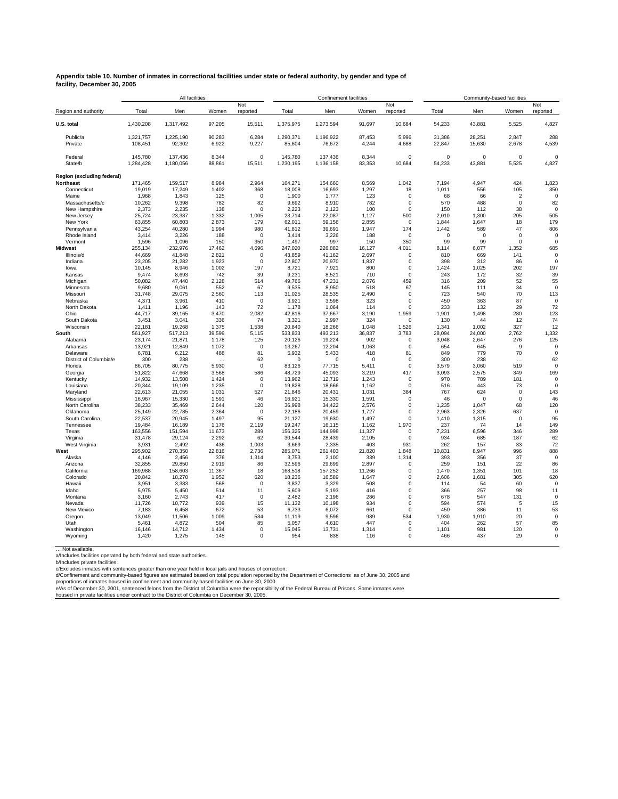#### **Appendix table 10. Number of inmates in correctional facilities under state or federal authority, by gender and type of facility, December 30, 2005**

|                             |                      | All facilities       |                 |                    |                      | <b>Confinement facilities</b> |                 |                            |                    |                    | Community-based facilities |                      |
|-----------------------------|----------------------|----------------------|-----------------|--------------------|----------------------|-------------------------------|-----------------|----------------------------|--------------------|--------------------|----------------------------|----------------------|
| Region and authority        | Total                | Men                  | Women           | Not<br>reported    | Total                | Men                           | Women           | Not<br>reported            | Total              | Men                | Women                      | Not<br>reported      |
| U.S. total                  | 1,430,208            | 1,317,492            | 97,205          | 15,511             | 1,375,975            | 1,273,594                     | 91,697          | 10,684                     | 54,233             | 43,881             | 5,525                      | 4,827                |
| Public/a                    | 1,321,757            | 1,225,190            | 90,283          | 6,284              | 1,290,371            | 1,196,922                     | 87,453          | 5,996                      | 31,386             | 28,251             | 2,847                      | 288                  |
| Private                     | 108,451              | 92,302               | 6,922           | 9,227              | 85,604               | 76,672                        | 4,244           | 4,688                      | 22,847             | 15,630             | 2,678                      | 4,539                |
| Federal<br>State/b          | 145.780<br>1,284,428 | 137.436<br>1,180,056 | 8.344<br>88,861 | $\Omega$<br>15,511 | 145.780<br>1,230,195 | 137.436<br>1,136,158          | 8.344<br>83,353 | $\Omega$<br>10,684         | $\Omega$<br>54,233 | $\Omega$<br>43,881 | $\Omega$<br>5,525          | $\sqrt{2}$<br>4,827  |
| Region (excluding federal)  |                      |                      |                 |                    |                      |                               |                 |                            |                    |                    |                            |                      |
| Northeast                   | 171,465              | 159,517              | 8,984           | 2,964              | 164,271              | 154,660                       | 8,569           | 1,042                      | 7,194              | 4,947              | 424                        | 1,823                |
| Connecticut                 | 19,019               | 17,249               | 1,402           | 368                | 18,008               | 16,693                        | 1,297           | 18                         | 1,011              | 556                | 105                        | 350                  |
| Maine                       | 1,968                | 1,843                | 125             | 0                  | 1,900                | 1,777                         | 123             | $\mathbf 0$                | 68                 | 66                 | $\overline{2}$             |                      |
| Massachusetts/c             | 10,262               | 9,398                | 782             | 82                 | 9,692                | 8,910                         | 782             | 0                          | 570                | 488                | $\mathbf 0$                | 82                   |
| New Hampshire<br>New Jersey | 2,373<br>25,724      | 2,235<br>23,387      | 138<br>1,332    | $\Omega$<br>1,005  | 2,223<br>23,714      | 2,123<br>22,087               | 100<br>1,127    | $\mathbf 0$<br>500         | 150<br>2,010       | 112<br>1,300       | 38<br>205                  | 505                  |
| New York                    | 63,855               | 60.803               | 2,873           | 179                | 62.011               | 59,156                        | 2.855           | 0                          | 1.844              | 1.647              | 18                         | 179                  |
| Pennsylvania                | 43.254               | 40.280               | 1.994           | 980                | 41.812               | 39.691                        | 1.947           | 174                        | 1.442              | 589                | 47                         | 806                  |
| Rhode Island                | 3,414                | 3,226                | 188             | $\Omega$           | 3,414                | 3,226                         | 188             | $\Omega$                   | $\Omega$           | $\Omega$           | $\Omega$                   | $\Omega$             |
| Vermont                     | 1,596                | 1,096                | 150             | 350                | 1,497                | 997                           | 150             | 350                        | 99                 | 99                 | $\Omega$                   | $\Omega$             |
| <b>Midwest</b>              | 255,134              | 232.976              | 17,462          | 4,696              | 247,020              | 226,882                       | 16.127          | 4,011                      | 8.114              | 6,077              | 1,352                      | 685                  |
| Illinois/d                  | 44,669               | 41,848               | 2,821           | $\pmb{0}$          | 43,859               | 41,162                        | 2,697           | $\mathbf 0$                | 810                | 669                | 141                        | $\Omega$             |
| Indiana                     | 23,205               | 21,282               | 1,923           | 0                  | 22,807               | 20,970                        | 1,837           | $\mathbf 0$                | 398                | 312                | 86                         | $\Omega$             |
| lowa<br>Kansas              | 10,145<br>9,474      | 8,946<br>8,693       | 1,002<br>742    | 197<br>39          | 8,721<br>9,231       | 7,921<br>8,521                | 800<br>710      | $\mathbf 0$<br>$\mathbf 0$ | 1,424<br>243       | 1,025<br>172       | 202<br>32                  | 197<br>39            |
| Michigan                    | 50,082               | 47,440               | 2,128           | 514                | 49,766               | 47,231                        | 2,076           | 459                        | 316                | 209                | 52                         | 55                   |
| Minnesota                   | 9.680                | 9.061                | 552             | 67                 | 9.535                | 8.950                         | 518             | 67                         | 145                | 111                | 34                         | $\Omega$             |
| Missouri                    | 31,748               | 29,075               | 2,560           | 113                | 31,025               | 28,535                        | 2,490           | $\mathsf 0$                | 723                | 540                | 70                         | 113                  |
| Nebraska                    | 4,371                | 3,961                | 410             | $\mathbf 0$        | 3,921                | 3,598                         | 323             | $\mathbf 0$                | 450                | 363                | 87                         | $\mathbf 0$          |
| North Dakota                | 1.411                | 1,196                | 143             | 72                 | 1,178                | 1,064                         | 114             | $\mathbf 0$                | 233                | 132                | 29                         | 72                   |
| Ohio                        | 44,717               | 39,165               | 3,470           | 2,082              | 42,816               | 37,667                        | 3,190           | 1,959                      | 1,901              | 1,498              | 280                        | 123                  |
| South Dakota                | 3,451                | 3,041                | 336             | 74                 | 3,321                | 2,997                         | 324             | $\mathbf 0$                | 130                | 44                 | 12<br>327                  | 74                   |
| Wisconsin<br>South          | 22,181<br>561,927    | 19,268<br>517,213    | 1,375<br>39,599 | 1,538<br>5,115     | 20,840<br>533,833    | 18,266<br>493,213             | 1,048<br>36,837 | 1,526<br>3,783             | 1,341<br>28,094    | 1,002<br>24,000    | 2,762                      | 12<br>1,332          |
| Alabama                     | 23,174               | 21,871               | 1,178           | 125                | 20,126               | 19,224                        | 902             | $\mathbf 0$                | 3,048              | 2,647              | 276                        | 125                  |
| Arkansas                    | 13,921               | 12,849               | 1,072           | $\mathbf 0$        | 13,267               | 12,204                        | 1,063           | $\mathbf 0$                | 654                | 645                | 9                          | $\Omega$             |
| Delaware                    | 6,781                | 6,212                | 488             | 81                 | 5,932                | 5,433                         | 418             | 81                         | 849                | 779                | 70                         | $\Omega$             |
| District of Columbia/e      | 300                  | 238                  | $\cdots$        | 62                 | $\Omega$             | $\Omega$                      | $\Omega$        | $\mathbf 0$                | 300                | 238                | $\cdots$                   | 62                   |
| Florida                     | 86,705               | 80,775               | 5,930           | $\mathbf 0$        | 83,126               | 77,715                        | 5,411           | $\mathbf 0$                | 3,579              | 3,060              | 519                        | $\Omega$             |
| Georgia                     | 51,822               | 47,668               | 3,568           | 586                | 48,729               | 45,093                        | 3,219           | 417                        | 3,093              | 2,575              | 349                        | 169                  |
| Kentucky                    | 14,932               | 13,508               | 1,424           | $\mathbf 0$        | 13,962               | 12,719                        | 1,243           | $\mathbf 0$                | 970                | 789<br>443         | 181                        | $\Omega$<br>$\Omega$ |
| Louisiana<br>Maryland       | 20,344<br>22,613     | 19,109<br>21,055     | 1,235<br>1,031  | 0<br>527           | 19,828<br>21,846     | 18,666<br>20,431              | 1,162<br>1,031  | $\mathbf 0$<br>384         | 516<br>767         | 624                | 73<br>0                    | 143                  |
| Mississippi                 | 16,967               | 15,330               | 1,591           | 46                 | 16,921               | 15,330                        | 1,591           | $\mathbf 0$                | 46                 | $\mathbf 0$        | 0                          | 46                   |
| North Carolina              | 38,233               | 35,469               | 2,644           | 120                | 36,998               | 34,422                        | 2,576           | $\mathbf 0$                | 1,235              | 1,047              | 68                         | 120                  |
| Oklahoma                    | 25,149               | 22,785               | 2,364           | 0                  | 22,186               | 20,459                        | 1,727           | $\mathbf 0$                | 2,963              | 2,326              | 637                        | $\Omega$             |
| South Carolina              | 22.537               | 20.945               | 1.497           | 95                 | 21.127               | 19.630                        | 1.497           | $\mathbf 0$                | 1.410              | 1.315              | $\mathbf 0$                | 95                   |
| Tennessee                   | 19,484               | 16,189               | 1,176           | 2,119              | 19,247               | 16,115                        | 1,162           | 1,970                      | 237                | 74                 | 14                         | 149                  |
| Texas                       | 163,556              | 151,594              | 11,673          | 289                | 156,325              | 144,998                       | 11,327          | $\mathbf 0$                | 7,231              | 6,596              | 346                        | 289                  |
| Virginia                    | 31.478               | 29.124               | 2.292           | 62                 | 30.544               | 28.439                        | 2.105           | $\mathbf 0$                | 934                | 685                | 187                        | 62                   |
| West Virginia<br>West       | 3,931<br>295,902     | 2,492<br>270,350     | 436<br>22,816   | 1,003<br>2,736     | 3,669<br>285,071     | 2,335<br>261,403              | 403<br>21,820   | 931<br>1,848               | 262<br>10,831      | 157<br>8,947       | 33<br>996                  | 72<br>888            |
| Alaska                      | 4,146                | 2,456                | 376             | 1,314              | 3,753                | 2,100                         | 339             | 1,314                      | 393                | 356                | 37                         | $\Omega$             |
| Arizona                     | 32,855               | 29,850               | 2,919           | 86                 | 32,596               | 29,699                        | 2,897           | $\mathbf 0$                | 259                | 151                | 22                         | 86                   |
| California                  | 169,988              | 158,603              | 11,367          | 18                 | 168,518              | 157,252                       | 11,266          | 0                          | 1,470              | 1,351              | 101                        | 18                   |
| Colorado                    | 20,842               | 18,270               | 1,952           | 620                | 18,236               | 16,589                        | 1,647           | $\mathbf 0$                | 2,606              | 1,681              | 305                        | 620                  |
| Hawaii                      | 3,951                | 3,383                | 568             | $\mathbf 0$        | 3,837                | 3,329                         | 508             | $\mathbf 0$                | 114                | 54                 | 60                         | $\Omega$             |
| Idaho                       | 5,975                | 5,450                | 514             | 11                 | 5,609                | 5,193                         | 416             | $\mathbf 0$                | 366                | 257                | 98                         | 11                   |
| Montana                     | 3,160                | 2,743                | 417             | $\mathbf 0$        | 2.482                | 2.196                         | 286             | $\mathbf 0$                | 678                | 547                | 131                        | $\Omega$             |
| Nevada<br>New Mexico        | 11,726<br>7,183      | 10,772<br>6,458      | 939<br>672      | 15<br>53           | 11,132<br>6,733      | 10,198<br>6,072               | 934<br>661      | $\mathbf 0$<br>$\mathbf 0$ | 594<br>450         | 574<br>386         | 5<br>11                    | 15<br>53             |
| Oregon                      | 13,049               | 11,506               | 1.009           | 534                | 11,119               | 9,596                         | 989             | 534                        | 1,930              | 1,910              | 20                         | $\mathbf 0$          |
| Utah                        | 5,461                | 4,872                | 504             | 85                 | 5,057                | 4,610                         | 447             | $\mathbf 0$                | 404                | 262                | 57                         | 85                   |
| Washington                  | 16,146               | 14,712               | 1,434           | $\mathbf 0$        | 15,045               | 13,731                        | 1,314           | 0                          | 1,101              | 981                | 120                        | $\Omega$             |
| Wyoming                     | 1,420                | 1,275                | 145             | $\mathbf 0$        | 954                  | 838                           | 116             | $\mathbf 0$                | 466                | 437                | 29                         | 0                    |
|                             |                      |                      |                 |                    |                      |                               |                 |                            |                    |                    |                            |                      |

… Not available. a/Includes facilities operated by both federal and state authorities.

b/Includes private facilities.<br>c/Excludes private facilities.<br>d/Confinement and community-based figures are estimated based on total population reported by the Department of Corrections as of June 30, 2005 and<br>d/Confinemen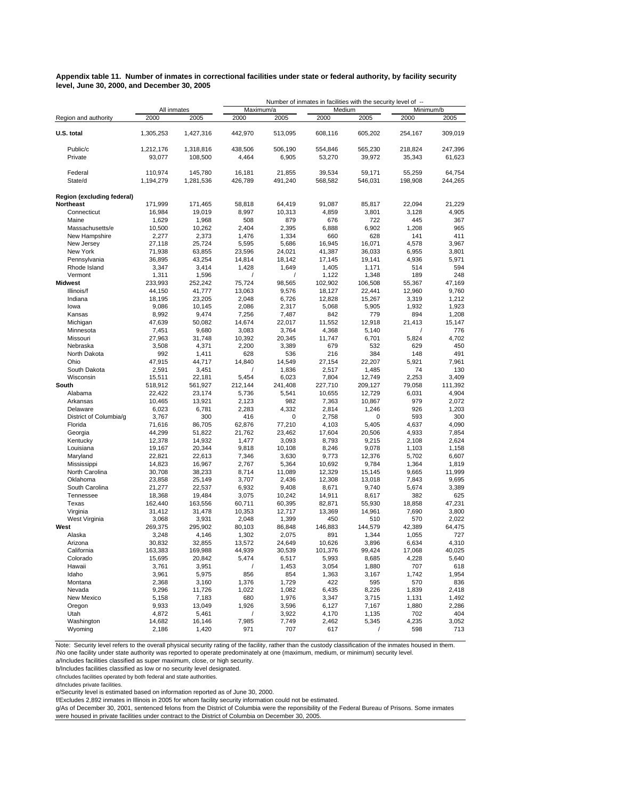**Appendix table 11. Number of inmates in correctional facilities under state or federal authority, by facility security level, June 30, 2000, and December 30, 2005**

|                               |                  |                  |                |                 |                  | Number of inmates in facilities with the security level of -- |                |                 |  |  |
|-------------------------------|------------------|------------------|----------------|-----------------|------------------|---------------------------------------------------------------|----------------|-----------------|--|--|
|                               | All inmates      |                  | Maximum/a      |                 | Medium           |                                                               | Minimum/b      |                 |  |  |
| Region and authority          | 2000             | 2005             | 2000           | 2005            | 2000             | 2005                                                          | 2000           | 2005            |  |  |
| U.S. total                    | 1,305,253        | 1,427,316        | 442,970        | 513,095         | 608,116          | 605,202                                                       | 254,167        | 309,019         |  |  |
| Public/c                      | 1,212,176        | 1,318,816        | 438,506        | 506,190         | 554,846          | 565,230                                                       | 218,824        | 247,396         |  |  |
| Private                       | 93,077           | 108,500          | 4,464          | 6,905           | 53,270           | 39,972                                                        | 35,343         | 61,623          |  |  |
| Federal                       | 110,974          | 145,780          | 16,181         | 21,855          | 39,534           | 59,171                                                        | 55,259         | 64,754          |  |  |
| State/d                       | 1,194,279        | 1,281,536        | 426,789        | 491,240         | 568,582          | 546,031                                                       | 198,908        | 244,265         |  |  |
| Region (excluding federal)    |                  |                  |                |                 |                  |                                                               |                |                 |  |  |
| <b>Northeast</b>              | 171,999          | 171,465          | 58,818         | 64,419          | 91,087           | 85,817                                                        | 22,094         | 21,229          |  |  |
| Connecticut                   | 16,984           | 19,019           | 8,997          | 10,313          | 4,859            | 3,801                                                         | 3,128          | 4,905           |  |  |
| Maine<br>Massachusetts/e      | 1,629            | 1,968            | 508            | 879             | 676              | 722                                                           | 445            | 367             |  |  |
| New Hampshire                 | 10,500<br>2,277  | 10,262<br>2,373  | 2,404<br>1,476 | 2,395<br>1,334  | 6,888<br>660     | 6,902<br>628                                                  | 1,208<br>141   | 965<br>411      |  |  |
| New Jersey                    | 27,118           | 25,724           | 5,595          | 5,686           | 16,945           | 16,071                                                        | 4,578          | 3,967           |  |  |
| New York                      | 71,938           | 63,855           | 23,596         | 24,021          | 41,387           | 36,033                                                        | 6,955          | 3,801           |  |  |
| Pennsylvania                  | 36,895           | 43,254           | 14,814         | 18,142          | 17,145           | 19,141                                                        | 4,936          | 5,971           |  |  |
| Rhode Island                  | 3,347            | 3,414            | 1,428          | 1,649           | 1,405            | 1,171                                                         | 514            | 594             |  |  |
| Vermont                       | 1,311            | 1,596            |                | 1               | 1,122            | 1,348                                                         | 189            | 248             |  |  |
| <b>Midwest</b>                | 233,993          | 252,242          | 75,724         | 98,565          | 102,902          | 106,508                                                       | 55,367         | 47,169          |  |  |
| Illinois/f                    | 44,150           | 41,777           | 13,063         | 9,576           | 18,127           | 22,441                                                        | 12,960         | 9,760           |  |  |
| Indiana                       | 18,195           | 23,205           | 2,048          | 6,726           | 12,828           | 15,267                                                        | 3,319          | 1,212           |  |  |
| lowa                          | 9,086            | 10,145           | 2,086          | 2,317           | 5,068            | 5,905                                                         | 1,932          | 1,923           |  |  |
| Kansas                        | 8,992            | 9,474            | 7,256          | 7,487           | 842              | 779                                                           | 894            | 1,208           |  |  |
| Michigan                      | 47,639           | 50,082           | 14,674         | 22,017          | 11,552           | 12,918                                                        | 21,413         | 15,147          |  |  |
| Minnesota                     | 7,451            | 9,680            | 3,083          | 3,764           | 4,368            | 5,140                                                         | $\overline{1}$ | 776             |  |  |
| Missouri                      | 27,963           | 31,748           | 10,392         | 20,345          | 11,747           | 6,701                                                         | 5,824          | 4,702           |  |  |
| Nebraska<br>North Dakota      | 3,508<br>992     | 4,371<br>1,411   | 2,200<br>628   | 3,389<br>536    | 679<br>216       | 532<br>384                                                    | 629<br>148     | 450<br>491      |  |  |
| Ohio                          | 47,915           | 44,717           | 14,840         | 14,549          | 27,154           | 22,207                                                        | 5,921          | 7,961           |  |  |
| South Dakota                  | 2,591            | 3,451            |                | 1,836           | 2,517            | 1,485                                                         | 74             | 130             |  |  |
| Wisconsin                     | 15,511           | 22,181           | 5.454          | 6,023           | 7,804            | 12,749                                                        | 2,253          | 3,409           |  |  |
| South                         | 518,912          | 561,927          | 212,144        | 241,408         | 227,710          | 209,127                                                       | 79,058         | 111,392         |  |  |
| Alabama                       | 22,422           | 23,174           | 5,736          | 5,541           | 10,655           | 12,729                                                        | 6,031          | 4,904           |  |  |
| Arkansas                      | 10,465           | 13,921           | 2,123          | 982             | 7,363            | 10,867                                                        | 979            | 2,072           |  |  |
| Delaware                      | 6,023            | 6,781            | 2,283          | 4,332           | 2,814            | 1,246                                                         | 926            | 1,203           |  |  |
| District of Columbia/g        | 3,767            | 300              | 416            | 0               | 2,758            | 0                                                             | 593            | 300             |  |  |
| Florida                       | 71,616           | 86,705           | 62,876         | 77,210          | 4,103            | 5,405                                                         | 4,637          | 4,090           |  |  |
| Georgia                       | 44,299           | 51,822           | 21,762         | 23,462          | 17,604           | 20,506                                                        | 4,933          | 7,854           |  |  |
| Kentucky                      | 12,378           | 14,932           | 1,477          | 3,093           | 8,793            | 9,215                                                         | 2,108          | 2,624           |  |  |
| Louisiana                     | 19,167           | 20,344           | 9,818          | 10,108          | 8,246            | 9,078                                                         | 1,103          | 1,158           |  |  |
| Maryland                      | 22,821           | 22,613           | 7,346          | 3,630           | 9,773            | 12,376                                                        | 5,702          | 6,607           |  |  |
| Mississippi<br>North Carolina | 14,823<br>30,708 | 16,967<br>38,233 | 2,767<br>8,714 | 5,364<br>11,089 | 10,692<br>12,329 | 9,784<br>15,145                                               | 1,364<br>9,665 | 1,819<br>11,999 |  |  |
| Oklahoma                      | 23,858           | 25,149           | 3,707          | 2,436           | 12,308           | 13,018                                                        | 7,843          | 9,695           |  |  |
| South Carolina                | 21,277           | 22,537           | 6,932          | 9,408           | 8,671            | 9,740                                                         | 5,674          | 3,389           |  |  |
| Tennessee                     | 18,368           | 19,484           | 3,075          | 10,242          | 14,911           | 8,617                                                         | 382            | 625             |  |  |
| Texas                         | 162,440          | 163,556          | 60,711         | 60,395          | 82,871           | 55,930                                                        | 18,858         | 47,231          |  |  |
| Virginia                      | 31,412           | 31,478           | 10,353         | 12,717          | 13,369           | 14,961                                                        | 7,690          | 3,800           |  |  |
| West Virginia                 | 3,068            | 3,931            | 2,048          | 1,399           | 450              | 510                                                           | 570            | 2,022           |  |  |
| West                          | 269,375          | 295,902          | 80,103         | 86,848          | 146,883          | 144,579                                                       | 42,389         | 64,475          |  |  |
| Alaska                        | 3,248            | 4,146            | 1,302          | 2,075           | 891              | 1,344                                                         | 1,055          | 727             |  |  |
| Arizona                       | 30,832           | 32,855           | 13,572         | 24,649          | 10,626           | 3,896                                                         | 6,634          | 4,310           |  |  |
| California                    | 163,383          | 169,988          | 44,939         | 30,539          | 101,376          | 99,424                                                        | 17,068         | 40,025          |  |  |
| Colorado                      | 15,695           | 20,842           | 5,474          | 6,517           | 5,993            | 8,685                                                         | 4,228          | 5,640           |  |  |
| Hawaii                        | 3,761            | 3,951            | $\sqrt{2}$     | 1,453           | 3,054            | 1,880                                                         | 707            | 618             |  |  |
| Idaho<br>Montana              | 3,961            | 5,975            | 856            | 854             | 1,363<br>422     | 3,167<br>595                                                  | 1,742          | 1,954           |  |  |
| Nevada                        | 2,368<br>9,296   | 3,160<br>11,726  | 1,376<br>1,022 | 1,729<br>1,082  | 6,435            | 8,226                                                         | 570<br>1,839   | 836<br>2,418    |  |  |
| New Mexico                    | 5,158            | 7,183            | 680            | 1,976           | 3,347            | 3,715                                                         | 1,131          | 1,492           |  |  |
| Oregon                        | 9,933            | 13,049           | 1,926          | 3,596           | 6,127            | 7,167                                                         | 1,880          | 2,286           |  |  |
| Utah                          | 4,872            | 5,461            | $\prime$       | 3,922           | 4,170            | 1,135                                                         | 702            | 404             |  |  |
| Washington                    | 14,682           | 16,146           | 7,985          | 7,749           | 2,462            | 5,345                                                         | 4,235          | 3,052           |  |  |
| Wyoming                       | 2,186            | 1,420            | 971            | 707             | 617              |                                                               | 598            | 713             |  |  |

Note: Security level refers to the overall physical security rating of the facility, rather than the custody classification of the inmates housed in them.<br>/No one facility under state authority was reported to operate pred

a/Includes facilities classified as super maximum, close, or high security.

b/Includes facilities classified as low or no security level designated.

c/Includes facilities operated by both federal and state authorities.

d/Includes private facilities.

e/Security level is estimated based on information reported as of June 30, 2000.

f/Excludes 2,892 inmates in Illinois in 2005 for whom facility security information could not be estimated.

g/As of December 30, 2001, sentenced felons from the District of Columbia were the reponsibility of the Federal Bureau of Prisons. Some inmates were housed in private facilities under contract to the District of Columbia on December 30, 2005.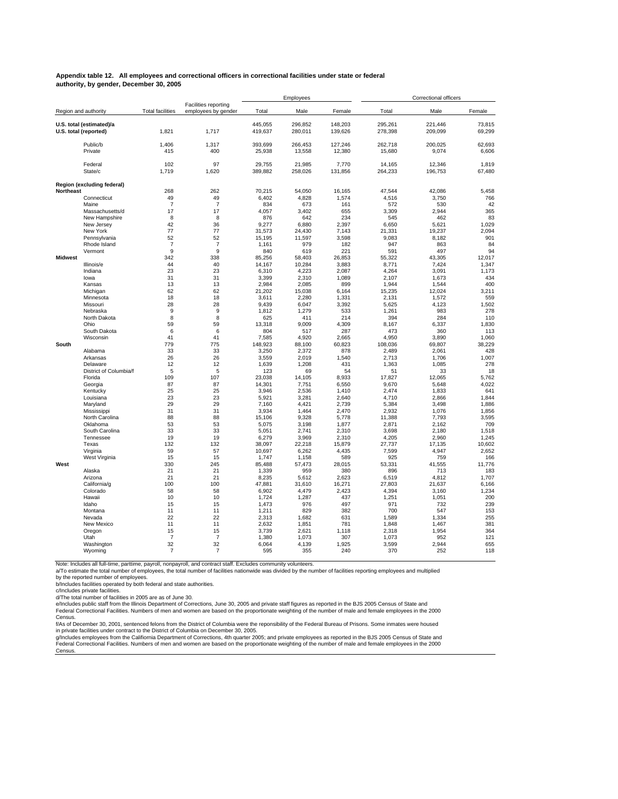#### **Appendix table 12. All employees and correctional officers in correctional facilities under state or federal authority, by gender, December 30, 2005**

|                  |                                                   |                         |                                                    |                    | Employees          |                    |                    | Correctional officers |                  |
|------------------|---------------------------------------------------|-------------------------|----------------------------------------------------|--------------------|--------------------|--------------------|--------------------|-----------------------|------------------|
|                  | Region and authority                              | <b>Total facilities</b> | <b>Facilities reporting</b><br>employees by gender | Total              | Male               | Female             | Total              | Male                  | Female           |
|                  | U.S. total (estimated)/a<br>U.S. total (reported) | 1,821                   | 1,717                                              | 445.055<br>419,637 | 296.852<br>280,011 | 148.203<br>139,626 | 295.261<br>278,398 | 221.446<br>209,099    | 73.815<br>69,299 |
|                  | Public/b<br>Private                               | 1.406<br>415            | 1,317<br>400                                       | 393.699<br>25,938  | 266.453<br>13,558  | 127.246<br>12,380  | 262.718<br>15,680  | 200.025<br>9.074      | 62.693<br>6.606  |
|                  | Federal<br>State/c                                | 102<br>1.719            | 97<br>1,620                                        | 29.755<br>389.882  | 21.985<br>258,026  | 7.770<br>131,856   | 14.165<br>264,233  | 12.346<br>196,753     | 1.819<br>67,480  |
|                  | Region (excluding federal)                        |                         |                                                    |                    |                    |                    |                    |                       |                  |
| <b>Northeast</b> |                                                   | 268                     | 262                                                | 70.215             | 54,050             | 16.165             | 47.544             | 42.086                | 5.458            |
|                  | Connecticut                                       | 49                      | 49                                                 | 6,402              | 4,828              | 1,574              | 4,516              | 3,750                 | 766              |
|                  | Maine                                             | $\overline{7}$          | $\overline{7}$                                     | 834                | 673                | 161                | 572                | 530                   | 42               |
|                  | Massachusetts/d                                   | 17                      | 17                                                 | 4.057              | 3.402              | 655                | 3.309              | 2.944                 | 365              |
|                  | New Hampshire                                     | 8                       | 8                                                  | 876                | 642                | 234                | 545                | 462                   | 83               |
|                  | New Jersey                                        | 42                      | 36                                                 | 9,277              | 6,880              | 2.397              | 6,650              | 5,621                 | 1,029            |
|                  | New York                                          | 77                      | 77                                                 | 31.573             | 24.430             | 7.143              | 21.331             | 19.237                | 2.094            |
|                  | Pennsylvania                                      | 52                      | 52                                                 | 15,195             | 11,597             | 3,598              | 9,083              | 8,182                 | 901              |
|                  | Rhode Island<br>Vermont                           | $\overline{7}$<br>9     | $\overline{7}$<br>9                                | 1,161<br>840       | 979<br>619         | 182<br>221         | 947<br>591         | 863<br>497            | 84<br>94         |
| <b>Midwest</b>   |                                                   | 342                     | 338                                                | 85,256             | 58,403             | 26,853             | 55,322             | 43,305                | 12,017           |
|                  | Illinois/e                                        | 44                      | 40                                                 | 14,167             | 10,284             | 3,883              | 8,771              | 7,424                 | 1,347            |
|                  | Indiana                                           | 23                      | 23                                                 | 6,310              | 4,223              | 2.087              | 4,264              | 3.091                 | 1.173            |
|                  | lowa                                              | 31                      | 31                                                 | 3,399              | 2,310              | 1,089              | 2,107              | 1,673                 | 434              |
|                  | Kansas                                            | 13                      | 13                                                 | 2,984              | 2,085              | 899                | 1,944              | 1,544                 | 400              |
|                  | Michigan                                          | 62                      | 62                                                 | 21,202             | 15.038             | 6.164              | 15.235             | 12.024                | 3.211            |
|                  | Minnesota                                         | 18                      | 18                                                 | 3,611              | 2,280              | 1,331              | 2,131              | 1,572                 | 559              |
|                  | Missouri                                          | 28                      | 28                                                 | 9,439              | 6,047              | 3,392              | 5,625              | 4,123                 | 1,502            |
|                  | Nebraska                                          | 9                       | 9                                                  | 1.812              | 1.279              | 533                | 1.261              | 983                   | 278              |
|                  | North Dakota                                      | 8                       | 8                                                  | 625                | 411                | 214                | 394                | 284                   | 110              |
|                  | Ohio                                              | 59                      | 59                                                 | 13,318             | 9,009              | 4,309              | 8,167              | 6,337                 | 1,830            |
|                  | South Dakota<br>Wisconsin                         | 6<br>41                 | 6<br>41                                            | 804<br>7,585       | 517<br>4,920       | 287<br>2,665       | 473<br>4,950       | 360<br>3,890          | 113<br>1,060     |
| South            |                                                   | 779                     | 775                                                | 148,923            | 88,100             | 60,823             | 108,036            | 69,807                | 38,229           |
|                  | Alabama                                           | 33                      | 33                                                 | 3,250              | 2,372              | 878                | 2,489              | 2,061                 | 428              |
|                  | Arkansas                                          | 26                      | 26                                                 | 3,559              | 2,019              | 1,540              | 2,713              | 1,706                 | 1,007            |
|                  | Delaware                                          | 12                      | 12                                                 | 1,639              | 1,208              | 431                | 1,363              | 1,085                 | 278              |
|                  | District of Columbia/f                            | 5                       | 5                                                  | 123                | 69                 | 54                 | 51                 | 33                    | 18               |
|                  | Florida                                           | 109                     | 107                                                | 23.038             | 14,105             | 8.933              | 17,827             | 12,065                | 5,762            |
|                  | Georgia                                           | 87                      | 87                                                 | 14,301             | 7,751              | 6,550              | 9,670              | 5,648                 | 4,022            |
|                  | Kentucky                                          | 25                      | 25                                                 | 3,946              | 2,536              | 1.410              | 2,474              | 1,833                 | 641              |
|                  | Louisiana                                         | 23                      | 23                                                 | 5,921              | 3,281              | 2.640              | 4,710              | 2,866                 | 1,844            |
|                  | Maryland                                          | 29                      | 29                                                 | 7,160              | 4,421              | 2,739              | 5,384              | 3,498                 | 1,886            |
|                  | Mississippi<br>North Carolina                     | 31<br>88                | 31<br>88                                           | 3.934<br>15,106    | 1,464<br>9,328     | 2.470<br>5,778     | 2,932<br>11,388    | 1.076<br>7,793        | 1,856<br>3,595   |
|                  | Oklahoma                                          | 53                      | 53                                                 | 5,075              | 3,198              | 1,877              | 2,871              | 2,162                 | 709              |
|                  | South Carolina                                    | 33                      | 33                                                 | 5,051              | 2,741              | 2.310              | 3,698              | 2,180                 | 1,518            |
|                  | Tennessee                                         | 19                      | 19                                                 | 6,279              | 3,969              | 2,310              | 4,205              | 2,960                 | 1,245            |
|                  | Texas                                             | 132                     | 132                                                | 38,097             | 22,218             | 15,879             | 27,737             | 17,135                | 10,602           |
|                  | Virginia                                          | 59                      | 57                                                 | 10,697             | 6,262              | 4,435              | 7,599              | 4,947                 | 2,652            |
|                  | West Virginia                                     | 15                      | 15                                                 | 1,747              | 1,158              | 589                | 925                | 759                   | 166              |
| West             |                                                   | 330                     | 245                                                | 85,488             | 57,473             | 28,015             | 53,331             | 41,555                | 11,776           |
|                  | Alaska                                            | 21                      | 21                                                 | 1,339              | 959                | 380                | 896                | 713                   | 183              |
|                  | Arizona                                           | 21                      | 21                                                 | 8,235              | 5,612              | 2,623              | 6,519              | 4,812                 | 1,707            |
|                  | California/g<br>Colorado                          | 100<br>58               | 100<br>58                                          | 47,881<br>6,902    | 31,610<br>4,479    | 16,271<br>2,423    | 27,803<br>4,394    | 21,637                | 6,166<br>1,234   |
|                  | Hawaii                                            | 10                      | 10                                                 | 1,724              | 1,287              | 437                | 1,251              | 3,160<br>1,051        | 200              |
|                  | Idaho                                             | 15                      | 15                                                 | 1,473              | 976                | 497                | 971                | 732                   | 239              |
|                  | Montana                                           | 11                      | 11                                                 | 1,211              | 829                | 382                | 700                | 547                   | 153              |
|                  | Nevada                                            | 22                      | 22                                                 | 2,313              | 1,682              | 631                | 1,589              | 1,334                 | 255              |
|                  | New Mexico                                        | 11                      | 11                                                 | 2,632              | 1,851              | 781                | 1,848              | 1,467                 | 381              |
|                  | Oregon                                            | 15                      | 15                                                 | 3,739              | 2,621              | 1,118              | 2,318              | 1,954                 | 364              |
|                  | Utah                                              | $\overline{7}$          | $\overline{7}$                                     | 1,380              | 1,073              | 307                | 1,073              | 952                   | 121              |
|                  | Washington                                        | 32                      | 32                                                 | 6.064              | 4.139              | 1.925              | 3,599              | 2.944                 | 655              |
|                  | Wyoming                                           | $\overline{7}$          | $\overline{7}$                                     | 595                | 355                | 240                | 370                | 252                   | 118              |

Note: Includes all full-time, parttime, payroll, nonpayroll, and contract staff. Excludes community volunteers.<br>a/To estimate the total number of employees, the total number of facilities nationwide was divided by the numb by the reported number of employees.

b/Includes facilities operated by both federal and state authorities.

c/Includes private facilities. d/The total number of facilities in 2005 are as of June 30.

e/Includes public staff from the Illinois Department of Corrections, June 30, 2005 and private staff figures as reported in the BJS 2005 Census of State and Federal Correctional Facilities. Numbers of men and women are based on the proportionate weighting of the number of male and female employees in the 2000 Census.

in private facilities under contract to the District of Columbia on December 30, 2005.<br>g/Includes employees from the Califiornia Department of Corrections, 4th quarter 2005; and private employees as reported in the BJS 200 f/As of December 30, 2001, sentenced felons from the District of Columbia were the reponsibility of the Federal Bureau of Prisons. Some inmates were housed

Federal Correctional Facilities. Numbers of men and women are based on the proportionate weighting of the number of male and female employees in the 2000 **Census**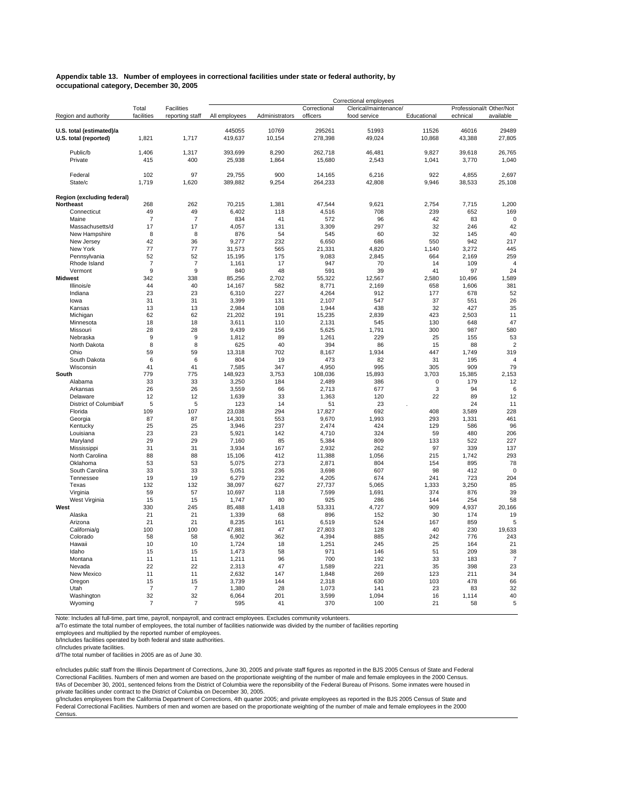#### **Appendix table 13. Number of employees in correctional facilities under state or federal authority, by occupational category, December 30, 2005**

|                                                   |                |                 |                   |                 |                   | Correctional employees |                 |                          |                      |
|---------------------------------------------------|----------------|-----------------|-------------------|-----------------|-------------------|------------------------|-----------------|--------------------------|----------------------|
|                                                   | Total          | Facilities      |                   |                 | Correctional      | Clerical/maintenance/  |                 | Professional/t Other/Not |                      |
| Region and authority                              | facilities     | reporting staff | All employees     | Administrators  | officers          | food service           | Educational     | echnical                 | available            |
|                                                   |                |                 |                   |                 |                   |                        |                 |                          |                      |
| U.S. total (estimated)/a<br>U.S. total (reported) | 1,821          | 1,717           | 445055<br>419,637 | 10769<br>10,154 | 295261<br>278,398 | 51993<br>49,024        | 11526<br>10,868 | 46016<br>43,388          | 29489<br>27,805      |
|                                                   |                |                 |                   |                 |                   |                        |                 |                          |                      |
| Public/b                                          | 1,406          | 1,317           | 393,699           | 8,290           | 262,718           | 46,481                 | 9,827           | 39,618                   | 26,765               |
| Private                                           | 415            | 400             | 25,938            | 1,864           | 15,680            | 2,543                  | 1,041           | 3,770                    | 1,040                |
|                                                   |                |                 |                   |                 |                   |                        |                 |                          |                      |
| Federal                                           | 102            | 97              | 29,755            | 900             | 14,165            | 6,216                  | 922             | 4,855                    | 2,697                |
| State/c                                           | 1,719          | 1,620           | 389,882           | 9,254           | 264,233           | 42,808                 | 9,946           | 38,533                   | 25,108               |
|                                                   |                |                 |                   |                 |                   |                        |                 |                          |                      |
| Region (excluding federal)                        |                |                 |                   |                 |                   |                        |                 |                          |                      |
| Northeast                                         | 268            | 262             | 70,215            | 1,381           | 47,544            | 9,621                  | 2,754           | 7,715                    | 1,200                |
| Connecticut                                       | 49             | 49              | 6,402             | 118             | 4,516             | 708                    | 239             | 652                      | 169                  |
| Maine                                             | $\overline{7}$ | $\overline{7}$  | 834               | 41              | 572               | 96                     | 42              | 83                       | 0                    |
| Massachusetts/d                                   | 17             | 17              | 4.057             | 131             | 3.309             | 297                    | 32              | 246<br>145               | 42                   |
| New Hampshire                                     | 8<br>42        | 8<br>36         | 876               | 54              | 545               | 60<br>686              | 32<br>550       | 942                      | 40<br>217            |
| New Jersey<br>New York                            | 77             | 77              | 9,277<br>31,573   | 232<br>565      | 6,650<br>21,331   | 4,820                  | 1,140           | 3,272                    | 445                  |
| Pennsylvania                                      | 52             | 52              | 15,195            | 175             | 9,083             | 2,845                  | 664             | 2,169                    | 259                  |
| Rhode Island                                      | $\overline{7}$ | $\overline{7}$  | 1,161             | 17              | 947               | 70                     | 14              | 109                      | $\overline{4}$       |
| Vermont                                           | 9              | 9               | 840               | 48              | 591               | 39                     | 41              | 97                       | 24                   |
| <b>Midwest</b>                                    | 342            | 338             | 85,256            | 2,702           | 55,322            | 12,567                 | 2,580           | 10,496                   | 1,589                |
| Illinois/e                                        | 44             | 40              | 14,167            | 582             | 8,771             | 2,169                  | 658             | 1,606                    | 381                  |
| Indiana                                           | 23             | 23              | 6,310             | 227             | 4,264             | 912                    | 177             | 678                      | 52                   |
| lowa                                              | 31             | 31              | 3,399             | 131             | 2,107             | 547                    | 37              | 551                      | 26                   |
| Kansas                                            | 13             | 13              | 2,984             | 108             | 1,944             | 438                    | 32              | 427                      | 35                   |
| Michigan                                          | 62             | 62              | 21,202            | 191             | 15,235            | 2.839                  | 423             | 2,503                    | 11                   |
| Minnesota                                         | 18             | 18              | 3,611             | 110             | 2,131             | 545                    | 130             | 648                      | 47                   |
| Missouri                                          | 28             | 28              | 9,439             | 156             | 5,625             | 1,791                  | 300             | 987                      | 580                  |
| Nebraska                                          | 9              | 9               | 1.812             | 89              | 1,261             | 229                    | 25              | 155                      | 53                   |
| North Dakota                                      | 8              | 8               | 625               | 40              | 394               | 86                     | 15              | 88                       | $\overline{2}$       |
| Ohio                                              | 59<br>6        | 59<br>6         | 13,318<br>804     | 702             | 8,167             | 1,934                  | 447             | 1,749                    | 319                  |
| South Dakota                                      | 41             | 41              |                   | 19              | 473               | 82                     | 31              | 195<br>909               | $\overline{4}$<br>79 |
| Wisconsin<br>South                                | 779            | 775             | 7,585<br>148,923  | 347<br>3,753    | 4,950<br>108,036  | 995<br>15,893          | 305<br>3,703    | 15,385                   | 2,153                |
| Alabama                                           | 33             | 33              | 3,250             | 184             | 2,489             | 386                    | $\mathbf 0$     | 179                      | 12                   |
| Arkansas                                          | 26             | 26              | 3,559             | 66              | 2,713             | 677                    | 3               | 94                       | 6                    |
| Delaware                                          | 12             | 12              | 1,639             | 33              | 1,363             | 120                    | 22              | 89                       | 12                   |
| District of Columbia/f                            | 5              | 5               | 123               | 14              | 51                | 23                     |                 | 24                       | 11                   |
| Florida                                           | 109            | 107             | 23,038            | 294             | 17,827            | 692                    | 408             | 3,589                    | 228                  |
| Georgia                                           | 87             | 87              | 14,301            | 553             | 9,670             | 1,993                  | 293             | 1,331                    | 461                  |
| Kentucky                                          | 25             | 25              | 3,946             | 237             | 2,474             | 424                    | 129             | 586                      | 96                   |
| Louisiana                                         | 23             | 23              | 5,921             | 142             | 4,710             | 324                    | 59              | 480                      | 206                  |
| Maryland                                          | 29             | 29              | 7,160             | 85              | 5,384             | 809                    | 133             | 522                      | 227                  |
| Mississippi                                       | 31             | 31              | 3.934             | 167             | 2,932             | 262                    | 97              | 339                      | 137                  |
| North Carolina                                    | 88             | 88              | 15,106            | 412             | 11,388            | 1,056                  | 215             | 1,742                    | 293                  |
| Oklahoma<br>South Carolina                        | 53<br>33       | 53<br>33        | 5,075<br>5,051    | 273<br>236      | 2,871<br>3,698    | 804<br>607             | 154<br>98       | 895<br>412               | 78<br>$\mathbf 0$    |
| Tennessee                                         | 19             | 19              | 6,279             | 232             | 4,205             | 674                    | 241             | 723                      | 204                  |
| Texas                                             | 132            | 132             | 38,097            | 627             | 27,737            | 5,065                  | 1,333           | 3,250                    | 85                   |
| Virginia                                          | 59             | 57              | 10,697            | 118             | 7,599             | 1,691                  | 374             | 876                      | 39                   |
| West Virginia                                     | 15             | 15              | 1,747             | 80              | 925               | 286                    | 144             | 254                      | 58                   |
| West                                              | 330            | 245             | 85,488            | 1,418           | 53,331            | 4,727                  | 909             | 4,937                    | 20,166               |
| Alaska                                            | 21             | 21              | 1,339             | 68              | 896               | 152                    | 30              | 174                      | 19                   |
| Arizona                                           | 21             | 21              | 8,235             | 161             | 6,519             | 524                    | 167             | 859                      | 5                    |
| California/g                                      | 100            | 100             | 47,881            | 47              | 27,803            | 128                    | 40              | 230                      | 19,633               |
| Colorado                                          | 58             | 58              | 6,902             | 362             | 4,394             | 885                    | 242             | 776                      | 243                  |
| Hawaii                                            | 10             | 10              | 1,724             | 18              | 1,251             | 245                    | 25              | 164                      | 21                   |
| Idaho                                             | 15             | 15              | 1,473             | 58              | 971               | 146                    | 51              | 209                      | 38                   |
| Montana                                           | 11             | 11              | 1,211             | 96              | 700               | 192                    | 33              | 183                      | $\overline{7}$       |
| Nevada<br>New Mexico                              | 22<br>11       | 22<br>11        | 2,313<br>2,632    | 47<br>147       | 1,589<br>1,848    | 221<br>269             | 35<br>123       | 398<br>211               | 23<br>34             |
| Oregon                                            | 15             | 15              | 3,739             | 144             | 2,318             | 630                    | 103             | 478                      | 66                   |
| Utah                                              | $\overline{7}$ | 7               | 1,380             | 28              | 1,073             | 141                    | 23              | 83                       | 32                   |
| Washington                                        | 32             | 32              | 6,064             | 201             | 3,599             | 1,094                  | 16              | 1,114                    | 40                   |
| Wyoming                                           | $\overline{7}$ | $\overline{7}$  | 595               | 41              | 370               | 100                    | 21              | 58                       | 5                    |
|                                                   |                |                 |                   |                 |                   |                        |                 |                          |                      |

Note: Includes all full-time, part time, payroll, nonpayroll, and contract employees. Excludes community volunteers.

a/To estimate the total number of employees, the total number of facilities nationwide was divided by the number of facilities reporting

employees and multiplied by the reported number of employees. b/Includes facilities operated by both federal and state authorities.

c/Includes private facilities.

d/The total number of facilities in 2005 are as of June 30.

f/As of December 30, 2001, sentenced felons from the District of Columbia were the reponsibility of the Federal Bureau of Prisons. Some inmates were housed in private facilities under contract to the District of Columbia on December 30, 2005. e/Includes public staff from the Illinois Department of Corrections, June 30, 2005 and private staff figures as reported in the BJS 2005 Census of State and Federal<br>Correctional Facilities. Numbers of men and women are bas

g/Includes employees from the California Department of Corrections, 4th quarter 2005; and private employees as reported in the BJS 2005 Census of State and Federal Correctional Facilities. Numbers of men and women are based on the proportionate weighting of the number of male and female employees in the 2000 **Census**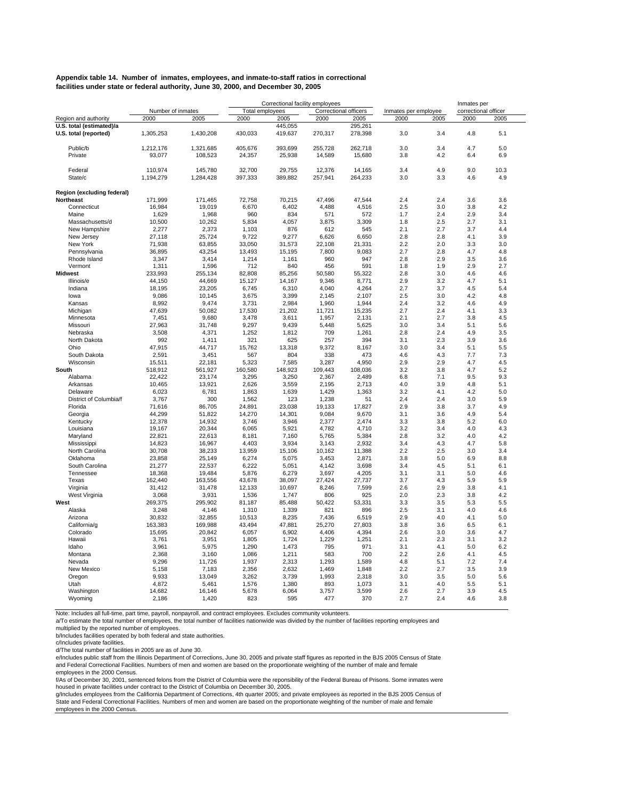#### **Appendix table 14. Number of inmates, employees, and inmate-to-staff ratios in correctional facilities under state or federal authority, June 30, 2000, and December 30, 2005**

|                            |                   |                 |                  | Correctional facility employees |                       |                 |                      |            | Inmates per          |            |
|----------------------------|-------------------|-----------------|------------------|---------------------------------|-----------------------|-----------------|----------------------|------------|----------------------|------------|
|                            | Number of inmates |                 | Total employees  |                                 | Correctional officers |                 | Inmates per employee |            | correctional officer |            |
| Region and authority       | 2000              | 2005            | 2000             | 2005                            | 2000                  | 2005            | 2000                 | 2005       | 2000                 | 2005       |
| U.S. total (estimated)/a   |                   |                 |                  | 445.055                         |                       | 295.261         |                      |            |                      |            |
| U.S. total (reported)      | 1,305,253         | 1,430,208       | 430,033          | 419,637                         | 270,317               | 278,398         | 3.0                  | 3.4        | 4.8                  | 5.1        |
| Public/b                   | 1,212,176         | 1,321,685       | 405,676          | 393.699                         | 255,728               | 262.718         | 3.0                  | 3.4        | 4.7                  | 5.0        |
| Private                    | 93,077            | 108,523         | 24,357           | 25,938                          | 14,589                | 15,680          | 3.8                  | 4.2        | 6.4                  | 6.9        |
|                            |                   |                 |                  |                                 |                       |                 |                      |            |                      |            |
| Federal                    | 110,974           | 145,780         | 32,700           | 29,755                          | 12,376                | 14,165          | 3.4                  | 4.9        | 9.0                  | 10.3       |
| State/c                    | 1,194,279         | 1,284,428       | 397,333          | 389,882                         | 257,941               | 264,233         | 3.0                  | 3.3        | 4.6                  | 4.9        |
| Region (excluding federal) |                   |                 |                  |                                 |                       |                 |                      |            |                      |            |
| Northeast                  | 171,999           | 171,465         | 72,758           | 70,215                          | 47,496                | 47,544          | 2.4                  | 2.4        | 3.6                  | 3.6        |
| Connecticut                | 16,984            | 19,019          | 6,670            | 6,402                           | 4,488                 | 4,516           | 2.5                  | 3.0        | 3.8                  | 4.2        |
| Maine                      | 1,629             | 1,968           | 960              | 834                             | 571                   | 572             | 1.7                  | 2.4        | 2.9                  | 3.4        |
| Massachusetts/d            | 10,500            | 10,262          | 5,834            | 4,057                           | 3,875                 | 3,309           | 1.8                  | 2.5        | 2.7                  | 3.1        |
| New Hampshire              | 2,277             | 2,373           | 1,103            | 876                             | 612                   | 545             | 2.1                  | 2.7        | 3.7                  | 4.4        |
| New Jersey                 | 27,118            | 25,724          | 9,722            | 9,277                           | 6,626                 | 6,650           | 2.8                  | 2.8        | 4.1                  | 3.9        |
| New York                   | 71,938            | 63,855          | 33,050           | 31,573                          | 22,108                | 21,331          | 2.2                  | 2.0        | 3.3                  | 3.0        |
| Pennsylvania               | 36,895            | 43,254          | 13,493           | 15,195                          | 7,800                 | 9,083           | 2.7                  | 2.8        | 4.7                  | 4.8        |
| Rhode Island               | 3,347             | 3,414           | 1,214            | 1,161                           | 960                   | 947             | 2.8                  | 2.9        | 3.5                  | 3.6        |
| Vermont                    | 1,311             | 1,596           | 712              | 840                             | 456                   | 591             | 1.8                  | 1.9        | 2.9                  | 2.7        |
| <b>Midwest</b>             | 233,993           | 255,134         | 82,808           | 85,256                          | 50,580                | 55,322          | 2.8                  | 3.0        | 4.6                  | 4.6        |
| Illinois/e                 | 44,150            | 44,669          | 15,127           | 14,167                          | 9,346                 | 8,771           | 2.9                  | 3.2        | 4.7                  | 5.1        |
| Indiana                    | 18,195            | 23,205          | 6,745            | 6,310                           | 4,040                 | 4,264           | 2.7                  | 3.7        | 4.5                  | 5.4        |
| lowa                       | 9.086             | 10.145          | 3.675            | 3.399                           | 2.145                 | 2.107           | 2.5                  | 3.0        | 4.2                  | 4.8        |
| Kansas                     | 8,992             | 9,474           | 3,731            | 2,984                           | 1,960                 | 1,944           | 2.4                  | 3.2        | 4.6                  | 4.9        |
| Michigan                   | 47,639            | 50,082          | 17,530           | 21,202                          | 11,721                | 15,235          | 2.7                  | 2.4        | 4.1                  | 3.3        |
| Minnesota                  | 7,451             | 9,680           | 3,478            | 3,611                           | 1,957                 | 2,131           | 2.1                  | 2.7        | 3.8                  | 4.5        |
| Missouri<br>Nebraska       | 27,963<br>3,508   | 31,748<br>4,371 | 9,297<br>1,252   | 9,439<br>1,812                  | 5,448<br>709          | 5,625<br>1,261  | 3.0<br>2.8           | 3.4<br>2.4 | 5.1<br>4.9           | 5.6<br>3.5 |
| North Dakota               | 992               | 1,411           | 321              | 625                             | 257                   | 394             | 3.1                  | 2.3        | 3.9                  | 3.6        |
| Ohio                       | 47,915            | 44,717          | 15,762           | 13,318                          | 9,372                 | 8,167           | 3.0                  | 3.4        | 5.1                  | 5.5        |
| South Dakota               | 2,591             | 3,451           | 567              | 804                             | 338                   | 473             | 4.6                  | 4.3        | 7.7                  | 7.3        |
| Wisconsin                  | 15,511            | 22,181          | 5,323            | 7,585                           | 3,287                 | 4,950           | 2.9                  | 2.9        | 4.7                  | 4.5        |
| South                      | 518,912           | 561,927         | 160,580          | 148,923                         | 109,443               | 108,036         | 3.2                  | 3.8        | 4.7                  | 5.2        |
| Alabama                    | 22,422            | 23,174          | 3,295            | 3,250                           | 2,367                 | 2,489           | 6.8                  | 7.1        | 9.5                  | 9.3        |
| Arkansas                   | 10,465            | 13,921          | 2,626            | 3,559                           | 2,195                 | 2,713           | 4.0                  | 3.9        | 4.8                  | 5.1        |
| Delaware                   | 6,023             | 6,781           | 1,863            | 1,639                           | 1,429                 | 1,363           | 3.2                  | 4.1        | 4.2                  | 5.0        |
| District of Columbia/f     | 3,767             | 300             | 1,562            | 123                             | 1,238                 | 51              | 2.4                  | 2.4        | 3.0                  | 5.9        |
| Florida                    | 71,616            | 86,705          | 24,891           | 23,038                          | 19,133                | 17,827          | 2.9                  | 3.8        | 3.7                  | 4.9        |
| Georgia                    | 44,299            | 51,822          | 14,270           | 14,301                          | 9,084                 | 9,670           | 3.1                  | 3.6        | 4.9                  | 5.4        |
| Kentucky                   | 12,378            | 14,932          | 3,746            | 3,946                           | 2,377                 | 2,474           | 3.3                  | 3.8        | 5.2                  | 6.0        |
| Louisiana                  | 19,167            | 20,344          | 6,065            | 5,921                           | 4,782                 | 4,710           | 3.2                  | 3.4        | 4.0                  | 4.3        |
| Maryland                   | 22,821            | 22,613          | 8,181            | 7,160                           | 5,765                 | 5,384           | 2.8                  | 3.2        | 4.0                  | 4.2        |
| Mississippi                | 14,823            | 16,967          | 4,403            | 3,934                           | 3,143                 | 2,932           | 3.4                  | 4.3        | 4.7                  | 5.8        |
| North Carolina             | 30,708            | 38,233          | 13,959           | 15,106                          | 10,162                | 11,388          | 2.2                  | 2.5        | 3.0                  | 3.4        |
| Oklahoma                   | 23,858            | 25,149          | 6,274            | 5,075                           | 3,453                 | 2,871           | 3.8                  | 5.0        | 6.9                  | 8.8        |
| South Carolina             | 21,277            | 22,537          | 6,222            | 5,051                           | 4,142                 | 3,698           | 3.4                  | 4.5        | 5.1                  | 6.1        |
| Tennessee                  | 18,368            | 19,484          | 5,876            | 6,279                           | 3,697                 | 4,205           | 3.1                  | 3.1        | 5.0                  | 4.6        |
| Texas                      | 162,440           | 163,556         | 43,678<br>12.133 | 38,097<br>10,697                | 27,424<br>8,246       | 27,737<br>7.599 | 3.7<br>2.6           | 4.3<br>2.9 | 5.9<br>3.8           | 5.9<br>4.1 |
| Virginia<br>West Virginia  | 31,412<br>3,068   | 31,478<br>3,931 | 1,536            | 1,747                           | 806                   | 925             | 2.0                  | 2.3        | 3.8                  | 4.2        |
| West                       | 269,375           | 295,902         | 81,187           | 85,488                          | 50,422                | 53,331          | 3.3                  | 3.5        | 5.3                  | 5.5        |
| Alaska                     | 3,248             | 4,146           | 1,310            | 1,339                           | 821                   | 896             | 2.5                  | 3.1        | 4.0                  | 4.6        |
| Arizona                    | 30,832            | 32,855          | 10,513           | 8,235                           | 7,436                 | 6,519           | 2.9                  | 4.0        | 4.1                  | 5.0        |
| California/g               | 163,383           | 169.988         | 43.494           | 47.881                          | 25.270                | 27.803          | 3.8                  | 3.6        | 6.5                  | 6.1        |
| Colorado                   | 15,695            | 20,842          | 6,057            | 6,902                           | 4,406                 | 4,394           | 2.6                  | 3.0        | 3.6                  | 4.7        |
| Hawaii                     | 3,761             | 3,951           | 1,805            | 1,724                           | 1,229                 | 1,251           | 2.1                  | 2.3        | 3.1                  | 3.2        |
| Idaho                      | 3,961             | 5,975           | 1,290            | 1,473                           | 795                   | 971             | 3.1                  | 4.1        | 5.0                  | 6.2        |
| Montana                    | 2,368             | 3,160           | 1,086            | 1,211                           | 583                   | 700             | 2.2                  | 2.6        | 4.1                  | 4.5        |
| Nevada                     | 9,296             | 11,726          | 1,937            | 2,313                           | 1,293                 | 1,589           | 4.8                  | 5.1        | 7.2                  | 7.4        |
| New Mexico                 | 5,158             | 7,183           | 2,356            | 2,632                           | 1,469                 | 1,848           | 2.2                  | 2.7        | 3.5                  | 3.9        |
| Oregon                     | 9,933             | 13,049          | 3,262            | 3,739                           | 1,993                 | 2,318           | 3.0                  | 3.5        | 5.0                  | 5.6        |
| Utah                       | 4,872             | 5,461           | 1,576            | 1,380                           | 893                   | 1,073           | 3.1                  | 4.0        | 5.5                  | 5.1        |
| Washington                 | 14,682            | 16,146          | 5,678            | 6,064                           | 3,757                 | 3,599           | 2.6                  | 2.7        | 3.9                  | 4.5        |
| Wyoming                    | 2,186             | 1,420           | 823              | 595                             | 477                   | 370             | 2.7                  | 2.4        | 4.6                  | 3.8        |

Note: Includes all full-time, part time, payroll, nonpayroll, and contract employees. Excludes community volunteers.

a/To estimate the total number of employees, the total number of facilities nationwide was divided by the number of facilities reporting employees and

multiplied by the reported number of employees.

b/Includes facilities operated by both federal and state authorities. c/Includes private facilities.

d/The total number of facilities in 2005 are as of June 30.

e/Includes public staff from the Illinois Department of Corrections, June 30, 2005 and private staff figures as reported in the BJS 2005 Census of State and Federal Correctional Facilities. Numbers of men and women are based on the proportionate weighting of the number of male and female employees in the 2000 Census.

f/As of December 30, 2001, sentenced felons from the District of Columbia were the reponsibility of the Federal Bureau of Prisons. Some inmates were housed in private facilities under contract to the District of Columbia on December 30, 2005.

g/Includes employees from the Califiornia Department of Corrections, 4th quarter 2005; and private employees as reported in the BJS 2005 Census of<br>State and Federal Correctional Facilities. Numbers of men and women are bas employees in the 2000 Census.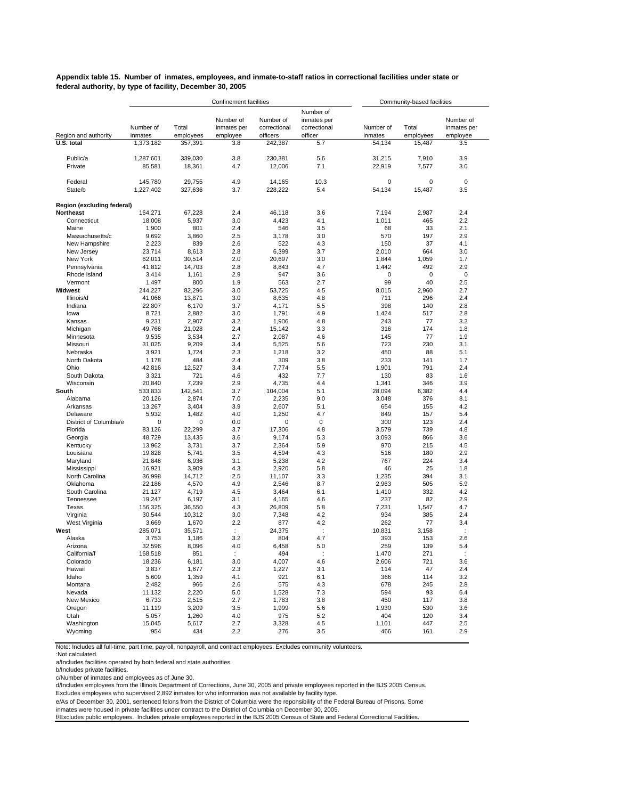**Appendix table 15. Number of inmates, employees, and inmate-to-staff ratios in correctional facilities under state or federal authority, by type of facility, December 30, 2005**

|                            |                      |                    | Confinement facilities               |                                       |                                                     | Community-based facilities |                    |                                      |  |
|----------------------------|----------------------|--------------------|--------------------------------------|---------------------------------------|-----------------------------------------------------|----------------------------|--------------------|--------------------------------------|--|
| Region and authority       | Number of<br>inmates | Total<br>employees | Number of<br>inmates per<br>employee | Number of<br>correctional<br>officers | Number of<br>inmates per<br>correctional<br>officer | Number of<br>inmates       | Total<br>employees | Number of<br>inmates per<br>employee |  |
| U.S. total                 | 1,373,182            | 357,391            | 3.8                                  | 242,387                               | 5.7                                                 | 54,134                     | 15,487             | 3.5                                  |  |
| Public/a<br>Private        | 1.287.601<br>85,581  | 339,030<br>18,361  | 3.8<br>4.7                           | 230,381<br>12,006                     | 5.6<br>7.1                                          | 31,215<br>22,919           | 7,910<br>7,577     | 3.9<br>3.0                           |  |
| Federal<br>State/b         | 145,780<br>1,227,402 | 29,755<br>327,636  | 4.9<br>3.7                           | 14,165<br>228,222                     | 10.3<br>5.4                                         | 0<br>54,134                | 0<br>15,487        | $\mathbf 0$<br>3.5                   |  |
| Region (excluding federal) |                      |                    |                                      |                                       |                                                     |                            |                    |                                      |  |
| Northeast                  | 164,271              | 67,228             | 2.4                                  | 46,118                                | 3.6                                                 | 7,194                      | 2,987              | 2.4                                  |  |
| Connecticut                | 18,008               | 5,937              | 3.0                                  | 4,423                                 | 4.1                                                 | 1,011                      | 465                | 2.2                                  |  |
| Maine                      | 1,900                | 801                | 2.4                                  | 546                                   | 3.5                                                 | 68                         | 33                 | 2.1                                  |  |
| Massachusetts/c            | 9,692                | 3,860              | 2.5                                  | 3,178                                 | 3.0                                                 | 570                        | 197                | 2.9                                  |  |
| New Hampshire              | 2,223                | 839                | 2.6<br>2.8                           | 522                                   | 4.3<br>3.7                                          | 150<br>2,010               | 37<br>664          | 4.1<br>3.0                           |  |
| New Jersey<br>New York     | 23,714<br>62,011     | 8,613<br>30,514    | 2.0                                  | 6,399<br>20,697                       | 3.0                                                 | 1,844                      | 1,059              | 1.7                                  |  |
| Pennsylvania               | 41,812               | 14,703             | 2.8                                  | 8,843                                 | 4.7                                                 | 1,442                      | 492                | 2.9                                  |  |
| Rhode Island               | 3,414                | 1,161              | 2.9                                  | 947                                   | 3.6                                                 | 0                          | 0                  | $\mathbf 0$                          |  |
| Vermont                    | 1,497                | 800                | 1.9                                  | 563                                   | 2.7                                                 | 99                         | 40                 | 2.5                                  |  |
| <b>Midwest</b>             | 244,227              | 82,296             | 3.0                                  | 53,725                                | 4.5                                                 | 8,015                      | 2,960              | 2.7                                  |  |
| Illinois/d                 | 41,066               | 13,871             | 3.0                                  | 8,635                                 | 4.8                                                 | 711                        | 296                | 2.4                                  |  |
| Indiana                    | 22,807               | 6,170              | 3.7                                  | 4,171                                 | 5.5                                                 | 398                        | 140                | 2.8                                  |  |
| lowa                       | 8,721                | 2,882              | 3.0                                  | 1,791                                 | 4.9                                                 | 1,424                      | 517                | 2.8                                  |  |
| Kansas                     | 9,231                | 2,907              | 3.2                                  | 1,906                                 | 4.8                                                 | 243                        | 77                 | 3.2                                  |  |
| Michigan                   | 49,766               | 21,028             | 2.4                                  | 15.142                                | 3.3                                                 | 316                        | 174                | 1.8                                  |  |
| Minnesota<br>Missouri      | 9,535<br>31,025      | 3,534<br>9,209     | 2.7<br>3.4                           | 2,087<br>5,525                        | 4.6<br>5.6                                          | 145<br>723                 | 77<br>230          | 1.9<br>3.1                           |  |
| Nebraska                   | 3,921                | 1,724              | 2.3                                  | 1,218                                 | 3.2                                                 | 450                        | 88                 | 5.1                                  |  |
| North Dakota               | 1,178                | 484                | 2.4                                  | 309                                   | 3.8                                                 | 233                        | 141                | 1.7                                  |  |
| Ohio                       | 42,816               | 12,527             | 3.4                                  | 7,774                                 | 5.5                                                 | 1,901                      | 791                | 2.4                                  |  |
| South Dakota               | 3,321                | 721                | 4.6                                  | 432                                   | 7.7                                                 | 130                        | 83                 | 1.6                                  |  |
| Wisconsin                  | 20,840               | 7,239              | 2.9                                  | 4,735                                 | 4.4                                                 | 1,341                      | 346                | 3.9                                  |  |
| South                      | 533,833              | 142,541            | 3.7                                  | 104,004                               | 5.1                                                 | 28,094                     | 6,382              | 4.4                                  |  |
| Alabama                    | 20,126               | 2,874              | 7.0                                  | 2,235                                 | 9.0                                                 | 3,048                      | 376                | 8.1                                  |  |
| Arkansas                   | 13,267               | 3,404              | 3.9                                  | 2,607                                 | 5.1                                                 | 654                        | 155                | 4.2                                  |  |
| Delaware                   | 5,932                | 1,482              | 4.0                                  | 1,250                                 | 4.7                                                 | 849                        | 157                | 5.4                                  |  |
| District of Columbia/e     | 0                    | 0                  | 0.0                                  | 0                                     | $\mathbf 0$                                         | 300                        | 123                | 2.4                                  |  |
| Florida<br>Georgia         | 83,126<br>48,729     | 22,299<br>13,435   | 3.7<br>3.6                           | 17,306<br>9,174                       | 4.8<br>5.3                                          | 3,579<br>3,093             | 739<br>866         | 4.8<br>3.6                           |  |
| Kentucky                   | 13,962               | 3,731              | 3.7                                  | 2,364                                 | 5.9                                                 | 970                        | 215                | 4.5                                  |  |
| Louisiana                  | 19,828               | 5,741              | 3.5                                  | 4,594                                 | 4.3                                                 | 516                        | 180                | 2.9                                  |  |
| Maryland                   | 21,846               | 6,936              | 3.1                                  | 5,238                                 | 4.2                                                 | 767                        | 224                | 3.4                                  |  |
| Mississippi                | 16,921               | 3,909              | 4.3                                  | 2,920                                 | 5.8                                                 | 46                         | 25                 | 1.8                                  |  |
| North Carolina             | 36,998               | 14,712             | 2.5                                  | 11,107                                | 3.3                                                 | 1,235                      | 394                | 3.1                                  |  |
| Oklahoma                   | 22,186               | 4,570              | 4.9                                  | 2,546                                 | 8.7                                                 | 2,963                      | 505                | 5.9                                  |  |
| South Carolina             | 21,127               | 4,719              | 4.5                                  | 3,464                                 | 6.1                                                 | 1,410                      | 332                | 4.2                                  |  |
| Tennessee                  | 19,247               | 6,197              | 3.1                                  | 4,165                                 | 4.6                                                 | 237                        | 82                 | 2.9                                  |  |
| Texas                      | 156,325              | 36,550             | 4.3                                  | 26,809                                | 5.8                                                 | 7,231                      | 1,547              | 4.7                                  |  |
| Virginia<br>West Virginia  | 30,544<br>3,669      | 10,312<br>1,670    | 3.0<br>2.2                           | 7,348<br>877                          | 4.2<br>4.2                                          | 934<br>262                 | 385<br>77          | 2.4<br>3.4                           |  |
| West                       | 285,071              | 35,571             | $\ddot{\phantom{a}}$                 | 24,375                                |                                                     | 10,831                     | 3,158              | $\ddot{\cdot}$                       |  |
| Alaska                     | 3,753                | 1,186              | 3.2                                  | 804                                   | 4.7                                                 | 393                        | 153                | 2.6                                  |  |
| Arizona                    | 32,596               | 8,096              | 4.0                                  | 6,458                                 | 5.0                                                 | 259                        | 139                | 5.4                                  |  |
| California/f               | 168,518              | 851                | ÷                                    | 494                                   | $\ddot{\phantom{a}}$                                | 1,470                      | 271                | $\ddot{\phantom{a}}$                 |  |
| Colorado                   | 18,236               | 6,181              | 3.0                                  | 4,007                                 | 4.6                                                 | 2,606                      | 721                | 3.6                                  |  |
| Hawaii                     | 3,837                | 1,677              | 2.3                                  | 1,227                                 | 3.1                                                 | 114                        | 47                 | 2.4                                  |  |
| Idaho                      | 5,609                | 1,359              | 4.1                                  | 921                                   | 6.1                                                 | 366                        | 114                | 3.2                                  |  |
| Montana                    | 2,482                | 966                | 2.6                                  | 575                                   | 4.3                                                 | 678                        | 245                | 2.8                                  |  |
| Nevada                     | 11,132               | 2,220              | 5.0                                  | 1,528                                 | 7.3                                                 | 594                        | 93                 | 6.4                                  |  |
| New Mexico                 | 6,733                | 2,515              | 2.7                                  | 1,783                                 | 3.8                                                 | 450                        | 117                | 3.8                                  |  |
| Oregon<br>Utah             | 11,119               | 3,209              | 3.5                                  | 1,999                                 | 5.6                                                 | 1,930                      | 530                | 3.6                                  |  |
| Washington                 | 5,057<br>15,045      | 1,260<br>5,617     | 4.0<br>2.7                           | 975<br>3,328                          | 5.2<br>4.5                                          | 404<br>1,101               | 120<br>447         | 3.4<br>2.5                           |  |
| Wyoming                    | 954                  | 434                | 2.2                                  | 276                                   | 3.5                                                 | 466                        | 161                | 2.9                                  |  |
|                            |                      |                    |                                      |                                       |                                                     |                            |                    |                                      |  |

Note: Includes all full-time, part time, payroll, nonpayroll, and contract employees. Excludes community volunteers.

:Not calculated.

a/Includes facilities operated by both federal and state authorities.

b/Includes private facilities.

c/Number of inmates and employees as of June 30.

d/Includes employees from the Illinois Department of Corrections, June 30, 2005 and private employees reported in the BJS 2005 Census.<br>Excludes employees who supervised 2,892 inmates for who information was not available b

e/As of December 30, 2001, sentenced felons from the District of Columbia were the reponsibility of the Federal Bureau of Prisons. Some

inmates were housed in private facilities under contract to the District of Columbia on December 30, 2005.<br>f/Excludes public employees. Includes private employees reported in the BJS 2005 Census of State and Federal Correc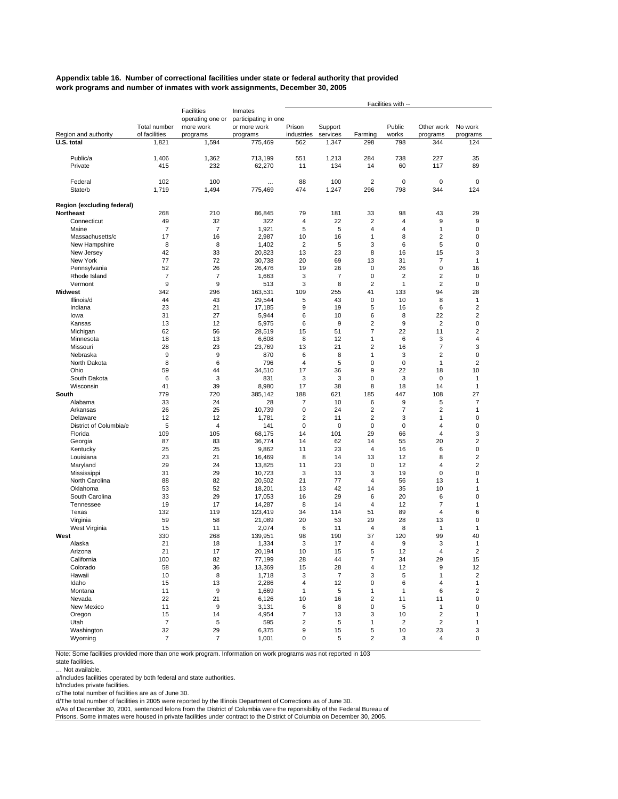#### **Appendix table 16. Number of correctional facilities under state or federal authority that provided work programs and number of inmates with work assignments, December 30, 2005**

|                                                |                  |                       |                          |                         |                     |                         | Facilities with --   |                              |                               |
|------------------------------------------------|------------------|-----------------------|--------------------------|-------------------------|---------------------|-------------------------|----------------------|------------------------------|-------------------------------|
|                                                |                  | Facilities            | Inmates                  |                         |                     |                         |                      |                              |                               |
|                                                | Total number     | operating one or      | participating in one     | Prison                  |                     |                         | Public               |                              |                               |
| Region and authority                           | of facilities    | more work<br>programs | or more work<br>programs | industries              | Support<br>services | Farming                 | works                | Other work<br>programs       | No work<br>programs           |
| $\overline{U}$ .S. total                       | 1,821            | 1,594                 | 775,469                  | 562                     | 1,347               | 298                     | 798                  | 344                          | 124                           |
|                                                |                  |                       |                          |                         |                     |                         |                      |                              |                               |
| Public/a                                       | 1,406            | 1,362                 | 713,199                  | 551                     | 1,213               | 284                     | 738                  | 227                          | 35                            |
| Private                                        | 415              | 232                   | 62,270                   | 11                      | 134                 | 14                      | 60                   | 117                          | 89                            |
| Federal                                        | 102              | 100                   | $\cdots$                 | 88                      | 100                 | $\overline{2}$          | 0                    | 0                            | 0                             |
| State/b                                        | 1,719            | 1,494                 | 775,469                  | 474                     | 1,247               | 296                     | 798                  | 344                          | 124                           |
|                                                |                  |                       |                          |                         |                     |                         |                      |                              |                               |
| Region (excluding federal)<br><b>Northeast</b> | 268              | 210                   | 86,845                   | 79                      | 181                 | 33                      | 98                   | 43                           | 29                            |
| Connecticut                                    | 49               | 32                    | 322                      | 4                       | 22                  | $\overline{2}$          | 4                    | 9                            | 9                             |
| Maine                                          | $\overline{7}$   | $\overline{7}$        | 1,921                    | 5                       | 5                   | $\overline{4}$          | 4                    | 1                            | 0                             |
| Massachusetts/c                                | 17               | 16                    | 2,987                    | 10                      | 16                  | 1                       | 8                    | $\overline{\mathbf{c}}$      | 0                             |
| New Hampshire                                  | 8                | 8                     | 1,402                    | $\overline{2}$          | 5                   | 3                       | 6                    | 5                            | 0                             |
| New Jersey                                     | 42               | 33                    | 20,823                   | 13                      | 23                  | 8                       | 16                   | 15                           | 3                             |
| New York                                       | 77               | 72                    | 30,738                   | 20                      | 69                  | 13                      | 31                   | $\overline{7}$               | $\mathbf{1}$                  |
| Pennsylvania<br>Rhode Island                   | 52<br>7          | 26<br>7               | 26,476<br>1,663          | 19<br>3                 | 26<br>7             | 0<br>0                  | 26<br>$\overline{2}$ | 0<br>$\overline{\mathbf{c}}$ | 16<br>0                       |
| Vermont                                        | 9                | 9                     | 513                      | 3                       | 8                   | $\overline{2}$          | 1                    | $\overline{2}$               | 0                             |
| <b>Midwest</b>                                 | 342              | 296                   | 163,531                  | 109                     | 255                 | 41                      | 133                  | 94                           | 28                            |
| Illinois/d                                     | 44               | 43                    | 29,544                   | 5                       | 43                  | $\mathbf 0$             | 10                   | 8                            | 1                             |
| Indiana                                        | 23               | 21                    | 17,185                   | 9                       | 19                  | 5                       | 16                   | 6                            | $\overline{\mathbf{c}}$       |
| lowa                                           | 31               | 27                    | 5,944                    | 6                       | 10                  | 6                       | 8                    | 22                           | $\overline{2}$                |
| Kansas                                         | 13               | 12                    | 5,975                    | 6                       | 9                   | $\overline{\mathbf{c}}$ | 9                    | $\overline{2}$               | 0                             |
| Michigan                                       | 62               | 56                    | 28,519                   | 15                      | 51                  | $\overline{7}$          | 22                   | 11                           | $\overline{2}$                |
| Minnesota                                      | 18               | 13                    | 6,608                    | 8                       | 12                  | 1                       | 6                    | 3                            | $\overline{4}$                |
| Missouri                                       | 28               | 23                    | 23,769                   | 13                      | 21                  | $\overline{\mathbf{c}}$ | 16                   | $\overline{7}$               | 3                             |
| Nebraska<br>North Dakota                       | 9                | 9                     | 870                      | 6<br>$\overline{4}$     | 8                   | $\mathbf{1}$            | 3                    | $\overline{2}$               | 0                             |
| Ohio                                           | 8<br>59          | 6<br>44               | 796<br>34,510            | 17                      | 5<br>36             | 0<br>9                  | 0<br>22              | $\mathbf{1}$<br>18           | $\overline{2}$<br>10          |
| South Dakota                                   | 6                | 3                     | 831                      | 3                       | 3                   | $\mathbf 0$             | 3                    | 0                            | 1                             |
| Wisconsin                                      | 41               | 39                    | 8,980                    | 17                      | 38                  | 8                       | 18                   | 14                           | $\mathbf{1}$                  |
| South                                          | 779              | 720                   | 385,142                  | 188                     | 621                 | 185                     | 447                  | 108                          | 27                            |
| Alabama                                        | 33               | 24                    | 28                       | $\overline{7}$          | 10                  | 6                       | 9                    | 5                            | $\overline{7}$                |
| Arkansas                                       | 26               | 25                    | 10,739                   | 0                       | 24                  | $\overline{2}$          | $\overline{7}$       | $\overline{2}$               | $\mathbf{1}$                  |
| Delaware                                       | 12               | 12                    | 1,781                    | $\overline{2}$          | 11                  | $\overline{2}$          | 3                    | 1                            | 0                             |
| District of Columbia/e                         | 5                | $\overline{4}$        | 141                      | $\mathbf 0$             | 0                   | 0                       | 0                    | 4                            | 0                             |
| Florida                                        | 109              | 105                   | 68,175                   | 14                      | 101                 | 29                      | 66                   | $\overline{4}$               | 3                             |
| Georgia                                        | 87<br>25         | 83<br>25              | 36,774<br>9,862          | 14<br>11                | 62<br>23            | 14<br>$\overline{4}$    | 55<br>16             | 20<br>6                      | $\overline{2}$<br>$\mathbf 0$ |
| Kentucky<br>Louisiana                          | 23               | 21                    | 16,469                   | 8                       | 14                  | 13                      | 12                   | 8                            | $\overline{2}$                |
| Maryland                                       | 29               | 24                    | 13,825                   | 11                      | 23                  | 0                       | 12                   | 4                            | $\overline{2}$                |
| Mississippi                                    | 31               | 29                    | 10,723                   | 3                       | 13                  | 3                       | 19                   | 0                            | 0                             |
| North Carolina                                 | 88               | 82                    | 20,502                   | 21                      | 77                  | $\overline{4}$          | 56                   | 13                           | $\mathbf{1}$                  |
| Oklahoma                                       | 53               | 52                    | 18,201                   | 13                      | 42                  | 14                      | 35                   | 10                           | 1                             |
| South Carolina                                 | 33               | 29                    | 17,053                   | 16                      | 29                  | 6                       | 20                   | 6                            | 0                             |
| Tennessee                                      | 19               | 17                    | 14,287                   | 8                       | 14                  | $\overline{4}$          | 12                   | $\overline{7}$               | 1                             |
| Texas                                          | 132              | 119                   | 123,419                  | 34                      | 114                 | 51                      | 89                   | $\overline{4}$               | 6                             |
| Virginia                                       | 59<br>15         | 58<br>11              | 21,089                   | 20<br>6                 | 53<br>11            | 29<br>4                 | 28<br>8              | 13<br>$\mathbf{1}$           | 0<br>$\mathbf{1}$             |
| West Virginia<br>West                          | 330              | 268                   | 2,074<br>139,951         | 98                      | 190                 | 37                      | 120                  | 99                           | 40                            |
| Alaska                                         | 21               | 18                    | 1,334                    | 3                       | 17                  | $\overline{4}$          | 9                    | 3                            | $\mathbf{1}$                  |
| Arizona                                        | 21               | 17                    | 20,194                   | 10                      | 15                  | 5                       | 12                   | 4                            | $\overline{2}$                |
| California                                     | 100              | 82                    | 77,199                   | 28                      | 44                  | $\boldsymbol{7}$        | 34                   | 29                           | 15                            |
| Colorado                                       | 58               | 36                    | 13,369                   | 15                      | 28                  | 4                       | 12                   | 9                            | 12                            |
| Hawaii                                         | 10               | 8                     | 1,718                    | 3                       | $\overline{7}$      | 3                       | 5                    | 1                            | $\overline{c}$                |
| Idaho                                          | 15               | 13                    | 2,286                    | 4                       | 12                  | 0                       | 6                    | 4                            | $\mathbf{1}$                  |
| Montana                                        | 11               | 9                     | 1,669                    | $\mathbf{1}$            | 5                   | $\mathbf{1}$            | 1                    | 6                            | $\overline{\mathbf{c}}$       |
| Nevada                                         | 22               | 21                    | 6,126                    | 10                      | 16                  | $\overline{c}$          | 11                   | 11                           | $\pmb{0}$                     |
| New Mexico                                     | 11<br>15         | 9<br>14               | 3,131                    | 6<br>7                  | 8                   | $\mathbf 0$<br>3        | 5                    | $\mathbf{1}$<br>$\mathbf 2$  | $\pmb{0}$<br>1                |
| Oregon<br>Utah                                 | $\boldsymbol{7}$ | 5                     | 4,954<br>595             | $\overline{\mathbf{c}}$ | 13<br>5             | 1                       | 10<br>2              | $\mathbf 2$                  | $\mathbf{1}$                  |
| Washington                                     | 32               | 29                    | 6,375                    | 9                       | 15                  | 5                       | 10                   | 23                           | 3                             |
| Wyoming                                        | $\overline{7}$   | $\overline{7}$        | 1,001                    | 0                       | 5                   | $\overline{c}$          | 3                    | $\overline{4}$               | 0                             |

Note: Some facilities provided more than one work program. Information on work programs was not reported in 103

… Not available.

a/Includes facilities operated by both federal and state authorities.

b/Includes private facilities.

c/The total number of facilities are as of June 30.

d/The total number of facilities in 2005 were reported by the Illinois Department of Corrections as of June 30.<br>e/As of December 30, 2001, sentenced felons from the District of Columbia were the reponsibility of the Federa

Prisons. Some inmates were housed in private facilities under contract to the District of Columbia on December 30, 2005.

state facilities.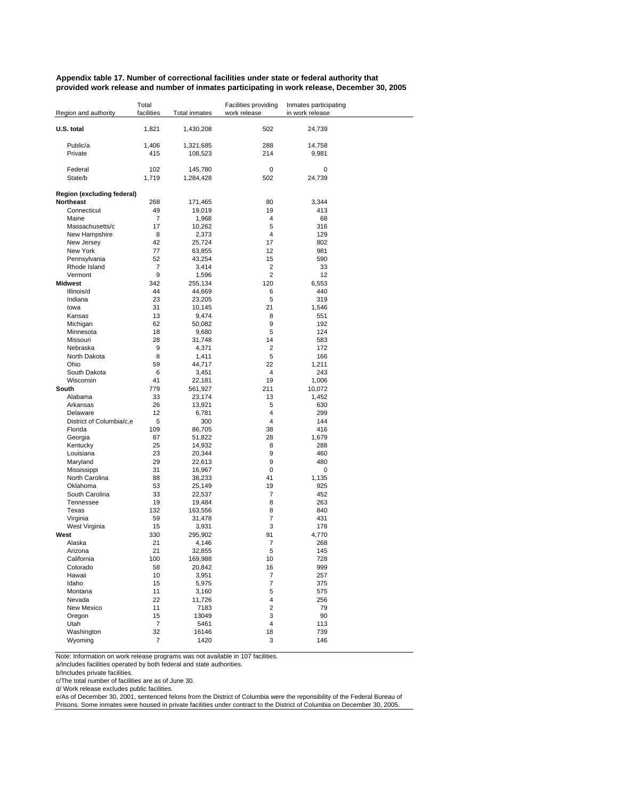#### **Appendix table 17. Number of correctional facilities under state or federal authority that provided work release and number of inmates participating in work release, December 30, 2005**

| Region and authority       | Total<br>facilities | <b>Total inmates</b> | Facilities providing<br>work release | Inmates participating<br>in work release |
|----------------------------|---------------------|----------------------|--------------------------------------|------------------------------------------|
| U.S. total                 | 1,821               | 1,430,208            | 502                                  | 24,739                                   |
| Public/a                   | 1,406               | 1,321,685            | 288                                  | 14,758                                   |
| Private                    | 415                 | 108,523              | 214                                  | 9,981                                    |
|                            |                     |                      |                                      |                                          |
| Federal                    | 102                 | 145,780              | 0                                    | 0                                        |
| State/b                    | 1,719               | 1,284,428            | 502                                  | 24,739                                   |
| Region (excluding federal) |                     |                      |                                      |                                          |
| <b>Northeast</b>           | 268                 | 171,465              | 80                                   | 3,344                                    |
| Connecticut                | 49                  | 19,019               | 19                                   | 413                                      |
| Maine                      | $\overline{7}$      | 1,968                | 4                                    | 68                                       |
| Massachusetts/c            | 17                  | 10,262               | 5                                    | 316                                      |
| New Hampshire              | 8                   | 2,373                | 4                                    | 129                                      |
| New Jersey<br>New York     | 42<br>77            | 25,724               | 17<br>12                             | 802<br>981                               |
| Pennsylvania               | 52                  | 63,855<br>43,254     | 15                                   | 590                                      |
| Rhode Island               | $\overline{7}$      | 3,414                | 2                                    | 33                                       |
| Vermont                    | 9                   | 1,596                | 2                                    | 12                                       |
| <b>Midwest</b>             | 342                 | 255,134              | 120                                  | 6,553                                    |
| Illinois/d                 | 44                  | 44,669               | 6                                    | 440                                      |
| Indiana                    | 23                  | 23,205               | 5                                    | 319                                      |
| lowa                       | 31                  | 10,145               | 21                                   | 1,546                                    |
| Kansas                     | 13                  | 9,474                | 8                                    | 551                                      |
| Michigan                   | 62                  | 50,082               | 9                                    | 192                                      |
| Minnesota                  | 18                  | 9,680                | 5                                    | 124                                      |
| Missouri                   | 28                  | 31,748               | 14                                   | 583                                      |
| Nebraska                   | 9                   | 4,371                | 2                                    | 172                                      |
| North Dakota               | 8                   | 1,411                | 5                                    | 166                                      |
| Ohio                       | 59                  | 44,717               | 22                                   | 1,211                                    |
| South Dakota               | 6                   | 3,451                | 4                                    | 243                                      |
| Wisconsin<br>South         | 41<br>779           | 22,181               | 19<br>211                            | 1,006                                    |
| Alabama                    | 33                  | 561,927<br>23,174    | 13                                   | 10,072<br>1,452                          |
| Arkansas                   | 26                  | 13,921               | 5                                    | 630                                      |
| Delaware                   | 12                  | 6,781                | 4                                    | 299                                      |
| District of Columbia/c,e   | 5                   | 300                  | 4                                    | 144                                      |
| Florida                    | 109                 | 86,705               | 38                                   | 416                                      |
| Georgia                    | 87                  | 51,822               | 28                                   | 1,679                                    |
| Kentucky                   | 25                  | 14,932               | 8                                    | 288                                      |
| Louisiana                  | 23                  | 20,344               | 9                                    | 460                                      |
| Maryland                   | 29                  | 22,613               | 9                                    | 480                                      |
| Mississippi                | 31                  | 16,967               | 0                                    | 0                                        |
| North Carolina             | 88                  | 38,233               | 41                                   | 1,135                                    |
| Oklahoma                   | 53                  | 25,149               | 19                                   | 925                                      |
| South Carolina             | 33                  | 22,537               | 7                                    | 452                                      |
| Tennessee<br>Texas         | 19<br>132           | 19,484               | 8<br>8                               | 263<br>840                               |
| Virginia                   | 59                  | 163,556<br>31,478    | 7                                    | 431                                      |
| West Virginia              | 15                  | 3,931                | 3                                    | 178                                      |
| West                       | 330                 | 295,902              | 91                                   | 4.770                                    |
| Alaska                     | 21                  | 4,146                | 7                                    | 268                                      |
| Arizona                    | 21                  | 32,855               | 5                                    | 145                                      |
| California                 | 100                 | 169,988              | 10                                   | 728                                      |
| Colorado                   | 58                  | 20,842               | 16                                   | 999                                      |
| Hawaii                     | 10                  | 3,951                | 7                                    | 257                                      |
| Idaho                      | 15                  | 5,975                | $\overline{7}$                       | 375                                      |
| Montana                    | 11                  | 3,160                | 5                                    | 575                                      |
| Nevada                     | 22                  | 11,726               | 4                                    | 256                                      |
| New Mexico                 | 11                  | 7183                 | $\overline{\mathbf{c}}$              | 79                                       |
| Oregon                     | 15                  | 13049                | 3                                    | 90                                       |
| Utah                       | $\overline{7}$      | 5461                 | 4                                    | 113                                      |
| Washington<br>Wyoming      | 32<br>7             | 16146<br>1420        | 18<br>3                              | 739<br>146                               |
|                            |                     |                      |                                      |                                          |

Note: Information on work release programs was not available in 107 facilities.

a/Includes facilities operated by both federal and state authorities.

b/Includes private facilities.

c/The total number of facilities are as of June 30.

d/ Work release excludes public facilities.

e/As of December 30, 2001, sentenced felons from the District of Columbia were the reponsibility of the Federal Bureau of Prisons. Some inmates were housed in private facilities under contract to the District of Columbia on December 30, 2005.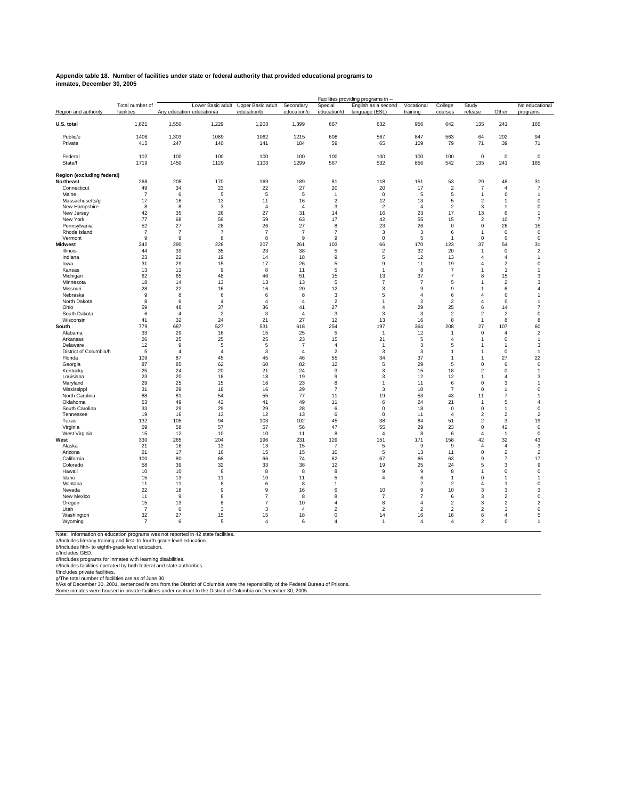#### **Appendix table 18. Number of facilities under state or federal authority that provided educational programs to inmates, December 30, 2005**

|                                  |                               | Facilities providing programs in -- |                   |                                  |                          |                         |                                       |                        |                         |                                        |                               |                                  |  |
|----------------------------------|-------------------------------|-------------------------------------|-------------------|----------------------------------|--------------------------|-------------------------|---------------------------------------|------------------------|-------------------------|----------------------------------------|-------------------------------|----------------------------------|--|
| Region and authority             | Total number of<br>facilities | Any education education/a           | Lower Basic adult | Upper Basic adult<br>education\b | Secondary<br>education/c | Special<br>education/d  | English as a second<br>language (ESL) | Vocational<br>training | College<br>courses      | Study<br>release                       | Other                         | No educational<br>programs       |  |
| U.S. total                       | 1,821                         | 1,550                               | 1,229             | 1,203                            | 1,399                    | 667                     | 632                                   | 956                    | 642                     | 135                                    | 241                           | 165                              |  |
| Public/e                         | 1406                          | 1,303                               | 1089              | 1062                             | 1215                     | 608                     | 567                                   | 847                    | 563                     | 64                                     | 202                           | 94                               |  |
| Private                          | 415                           | 247                                 | 140               | 141                              | 184                      | 59                      | 65                                    | 109                    | 79                      | 71                                     | 39                            | 71                               |  |
|                                  |                               |                                     |                   |                                  |                          |                         |                                       |                        |                         |                                        |                               |                                  |  |
| Federal                          | 102                           | 100                                 | 100               | 100                              | 100                      | 100                     | 100                                   | 100                    | 100                     | $\mathsf 0$                            | $\mathbf 0$                   | $\mathbf 0$                      |  |
| State/f                          | 1719                          | 1450                                | 1129              | 1103                             | 1299                     | 567                     | 532                                   | 856                    | 542                     | 135                                    | 241                           | 165                              |  |
|                                  |                               |                                     |                   |                                  |                          |                         |                                       |                        |                         |                                        |                               |                                  |  |
| Region (excluding federal)       |                               |                                     |                   |                                  |                          |                         |                                       |                        |                         |                                        |                               |                                  |  |
| Northeast                        | 268                           | 208                                 | 170               | 169                              | 189                      | 81                      | 118                                   | 151                    | 53                      | 29                                     | 48                            | 31                               |  |
| Connecticut<br>Maine             | 49<br>$\overline{7}$          | 34                                  | 23<br>5           | 22<br>5                          | 27                       | 20<br>$\mathbf{1}$      | 20<br>$\mathbf 0$                     | 17                     | $\overline{2}$          | $\overline{7}$                         | $\overline{4}$<br>$\mathbf 0$ | $\overline{7}$<br>$\overline{1}$ |  |
|                                  | 17                            | 6<br>16                             | 13                | 11                               | 5<br>16                  | $\overline{2}$          | 12                                    | 5<br>13                | 5<br>5                  | $\mathbf{1}$<br>$\overline{2}$         | 1                             | 0                                |  |
| Massachusetts/g<br>New Hampshire | 8                             | 8                                   | 3                 | $\overline{4}$                   | $\overline{4}$           | 3                       | $\overline{2}$                        | $\overline{4}$         | $\overline{2}$          | 3                                      | 1                             | $\mathbf 0$                      |  |
| New Jersey                       | 42                            | 35                                  | 26                | 27                               | 31                       | 14                      | 16                                    | 23                     | 17                      | 13                                     | 6                             | $\overline{1}$                   |  |
| New York                         | 77                            | 68                                  | 59                | 59                               | 63                       | 17                      | 42                                    | 55                     | 15                      | $\overline{2}$                         | 10                            | $\overline{7}$                   |  |
| Pennsylvania                     | 52                            | 27                                  | 26                | 26                               | 27                       | 8                       | 23                                    | 26                     | $\mathbf 0$             | $\mathbf 0$                            | 26                            | 15                               |  |
| Rhode Island                     | $\overline{7}$                | $\overline{7}$                      | $\overline{7}$    | $\overline{7}$                   | $\overline{7}$           | $\overline{7}$          | 3                                     | 3                      | 6                       | $\mathbf{1}$                           | 0                             | 0                                |  |
| Vermont                          | 9                             | 9                                   | 8                 | 8                                | $\overline{9}$           | 9                       | $\mathsf 0$                           | 5                      | $\mathbf{1}$            | $\mathbf 0$                            | $\mathbf 0$                   | $\mathbf 0$                      |  |
| <b>Midwest</b>                   | 342                           | 290                                 | 228               | 207                              | 261                      | 103                     | 66                                    | 170                    | 123                     | 37                                     | 54                            | 31                               |  |
| Illinois                         | 44                            | 39                                  | 35                | 23                               | 38                       | 5                       | $\overline{2}$                        | 32                     | 20                      | $\overline{1}$                         | $\mathbf 0$                   | 2                                |  |
| Indiana                          | 23                            | 22                                  | 19                | 14                               | 18                       | 9                       | 5                                     | 12                     | 13                      | $\Delta$                               | $\overline{a}$                | $\overline{1}$                   |  |
| lowa                             | 31                            | 29                                  | 15                | 17                               | 26                       | 5                       | 9                                     | 11                     | 19                      | 4                                      | $\overline{c}$                | 0                                |  |
| Kansas                           | 13                            | 11                                  | 9                 | 8                                | 11                       | 5                       | $\overline{1}$                        | 8                      | $\overline{7}$          | 1                                      | $\overline{1}$                | $\mathbf{1}$                     |  |
| Michigan                         | 62                            | 65                                  | 48                | 46                               | 51                       | 15                      | 13<br>$\overline{7}$                  | 37<br>$\overline{7}$   | $\overline{7}$          | 8<br>1                                 | 15                            | 3                                |  |
| Minnesota                        | 18<br>28                      | 14<br>22                            | 13<br>16          | 13<br>16                         | 13<br>20                 | 5<br>12                 | 3                                     | 9                      | 5<br>9                  | 1                                      | $\overline{\mathbf{c}}$<br>6  | 3<br>$\Delta$                    |  |
| Missouri<br>Nebraska             | 9                             | 8                                   | 6                 | 6                                | 8                        | 3                       | 5                                     | $\overline{4}$         | 6                       | $\overline{4}$                         | 0                             | $\mathbf{1}$                     |  |
| North Dakota                     | 8                             | 6                                   | $\overline{4}$    | $\overline{4}$                   | $\overline{4}$           | $\overline{2}$          | $\overline{1}$                        | $\overline{2}$         | $\overline{\mathbf{c}}$ | $\overline{4}$                         | $\mathbf 0$                   | $\mathbf{1}$                     |  |
| Ohio                             | 59                            | 48                                  | 37                | 36                               | 41                       | 27                      | 4                                     | 29                     | 25                      | 6                                      | 14                            | $\overline{7}$                   |  |
| South Dakota                     | 6                             | $\overline{4}$                      | $\overline{2}$    | 3                                | $\overline{4}$           | 3                       | 3                                     | 3                      | $\overline{2}$          | $\overline{2}$                         | $\overline{2}$                | $\mathbf 0$                      |  |
| Wisconsin                        | 41                            | 32                                  | 24                | 21                               | 27                       | 12                      | 13                                    | 16                     | $\bf8$                  | $\mathbf{1}$                           | 8                             | 8                                |  |
| South                            | 779                           | 687                                 | 527               | 531                              | 618                      | 254                     | 197                                   | 364                    | 208                     | 27                                     | 107                           | 60                               |  |
| Alabama                          | 33                            | 29                                  | 16                | 15                               | 25                       | 5                       | $\overline{1}$                        | 12                     | 1                       | $\mathbf 0$                            | $\overline{4}$                | $\overline{\mathbf{c}}$          |  |
| Arkansas                         | 26                            | 25                                  | 25                | 25                               | 23                       | 15                      | 21                                    | 5                      | $\overline{4}$          | 1                                      | 0                             | 1                                |  |
| Delaware                         | 12                            | 9                                   | 5                 | 5                                | $\overline{7}$           | $\overline{4}$          | $\overline{1}$                        | 3                      | 5                       | 1                                      | $\overline{1}$                | 3                                |  |
| District of Columbia/h           | 5                             | $\boldsymbol{\Delta}$               | $\overline{4}$    | 3                                | $\overline{4}$           | $\overline{\mathbf{c}}$ | 3                                     | 3                      | 1                       | 1                                      | $\mathbf 0$                   | $\overline{1}$                   |  |
| Florida                          | 109                           | 87                                  | 45                | 45                               | 46                       | 55                      | 34                                    | 37                     | $\overline{1}$          | $\mathbf{1}$                           | 27                            | 22                               |  |
| Georgia<br>Kentucky              | 87<br>25                      | 85<br>24                            | 62<br>20          | 60<br>21                         | 82<br>24                 | 12<br>3                 | $\mathbf 5$<br>3                      | 29<br>15               | 5<br>18                 | $\mathsf 0$<br>$\overline{\mathbf{c}}$ | 6<br>0                        | $\mathbf 0$<br>$\mathbf{1}$      |  |
| Louisiana                        | 23                            | 20                                  | 18                | 18                               | 19                       | 9                       | 3                                     | 12                     | 12                      | $\mathbf{1}$                           | $\overline{4}$                | 3                                |  |
| Maryland                         | 29                            | 25                                  | 15                | 16                               | 23                       | 8                       | $\overline{1}$                        | 11                     | 6                       | 0                                      | 3                             | $\mathbf{1}$                     |  |
| Mississippi                      | 31                            | 29                                  | 18                | 16                               | 29                       | $\overline{7}$          | 3                                     | 10                     | $\overline{7}$          | $\mathbf 0$                            | 1                             | 0                                |  |
| North Carolina                   | 88                            | 81                                  | 54                | 55                               | 77                       | 11                      | 19                                    | 53                     | 43                      | 11                                     | $\overline{7}$                | $\overline{1}$                   |  |
| Oklahoma                         | 53                            | 49                                  | 42                | 41                               | 49                       | 11                      | 6                                     | 24                     | 21                      | $\overline{1}$                         | 5                             | $\overline{4}$                   |  |
| South Carolina                   | 33                            | 29                                  | 29                | 29                               | 28                       | 6                       | $\mathbf 0$                           | 18                     | $\mathbf 0$             | $\mathbf 0$                            | 1                             | $\mathbf 0$                      |  |
| Tennessee                        | 19                            | 16                                  | 13                | 12                               | 13                       | 6                       | $\mathsf 0$                           | 11                     | $\overline{4}$          | $\overline{2}$                         | $\overline{c}$                | $\overline{\mathbf{c}}$          |  |
| Texas                            | 132                           | 105                                 | 94                | 103                              | 102                      | 45                      | 38                                    | 84                     | 51                      | $\overline{2}$                         | 3                             | 19                               |  |
| Virginia                         | 59                            | 58                                  | 57                | 57                               | 56                       | 47                      | 55                                    | 29                     | 23                      | $\pmb{0}$                              | 42                            | $\mathbf 0$                      |  |
| West Virginia<br>West            | 15<br>330                     | 12<br>265                           | 10<br>204         | 10<br>196                        | 11<br>231                | 8<br>129                | $\overline{4}$<br>151                 | 8<br>171               | 6<br>158                | $\overline{4}$<br>42                   | $\overline{1}$<br>32          | 0<br>43                          |  |
| Alaska                           | 21                            | 16                                  | 13                | 13                               | 15                       | 7                       | 5                                     | 9                      | 9                       | $\overline{4}$                         | $\overline{4}$                | 3                                |  |
| Arizona                          | 21                            | 17                                  | 16                | 15                               | 15                       | 10                      | 5                                     | 13                     | 11                      | $\mathbf 0$                            | $\overline{2}$                | $\overline{2}$                   |  |
| California                       | 100                           | 80                                  | 68                | 66                               | 74                       | 62                      | 67                                    | 65                     | 63                      | 9                                      | 7                             | 17                               |  |
| Colorado                         | 58                            | 39                                  | 32                | 33                               | 38                       | 12                      | 19                                    | 25                     | 24                      | 5                                      | 3                             | 9                                |  |
| Hawaii                           | 10                            | 10                                  | 8                 | 8                                | 8                        | 8                       | 9                                     | 9                      | 8                       | 1                                      | $\mathbf 0$                   | $\mathbf 0$                      |  |
| Idaho                            | 15                            | 13                                  | 11                | 10                               | 11                       | 5                       | $\overline{4}$                        | 6                      | 1                       | 0                                      | 1                             | 1                                |  |
| Montana                          | 11                            | 11                                  | 8                 | 6                                | 8                        | $\mathbf{1}$            |                                       | $\overline{2}$         | $\overline{2}$          | $\overline{4}$                         | $\overline{1}$                | $\mathbf 0$                      |  |
| Nevada                           | 22                            | 18                                  | 9                 | 9                                | 16                       | 6                       | 10                                    | 9                      | 10                      | 3                                      | 3                             | 3                                |  |
| New Mexico                       | 11                            | 9                                   | 8                 | $\overline{7}$                   | 8                        | 8                       | $\overline{7}$                        | $\overline{7}$         | 6                       | 3                                      | $\overline{\mathbf{c}}$       | 0                                |  |
| Oregon                           | 15                            | 13                                  | 8                 | $\overline{7}$                   | 10                       | $\Delta$                | 8                                     | $\overline{a}$         | $\overline{2}$          | 3                                      | $\overline{c}$                | $\overline{c}$                   |  |
| Utah                             | $\overline{7}$                | 6                                   | 3                 | 3                                | $\overline{4}$           | $\overline{2}$          | $\overline{2}$                        | $\overline{2}$         | $\overline{c}$          | $\overline{\mathbf{c}}$                | 3                             | 0                                |  |
| Washington                       | 32                            | 27                                  | 15                | 15                               | 18                       | $\mathbf 0$             | 14                                    | 16                     | 16                      | 6                                      | $\overline{4}$                | 5                                |  |
| Wyoming                          | $\overline{7}$                | 6                                   | 5                 | $\overline{4}$                   | 6                        | $\boldsymbol{\Delta}$   |                                       | $\boldsymbol{\Delta}$  | $\Delta$                | $\overline{\mathbf{c}}$                | $\Omega$                      |                                  |  |

Note: Information on education programs was not reported in 42 state facilities.<br>a/Includes literacy training and first- to fourth-grade level education.<br>c/includes fifth- to eighth-grade level education.<br>d/Includes progra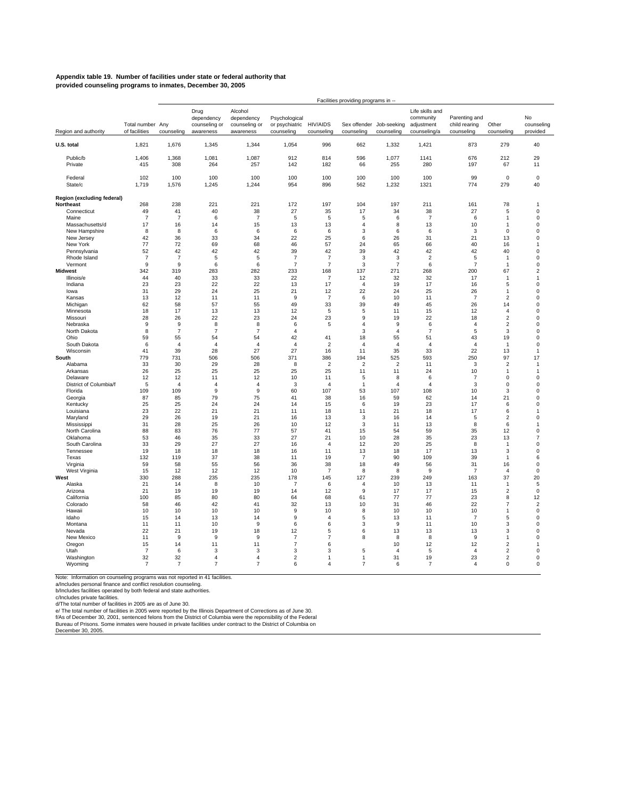#### **Appendix table 19. Number of facilities under state or federal authority that provided counseling programs to inmates, December 30, 2005**

|                                  |                                   | Facilities providing programs in -- |                                                  |                                                     |                                               |                               |                            |                                        |                                                            |                                              |                                  |                                         |
|----------------------------------|-----------------------------------|-------------------------------------|--------------------------------------------------|-----------------------------------------------------|-----------------------------------------------|-------------------------------|----------------------------|----------------------------------------|------------------------------------------------------------|----------------------------------------------|----------------------------------|-----------------------------------------|
| Region and authority             | Total number Any<br>of facilities | counseling                          | Drug<br>dependency<br>counseling or<br>awareness | Alcohol<br>dependency<br>counseling or<br>awareness | Psychological<br>or psychiatric<br>counseling | <b>HIV/AIDS</b><br>counseling | counseling                 | Sex offender Job-seeking<br>counseling | Life skills and<br>community<br>adjustment<br>counseling/a | Parenting and<br>child rearing<br>counseling | Other<br>counseling              | $\mathsf{No}$<br>counseling<br>provided |
| U.S. total                       | 1,821                             | 1,676                               | 1,345                                            | 1,344                                               | 1,054                                         | 996                           | 662                        | 1,332                                  | 1,421                                                      | 873                                          | 279                              | 40                                      |
| Public/b                         | 1,406                             | 1,368                               | 1,081                                            | 1,087                                               | 912                                           | 814                           | 596                        | 1,077                                  | 1141                                                       | 676                                          | 212                              | 29                                      |
| Private                          | 415                               | 308                                 | 264                                              | 257                                                 | 142                                           | 182                           | 66                         | 255                                    | 280                                                        | 197                                          | 67                               | 11                                      |
|                                  |                                   |                                     |                                                  |                                                     |                                               |                               |                            |                                        |                                                            |                                              |                                  |                                         |
| Federal                          | 102                               | 100                                 | 100                                              | 100                                                 | 100                                           | 100                           | 100                        | 100                                    | 100                                                        | 99                                           | $\mathbf 0$                      | $\mathsf 0$                             |
| State/c                          | 1,719                             | 1,576                               | 1,245                                            | 1,244                                               | 954                                           | 896                           | 562                        | 1,232                                  | 1321                                                       | 774                                          | 279                              | 40                                      |
| Region (excluding federal)       |                                   |                                     |                                                  |                                                     |                                               |                               |                            |                                        |                                                            |                                              |                                  |                                         |
| Northeast                        | 268                               | 238                                 | 221                                              | 221                                                 | 172                                           | 197                           | 104                        | 197                                    | 211                                                        | 161                                          | 78                               | $\overline{1}$                          |
| Connecticut                      | 49                                | 41                                  | 40                                               | 38                                                  | 27                                            | 35                            | 17                         | 34                                     | 38                                                         | 27                                           | 5                                | $\mathbf 0$                             |
| Maine                            | $\overline{7}$<br>17              | $\overline{7}$<br>16                | 6<br>14                                          | $\overline{7}$<br>15                                | 5<br>13                                       | 5<br>13                       | 5<br>$\boldsymbol{\Delta}$ | 6<br>8                                 | $\overline{7}$<br>13                                       | 6<br>10                                      | $\overline{1}$<br>$\overline{1}$ | $\mathbf 0$<br>$\Omega$                 |
| Massachusetts/d<br>New Hampshire | 8                                 | 8                                   | 6                                                | 6                                                   | 6                                             | 6                             | 3                          | 6                                      | 6                                                          | 3                                            | $\mathbf 0$                      | $\mathbf 0$                             |
| New Jersey                       | 42                                | 36                                  | 33                                               | 34                                                  | 22                                            | 25                            | 6                          | 26                                     | 31                                                         | 21                                           | 13                               | 0                                       |
| New York                         | 77                                | 72                                  | 69                                               | 68                                                  | 46                                            | 57                            | 24                         | 65                                     | 66                                                         | 40                                           | 16                               | $\overline{1}$                          |
| Pennsylvania                     | 52                                | 42                                  | 42                                               | 42                                                  | 39                                            | 42                            | 39                         | 42                                     | 42                                                         | 42                                           | 40                               | $\mathbf 0$                             |
| Rhode Island                     | $\overline{7}$                    | $\overline{7}$                      | 5                                                | 5                                                   | $\overline{7}$                                | $\overline{7}$                | 3                          | 3                                      | $\overline{c}$                                             | 5                                            | $\overline{1}$                   | 0                                       |
| Vermont                          | 9                                 | 9                                   | 6                                                | 6                                                   | $\overline{7}$                                | $\overline{7}$                | 3                          | $\overline{7}$                         | 6                                                          | $\overline{7}$                               | $\overline{1}$                   | $\mathbf 0$                             |
| <b>Midwest</b>                   | 342                               | 319                                 | 283                                              | 282                                                 | 233                                           | 168                           | 137                        | 271                                    | 268                                                        | 200                                          | 67                               | $\overline{2}$                          |
| Illinois/e                       | 44                                | 40                                  | 33                                               | 33                                                  | 22                                            | $\overline{7}$                | 12                         | 32                                     | 32                                                         | 17                                           | $\overline{1}$                   | $\overline{1}$                          |
| Indiana                          | 23                                | 23                                  | 22                                               | 22                                                  | 13                                            | 17                            | $\overline{4}$             | 19                                     | 17                                                         | 16                                           | 5                                | $\mathsf 0$                             |
| lowa<br>Kansas                   | 31<br>13                          | 29<br>12                            | 24<br>11                                         | 25<br>11                                            | 21<br>9                                       | 12<br>$\overline{7}$          | 22<br>6                    | 24<br>10                               | 25<br>11                                                   | 26<br>$\overline{7}$                         | $\overline{1}$<br>$\overline{2}$ | 0<br>$\mathbf 0$                        |
| Michigan                         | 62                                | 58                                  | 57                                               | 55                                                  | 49                                            | 33                            | 39                         | 49                                     | 45                                                         | 26                                           | 14                               | $\mathsf 0$                             |
| Minnesota                        | 18                                | 17                                  | 13                                               | 13                                                  | 12                                            | 5                             | 5                          | 11                                     | 15                                                         | 12                                           | $\overline{4}$                   | 0                                       |
| Missouri                         | 28                                | 26                                  | 22                                               | 23                                                  | 24                                            | 23                            | 9                          | 19                                     | 22                                                         | 18                                           | $\overline{2}$                   | $\mathbf 0$                             |
| Nebraska                         | 9                                 | 9                                   | 8                                                | 8                                                   | 6                                             | 5                             | 4                          | 9                                      | 6                                                          | $\overline{4}$                               | $\overline{2}$                   | $\mathbf 0$                             |
| North Dakota                     | 8                                 | $\overline{7}$                      | $\overline{7}$                                   | $\overline{7}$                                      | $\overline{4}$                                |                               | 3                          | $\overline{4}$                         | $\overline{7}$                                             | 5                                            | 3                                | $\Omega$                                |
| Ohio                             | 59                                | 55                                  | 54                                               | 54                                                  | 42                                            | 41                            | 18                         | 55                                     | 51                                                         | 43                                           | 19                               | $\mathbf 0$                             |
| South Dakota                     | 6                                 | $\overline{4}$                      | 4                                                | 4                                                   | $\overline{4}$                                | $\overline{2}$                | 4                          | 4                                      | $\overline{4}$                                             | $\overline{4}$                               | $\overline{1}$                   | $\mathbf 0$                             |
| Wisconsin                        | 41                                | 39                                  | 28                                               | 27                                                  | 27                                            | 16                            | 11                         | 35                                     | 33                                                         | 22                                           | 13                               | $\mathbf{1}$                            |
| South                            | 779                               | 731                                 | 506                                              | 506                                                 | 371                                           | 386                           | 194                        | 525                                    | 593                                                        | 250                                          | 97                               | 17                                      |
| Alabama<br>Arkansas              | 33<br>26                          | 30<br>25                            | 29<br>25                                         | 28<br>25                                            | 8<br>25                                       | $\overline{\mathbf{c}}$<br>25 | $\sqrt{2}$<br>11           | $\mathbf 2$<br>11                      | 11<br>24                                                   | 3<br>10                                      | $\sqrt{2}$<br>$\overline{1}$     | $\overline{1}$<br>$\overline{1}$        |
| Delaware                         | 12                                | 12                                  | 11                                               | 12                                                  | 10                                            | 11                            | 5                          | 8                                      | 6                                                          | $\overline{7}$                               | $\mathbf 0$                      | $\mathbf 0$                             |
| District of Columbia/f           | 5                                 | $\overline{4}$                      | $\overline{4}$                                   | $\overline{4}$                                      | 3                                             | $\overline{4}$                | $\overline{1}$             | $\overline{4}$                         | $\overline{4}$                                             | 3                                            | $\Omega$                         | $\Omega$                                |
| Florida                          | 109                               | 109                                 | 9                                                | 9                                                   | 60                                            | 107                           | 53                         | 107                                    | 108                                                        | 10                                           | 3                                | $\mathbf 0$                             |
| Georgia                          | 87                                | 85                                  | 79                                               | 75                                                  | 41                                            | 38                            | 16                         | 59                                     | 62                                                         | 14                                           | 21                               | $\mathbf 0$                             |
| Kentucky                         | 25                                | 25                                  | 24                                               | 24                                                  | 14                                            | 15                            | 6                          | 19                                     | 23                                                         | 17                                           | 6                                | $\mathbf 0$                             |
| Louisiana                        | 23                                | 22                                  | 21                                               | 21                                                  | 11                                            | 18                            | 11                         | 21                                     | 18                                                         | 17                                           | 6                                | $\overline{1}$                          |
| Maryland                         | 29                                | 26                                  | 19                                               | 21                                                  | 16                                            | 13                            | 3                          | 16                                     | 14                                                         | 5                                            | $\sqrt{2}$                       | $\mathsf 0$                             |
| Mississippi<br>North Carolina    | 31<br>88                          | 28<br>83                            | 25<br>76                                         | 26<br>77                                            | 10<br>57                                      | 12<br>41                      | 3<br>15                    | 11<br>54                               | 13<br>59                                                   | 8<br>35                                      | 6<br>12                          | $\mathbf{1}$<br>$\mathbf 0$             |
| Oklahoma                         | 53                                | 46                                  | 35                                               | 33                                                  | 27                                            | 21                            | 10                         | 28                                     | 35                                                         | 23                                           | 13                               | $\overline{7}$                          |
| South Carolina                   | 33                                | 29                                  | 27                                               | 27                                                  | 16                                            | $\overline{4}$                | 12                         | 20                                     | 25                                                         | 8                                            | $\overline{1}$                   | $\mathbf 0$                             |
| Tennessee                        | 19                                | 18                                  | 18                                               | 18                                                  | 16                                            | 11                            | 13                         | 18                                     | 17                                                         | 13                                           | 3                                | $\mathbf 0$                             |
| Texas                            | 132                               | 119                                 | 37                                               | 38                                                  | 11                                            | 19                            | $\overline{7}$             | 90                                     | 109                                                        | 39                                           | $\overline{1}$                   | 6                                       |
| Virginia                         | 59                                | 58                                  | 55                                               | 56                                                  | 36                                            | 38                            | 18                         | 49                                     | 56                                                         | 31                                           | 16                               | $\mathbf 0$                             |
| West Virginia                    | 15                                | 12                                  | 12                                               | 12                                                  | 10                                            | $\overline{7}$                | 8                          | 8                                      | 9                                                          | $\overline{7}$                               | $\overline{4}$                   | $\mathsf 0$                             |
| West                             | 330                               | 288                                 | 235                                              | 235                                                 | 178                                           | 145                           | 127                        | 239                                    | 249                                                        | 163                                          | 37                               | 20                                      |
| Alaska                           | 21                                | 14                                  | 8                                                | 10                                                  | $\overline{7}$                                | 6                             | 4                          | 10                                     | 13                                                         | 11                                           | $\overline{1}$                   | 5                                       |
| Arizona                          | 21                                | 19                                  | 19                                               | 19                                                  | 14                                            | 12                            | 9                          | 17                                     | 17                                                         | 15                                           | $\overline{2}$                   | $\mathbf 0$                             |
| California<br>Colorado           | 100<br>58                         | 85<br>46                            | 80<br>42                                         | 80<br>41                                            | 64<br>32                                      | 68<br>13                      | 61<br>10                   | 77<br>31                               | 77<br>46                                                   | 23<br>22                                     | 8<br>$\overline{7}$              | 12<br>$\overline{2}$                    |
| Hawaii                           | 10                                | 10                                  | 10                                               | 10                                                  | 9                                             | 10                            | 8                          | 10                                     | 10                                                         | 10                                           | $\overline{1}$                   | 0                                       |
| Idaho                            | 15                                | 14                                  | 13                                               | 14                                                  | 9                                             | $\overline{4}$                | 5                          | 13                                     | 11                                                         | $\overline{7}$                               | 5                                | $\mathbf 0$                             |
| Montana                          | 11                                | 11                                  | 10                                               | 9                                                   | 6                                             | 6                             | 3                          | 9                                      | 11                                                         | 10                                           | 3                                | $\mathbf 0$                             |
| Nevada                           | 22                                | 21                                  | 19                                               | 18                                                  | 12                                            | 5                             | 6                          | 13                                     | 13                                                         | 13                                           | 3                                | 0                                       |
| New Mexico                       | 11                                | 9                                   | 9                                                | 9                                                   | $\overline{7}$                                | $\overline{7}$                | 8                          | 8                                      | 8                                                          | 9                                            | $\overline{1}$                   | $\mathbf 0$                             |
| Oregon                           | 15                                | 14                                  | 11                                               | 11                                                  | $\overline{7}$                                | 6                             |                            | 10                                     | 12                                                         | 12                                           | $\overline{2}$                   | $\overline{1}$                          |
| Utah                             | $\overline{7}$                    | 6                                   | 3                                                | 3                                                   | 3                                             | 3                             | 5                          | $\boldsymbol{\Delta}$                  | 5                                                          | $\boldsymbol{\Delta}$                        | $\overline{2}$                   | $\Omega$                                |
| Washington                       | 32                                | 32                                  | 4                                                | 4                                                   | $\overline{2}$                                | $\mathbf{1}$                  | 1                          | 31                                     | 19                                                         | 23                                           | $\overline{c}$                   | $\mathbf 0$                             |
| Wyoming                          | $\overline{7}$                    | $\overline{7}$                      | $\overline{7}$                                   | $\overline{7}$                                      | 6                                             | $\overline{4}$                | $\overline{7}$             | 6                                      | $\overline{7}$                                             | $\overline{4}$                               | $\mathbf 0$                      | $\mathbf 0$                             |

Note: Information on counseling programs was not reported in 41 facilities. a/Includes personal finance and conflict resolution counseling.

b/Includes facilities operated by both federal and state authorities. c/Includes private facilities.

d/The total number of facilities in 2005 are as of June 30.<br>e/ The total number of facilities in 2005 were reported by the Illinois Department of Corrections as of June 30.

f/As of December 30, 2001, sentenced felons from the District of Columbia were the reponsibility of the Federal Bureau of Prisons. Some inmates were housed in private facilities under contract to the District of Columbia on

December 30, 2005.